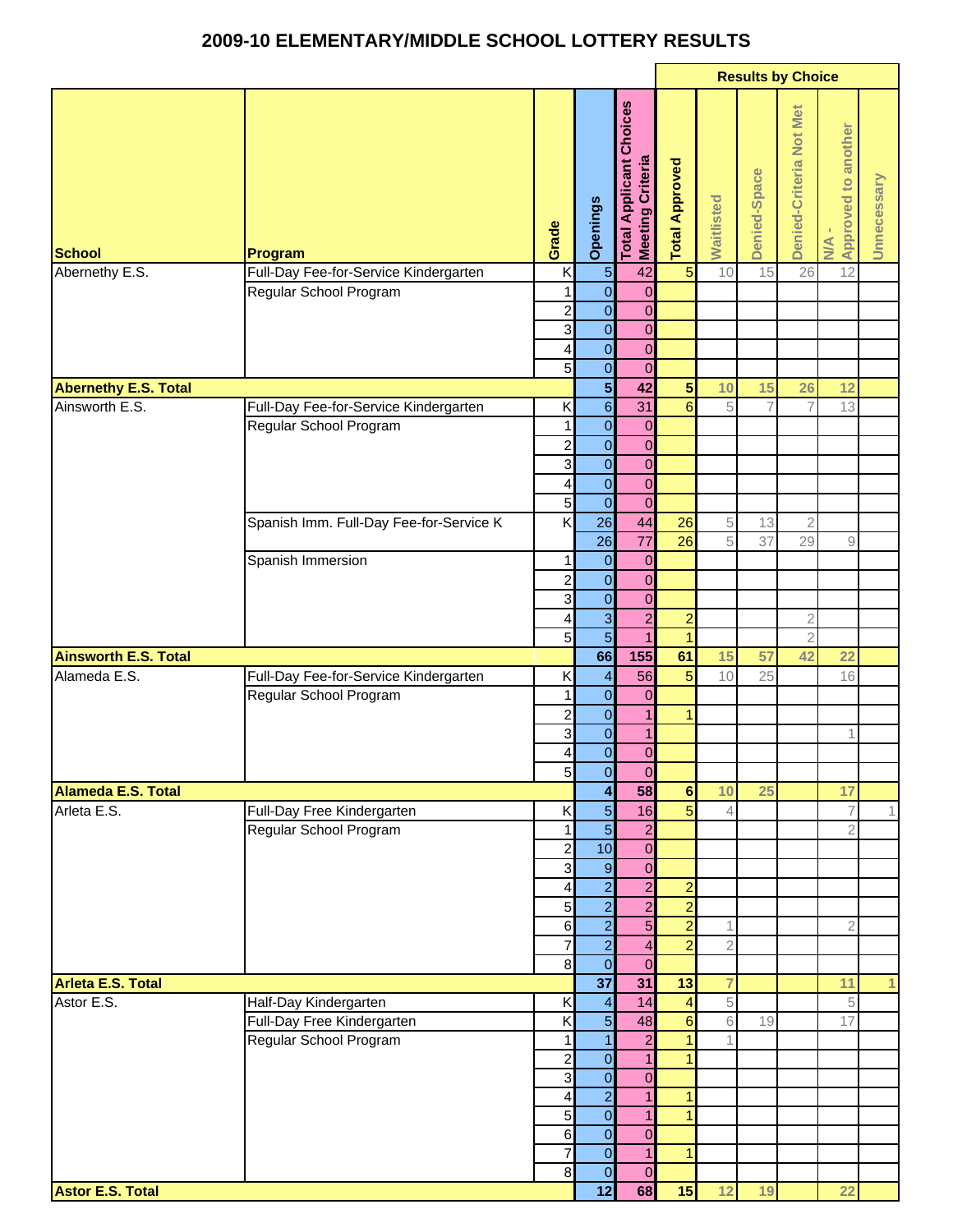## **2009-10 ELEMENTARY/MIDDLE SCHOOL LOTTERY RESULTS**

|                             |                                         |                                         |                                           |                                                    | <b>Results by Choice</b> |                |                |                         |                                  |             |
|-----------------------------|-----------------------------------------|-----------------------------------------|-------------------------------------------|----------------------------------------------------|--------------------------|----------------|----------------|-------------------------|----------------------------------|-------------|
| <b>School</b>               | Program                                 | Grade                                   | Openings                                  | <b>Total Applicant Choices</b><br>Meeting Criteria | <b>Total Approved</b>    | Waitlisted     | Denied-Space   | Denied-Criteria Not Met | <b>Approved to another</b><br>NA | Unnecessary |
| Abernethy E.S.              | Full-Day Fee-for-Service Kindergarten   | K                                       | $\frac{5}{0}$                             | 42                                                 | $\overline{5}$           | 10             | 15             | 26                      | 12                               |             |
|                             | Regular School Program                  | 1                                       |                                           | $\mathbf 0$                                        |                          |                |                |                         |                                  |             |
|                             |                                         | $\boldsymbol{2}$                        | $\overline{0}$                            | $\pmb{0}$                                          |                          |                |                |                         |                                  |             |
|                             |                                         | $\mathbf{3}$                            | $\overline{0}$                            | $\mathbf 0$                                        |                          |                |                |                         |                                  |             |
|                             |                                         | 4                                       | $\overline{0}$                            | $\mathbf 0$                                        |                          |                |                |                         |                                  |             |
|                             |                                         | 5 <sub>l</sub>                          | $\overline{0}$                            | $\overline{0}$                                     |                          |                |                |                         |                                  |             |
| <b>Abernethy E.S. Total</b> |                                         |                                         | $\overline{\mathbf{5}}$                   | 42                                                 | 5 <sub>5</sub>           | 10             | 15             | 26                      | 12                               |             |
| Ainsworth E.S.              | Full-Day Fee-for-Service Kindergarten   | K                                       | $\overline{6}$                            | 31                                                 | $6\overline{6}$          | 5              | $\overline{7}$ | $\overline{7}$          | 13                               |             |
|                             | Regular School Program                  |                                         | $\mathbf{0}$                              | 0                                                  |                          |                |                |                         |                                  |             |
|                             |                                         | $\overline{\mathbf{c}}$<br>$\mathbf{3}$ | $\overline{\mathbf{O}}$<br>$\overline{0}$ | $\mathbf 0$<br>$\mathbf 0$                         |                          |                |                |                         |                                  |             |
|                             |                                         | 4                                       | $\mathbf 0$                               | $\boldsymbol{0}$                                   |                          |                |                |                         |                                  |             |
|                             |                                         | $5\overline{)}$                         | $\overline{O}$                            | $\mathbf 0$                                        |                          |                |                |                         |                                  |             |
|                             | Spanish Imm. Full-Day Fee-for-Service K | K                                       | 26                                        | 44                                                 | 26                       | $\sqrt{5}$     | 13             | $\sqrt{2}$              |                                  |             |
|                             |                                         |                                         | $\overline{26}$                           | $\overline{77}$                                    | 26                       | 5              | 37             | 29                      | $\hbox{ }^{\rm 9}$               |             |
|                             | Spanish Immersion                       | 1                                       | $\mathbf 0$                               | $\boldsymbol{0}$                                   |                          |                |                |                         |                                  |             |
|                             |                                         | $\overline{a}$                          | $\overline{\mathbf{O}}$                   | $\overline{0}$                                     |                          |                |                |                         |                                  |             |
|                             |                                         | 3                                       | $\overline{\mathbf{O}}$                   | $\overline{0}$                                     |                          |                |                |                         |                                  |             |
|                             |                                         | $\overline{\mathbf{4}}$                 | $\overline{3}$                            | $\overline{2}$                                     | $\overline{a}$           |                |                | $\sqrt{2}$              |                                  |             |
|                             |                                         | 5                                       | $\overline{5}$                            | $\mathbf{1}$                                       | $\vert$                  |                |                | $\overline{2}$          |                                  |             |
| <b>Ainsworth E.S. Total</b> |                                         |                                         | 66                                        | 155                                                | 61                       | 15             | 57             | 42                      | 22                               |             |
| Alameda E.S.                | Full-Day Fee-for-Service Kindergarten   | Κ                                       | $\overline{\mathcal{A}}$                  | 56                                                 | $\overline{5}$           | 10             | 25             |                         | 16                               |             |
|                             | Regular School Program                  | 1                                       | $\overline{\mathbf{O}}$                   | $\pmb{0}$                                          |                          |                |                |                         |                                  |             |
|                             |                                         | $\overline{c}$                          | $\overline{\mathbf{O}}$                   | $\mathbf{1}$                                       | $\vert$                  |                |                |                         |                                  |             |
|                             |                                         | $\mathbf{3}$                            | $\mathbf 0$                               | $\mathbf{1}$                                       |                          |                |                |                         | 1                                |             |
|                             |                                         | $\vert$                                 | $\overline{0}$                            | $\mathbf 0$                                        |                          |                |                |                         |                                  |             |
|                             |                                         | 5 <sub>l</sub>                          | $\mathbf 0$                               | $\mathbf 0$                                        |                          |                |                |                         |                                  |             |
| <b>Alameda E.S. Total</b>   |                                         |                                         | 4                                         | 58                                                 | $\overline{\mathbf{6}}$  | 10             | 25             |                         | 17                               |             |
| Arleta E.S.                 | Full-Day Free Kindergarten              | Κ                                       | $\overline{5}$                            | 16                                                 | $\overline{5}$           | $\overline{4}$ |                |                         | $\overline{\mathcal{L}}$         |             |
|                             | Regular School Program                  | $\mathbf{1}$                            | $\overline{5}$<br>10                      | $\overline{a}$                                     |                          |                |                |                         | $\overline{2}$                   |             |
|                             |                                         | $\mathbf{2}$<br>$\overline{3}$          | $\mathsf{9}$                              | $\mathbf 0$<br>$\mathbf 0$                         |                          |                |                |                         |                                  |             |
|                             |                                         | $\overline{\mathbf{4}}$                 | $\overline{a}$                            | $\overline{2}$                                     | $\overline{a}$           |                |                |                         |                                  |             |
|                             |                                         | $5\overline{)}$                         | $\overline{a}$                            | $\overline{2}$                                     | $\overline{2}$           |                |                |                         |                                  |             |
|                             |                                         | $6 \overline{6}$                        | $\overline{a}$                            | $\overline{5}$                                     | $\overline{2}$           | 1              |                |                         | $\overline{2}$                   |             |
|                             |                                         | $\overline{7}$                          | $\overline{2}$                            | $\overline{\mathbf{4}}$                            | $\overline{2}$           | $\overline{2}$ |                |                         |                                  |             |
|                             |                                         | $\bf{8}$                                | $\overline{0}$                            | $\overline{0}$                                     |                          |                |                |                         |                                  |             |
| Arleta E.S. Total           |                                         |                                         | 37                                        | 31                                                 | 13                       | $\overline{7}$ |                |                         | 11                               | 1           |
| Astor E.S.                  | Half-Day Kindergarten                   | Κ                                       | $\overline{\mathcal{A}}$                  | 14                                                 | $\overline{4}$           | 5              |                |                         | 5                                |             |
|                             | Full-Day Free Kindergarten              | $\overline{\mathsf{x}}$                 | $\overline{5}$                            | 48                                                 | $6\phantom{a}$           | 6              | 19             |                         | 17                               |             |
|                             | Regular School Program                  | 1                                       | $\overline{\mathbf{1}}$                   | $\overline{a}$                                     | $\mathbf{1}$             |                |                |                         |                                  |             |
|                             |                                         | $\overline{c}$                          | $\overline{0}$                            | $\overline{1}$                                     | $\mathbf{1}$             |                |                |                         |                                  |             |
|                             |                                         | $\mathbf{3}$                            | $\overline{\mathbf{O}}$                   | $\overline{0}$                                     |                          |                |                |                         |                                  |             |
|                             |                                         | 4                                       | $\overline{2}$                            | $\mathbf{1}$                                       | $\mathbf{1}$             |                |                |                         |                                  |             |
|                             |                                         | $\overline{5}$                          | $\overline{0}$                            | $\mathbf{1}$                                       | $\mathbf{1}$             |                |                |                         |                                  |             |
|                             |                                         | $6 \,$                                  | $\mathbf 0$                               | $\mathbf 0$                                        |                          |                |                |                         |                                  |             |
|                             |                                         | $\overline{7}$<br>8                     | $\overline{0}$<br>$\overline{0}$          | $\mathbf{1}$<br>$\mathbf 0$                        | $\mathbf{1}$             |                |                |                         |                                  |             |
| <b>Astor E.S. Total</b>     |                                         |                                         | 12                                        | 68                                                 | 15                       | 12             | 19             |                         | 22                               |             |
|                             |                                         |                                         |                                           |                                                    |                          |                |                |                         |                                  |             |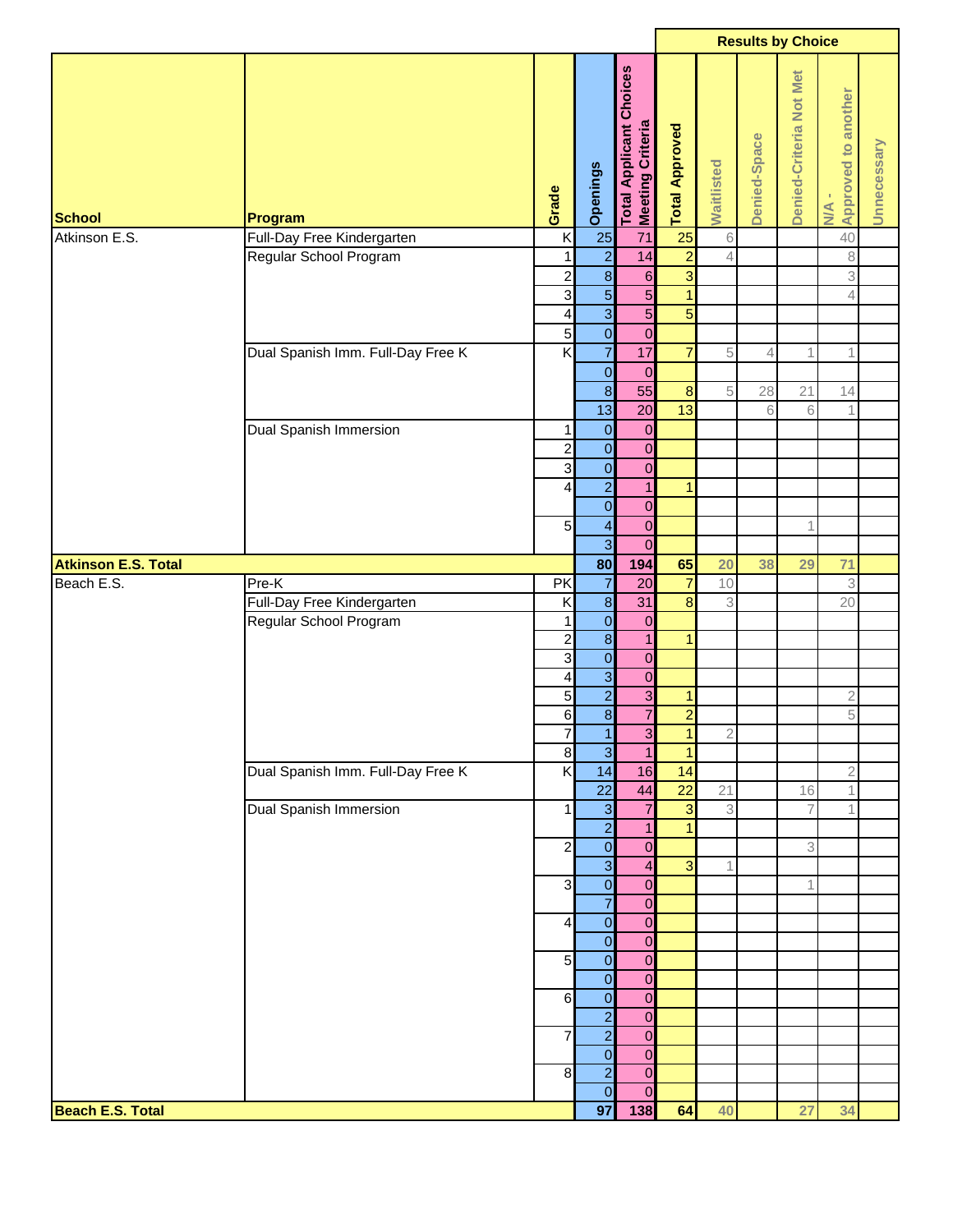|                            |                                   |                         |                                  |                                                  |                                |                           | <b>Results by Choice</b> |                         |                                    |             |
|----------------------------|-----------------------------------|-------------------------|----------------------------------|--------------------------------------------------|--------------------------------|---------------------------|--------------------------|-------------------------|------------------------------------|-------------|
| <b>School</b>              | Program                           | Grade                   | Openings                         | Choices<br>Total Applicant C<br>Meeting Criteria | <b>Total Approved</b>          | Waitlisted                | Denied-Space             | Denied-Criteria Not Met | Approved to another<br>$M_{\rm A}$ | Unnecessary |
| Atkinson E.S.              | Full-Day Free Kindergarten        | K                       | 25                               | 71                                               | 25                             | $\,6\,$                   |                          |                         | 40                                 |             |
|                            | Regular School Program            | $\mathbf{1}$            | $\overline{2}$                   | 14                                               | $\overline{2}$                 | 4                         |                          |                         | $\,8\,$                            |             |
|                            |                                   | $\overline{c}$          | $\infty$                         | $6 \overline{6}$                                 | $\overline{\omega}$            |                           |                          |                         | $\ensuremath{\mathsf{3}}$          |             |
|                            |                                   | 3                       | $\overline{5}$                   | $\overline{5}$                                   | $\mathbf{1}$                   |                           |                          |                         | $\overline{4}$                     |             |
|                            |                                   | $\overline{\mathbf{4}}$ | $\overline{3}$                   | $\overline{5}$                                   | $\overline{5}$                 |                           |                          |                         |                                    |             |
|                            |                                   | $\overline{5}$          | $\overline{0}$                   | $\pmb{0}$                                        |                                |                           |                          |                         |                                    |             |
|                            | Dual Spanish Imm. Full-Day Free K | $\overline{\mathsf{x}}$ | $\overline{7}$                   | 17                                               | $\overline{7}$                 | 5                         | 4                        | 1                       | 1                                  |             |
|                            |                                   |                         | $\overline{0}$                   | $\mathbf 0$                                      |                                |                           |                          |                         |                                    |             |
|                            |                                   |                         | $\infty$                         | 55                                               | $\boldsymbol{8}$               | $\,$ 5                    | 28                       | 21                      | 14                                 |             |
|                            |                                   |                         | 13                               | 20                                               | 13                             |                           | 6                        | 6                       | 1                                  |             |
|                            | Dual Spanish Immersion            | 1                       | $\mathbf 0$                      | $\boldsymbol{0}$                                 |                                |                           |                          |                         |                                    |             |
|                            |                                   | $\overline{c}$          | $\overline{0}$                   | $\mathbf 0$                                      |                                |                           |                          |                         |                                    |             |
|                            |                                   | $\mathbf{3}$            | $\overline{\mathbf{O}}$          | $\mathbf 0$                                      |                                |                           |                          |                         |                                    |             |
|                            |                                   | $\overline{\mathbf{r}}$ | $\overline{2}$                   | $\overline{1}$                                   | $\mathbf{1}$                   |                           |                          |                         |                                    |             |
|                            |                                   |                         | $\overline{\mathbf{O}}$          | $\pmb{0}$                                        |                                |                           |                          |                         |                                    |             |
|                            |                                   | 5 <sub>l</sub>          | $\overline{\mathbf{r}}$          | $\mathbf 0$                                      |                                |                           |                          | 1                       |                                    |             |
|                            |                                   |                         | $\overline{3}$                   | $\mathbf 0$                                      |                                |                           |                          |                         |                                    |             |
| <b>Atkinson E.S. Total</b> |                                   |                         | 80                               | 194                                              | 65                             | 20                        | 38                       | 29                      | 71                                 |             |
| Beach E.S.                 | Pre-K                             | PK                      | $\overline{7}$                   | 20                                               | $\overline{7}$                 | 10                        |                          |                         | 3                                  |             |
|                            | Full-Day Free Kindergarten        | K                       | $\overline{\mathbf{8}}$          | 31                                               | $\bf{8}$                       | 3                         |                          |                         | 20                                 |             |
|                            | Regular School Program            | 1                       | $\overline{\mathbf{0}}$          | $\boldsymbol{0}$                                 |                                |                           |                          |                         |                                    |             |
|                            |                                   | $\overline{c}$          | $\overline{\mathbf{8}}$          | $\overline{1}$                                   | $\mathbf{1}$                   |                           |                          |                         |                                    |             |
|                            |                                   | 3                       | $\overline{0}$                   | $\overline{0}$                                   |                                |                           |                          |                         |                                    |             |
|                            |                                   | $\overline{\mathbf{4}}$ | $\overline{3}$<br>$\overline{2}$ | $\overline{0}$<br>$\overline{3}$                 |                                |                           |                          |                         |                                    |             |
|                            |                                   | $\overline{5}$          | $\overline{8}$                   | $\overline{7}$                                   | $\mathbf{1}$<br>$\overline{2}$ |                           |                          |                         | $\mathbf 2$<br>5                   |             |
|                            |                                   | $6 \overline{6}$<br>7   | $\overline{1}$                   | $\overline{3}$                                   | $\overline{1}$                 | $\mathfrak 2$             |                          |                         |                                    |             |
|                            |                                   | $\infty$                | $\overline{3}$                   | $\overline{1}$                                   | $\mathbf{1}$                   |                           |                          |                         |                                    |             |
|                            | Dual Spanish Imm. Full-Day Free K | K                       | 14                               | 16                                               | 14                             |                           |                          |                         | $\overline{2}$                     |             |
|                            |                                   |                         | $\overline{22}$                  | 44                                               | $\overline{22}$                | 21                        |                          | 16                      | $\mathbf 1$                        |             |
|                            | Dual Spanish Immersion            | $\mathbf{1}$            | $\overline{3}$                   | $\overline{7}$                                   | 3                              | $\ensuremath{\mathbf{3}}$ |                          | 7                       | 1                                  |             |
|                            |                                   |                         | $\overline{2}$                   | $\mathbf{1}$                                     | $\mathbf{1}$                   |                           |                          |                         |                                    |             |
|                            |                                   | $\overline{\mathbf{c}}$ | $\overline{0}$                   | $\mathbf 0$                                      |                                |                           |                          | 3                       |                                    |             |
|                            |                                   |                         | $\overline{3}$                   | $\overline{4}$                                   | 3                              | 1                         |                          |                         |                                    |             |
|                            |                                   | 3                       | $\overline{0}$                   | $\mathbf 0$                                      |                                |                           |                          | 1                       |                                    |             |
|                            |                                   |                         | $\overline{7}$                   | $\mathbf 0$                                      |                                |                           |                          |                         |                                    |             |
|                            |                                   | $\vert$                 | $\overline{0}$                   | $\mathbf 0$                                      |                                |                           |                          |                         |                                    |             |
|                            |                                   |                         | $\overline{\mathbf{0}}$          | $\mathbf 0$                                      |                                |                           |                          |                         |                                    |             |
|                            |                                   | 5 <sub>l</sub>          | $\overline{0}$                   | $\pmb{0}$                                        |                                |                           |                          |                         |                                    |             |
|                            |                                   |                         | $\overline{0}$                   | $\pmb{0}$                                        |                                |                           |                          |                         |                                    |             |
|                            |                                   | 6                       | $\overline{0}$                   | $\mathbf 0$                                      |                                |                           |                          |                         |                                    |             |
|                            |                                   |                         | $\overline{2}$                   | $\boldsymbol{0}$                                 |                                |                           |                          |                         |                                    |             |
|                            |                                   | 7                       | $\overline{2}$                   | $\pmb{0}$                                        |                                |                           |                          |                         |                                    |             |
|                            |                                   |                         | $\overline{0}$                   | $\pmb{0}$                                        |                                |                           |                          |                         |                                    |             |
|                            |                                   | $\boldsymbol{8}$        | $\overline{2}$                   | $\mathbf 0$                                      |                                |                           |                          |                         |                                    |             |
|                            |                                   |                         | $\overline{0}$                   | $\mathbf 0$                                      |                                |                           |                          |                         |                                    |             |
| <b>Beach E.S. Total</b>    |                                   |                         | 97                               | 138                                              | 64                             | 40                        |                          | 27                      | 34                                 |             |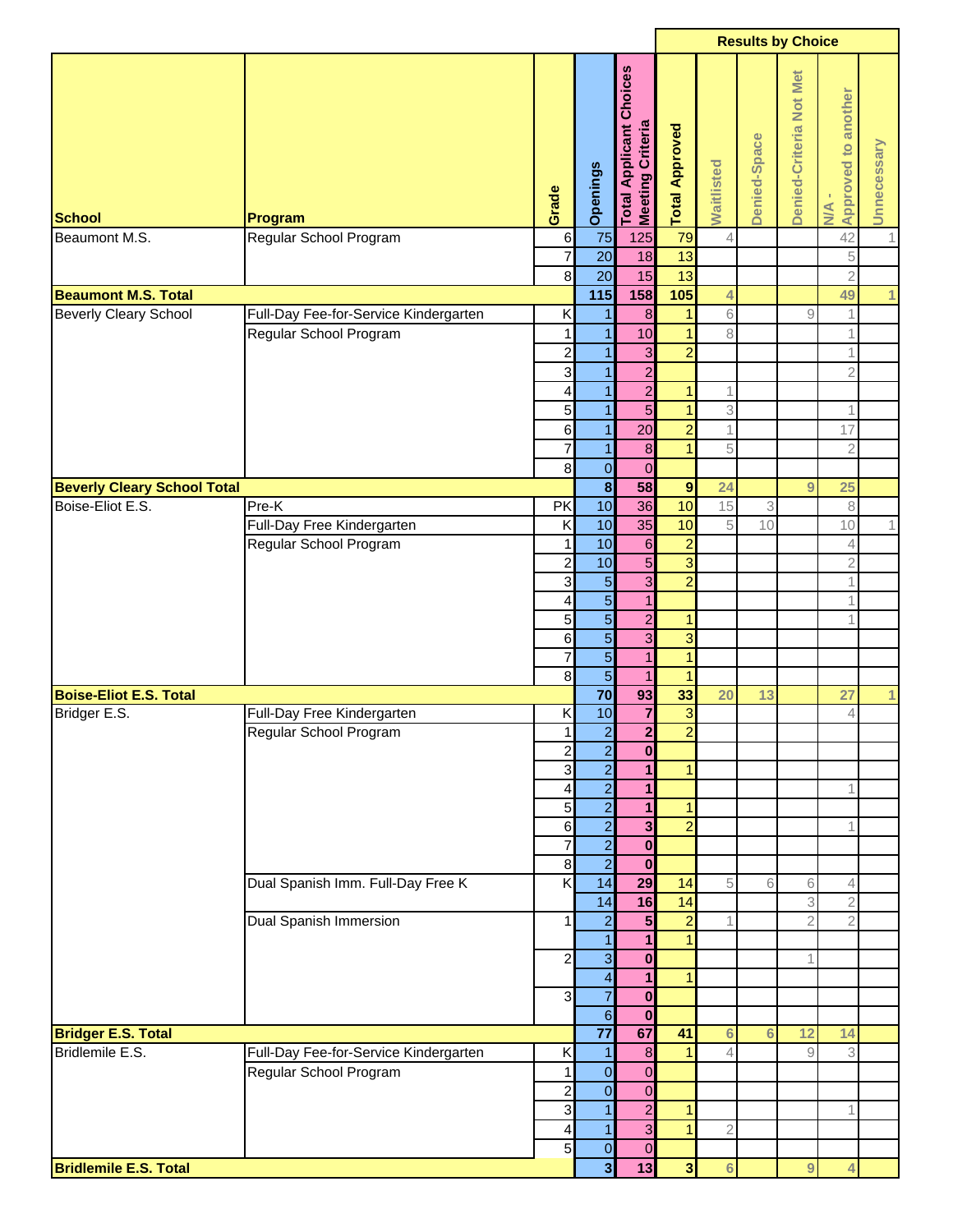|                                    |                                       |                          |                         |                                                         |                             |                              | <b>Results by Choice</b> |                         |                                         |                  |
|------------------------------------|---------------------------------------|--------------------------|-------------------------|---------------------------------------------------------|-----------------------------|------------------------------|--------------------------|-------------------------|-----------------------------------------|------------------|
| <b>School</b><br>Beaumont M.S.     | Program<br>Regular School Program     | Grade<br>$6\phantom{.}6$ | Openings<br>75          | Choices<br>Total Applicant (<br>Meeting Criteria<br>125 | <b>Total Approved</b><br>79 | Waitlisted<br>$\overline{4}$ | Denied-Space             | Denied-Criteria Not Met | Approved to another<br><b>N/A</b><br>42 | Unnecessary<br>1 |
|                                    |                                       | $\overline{\mathcal{I}}$ | 20                      | 18                                                      | 13                          |                              |                          |                         | $\overline{5}$                          |                  |
|                                    |                                       | $\bf{8}$                 | 20                      | 15                                                      | 13                          |                              |                          |                         | $\overline{2}$                          |                  |
| <b>Beaumont M.S. Total</b>         |                                       |                          | 115                     | 158                                                     | 105                         | 4                            |                          |                         | 49                                      | 1                |
| <b>Beverly Cleary School</b>       | Full-Day Fee-for-Service Kindergarten | Κ                        | 1                       | 8                                                       | $\mathbf{1}$                | 6                            |                          | 9                       | $\mathbf 1$                             |                  |
|                                    | Regular School Program                | 1                        | 1                       | 10                                                      | $\overline{1}$              | 8                            |                          |                         | $\mathbf 1$                             |                  |
|                                    |                                       | $\overline{\mathbf{c}}$  | 1                       | $\mathbf{3}$                                            | $\overline{a}$              |                              |                          |                         | $\mathbf 1$                             |                  |
|                                    |                                       | 3                        |                         | $\overline{a}$                                          |                             |                              |                          |                         | $\overline{2}$                          |                  |
|                                    |                                       | 4                        | 1                       | $\overline{2}$                                          | $\mathbf{1}$                |                              |                          |                         |                                         |                  |
|                                    |                                       | 5                        | 1                       | $\overline{5}$                                          | $\mathbf{1}$                | 3                            |                          |                         | $\mathbf 1$                             |                  |
|                                    |                                       | 6                        | 1                       | 20                                                      | $\overline{2}$              | 1                            |                          |                         | 17                                      |                  |
|                                    |                                       | $\overline{7}$           | 1                       | $\bf 8$                                                 | $\mathbf{1}$                | 5                            |                          |                         | $\overline{2}$                          |                  |
|                                    |                                       | 8                        | $\overline{O}$          |                                                         |                             |                              |                          |                         |                                         |                  |
|                                    |                                       |                          | $\overline{\mathbf{8}}$ | $\mathbf 0$                                             |                             |                              |                          |                         |                                         |                  |
| <b>Beverly Cleary School Total</b> |                                       |                          |                         | 58                                                      | $\boldsymbol{9}$            | 24                           |                          | 9                       | 25                                      |                  |
| Boise-Eliot E.S.                   | Pre-K                                 | PK                       | 10                      | 36                                                      | 10                          | 15                           | 3                        |                         | $\,8\,$                                 |                  |
|                                    | Full-Day Free Kindergarten            | K                        | 10                      | 35                                                      | 10                          | 5                            | 10                       |                         | 10                                      | 1                |
|                                    | Regular School Program                | 1                        | 10                      | $\,$ 6 $\,$                                             | $\overline{a}$              |                              |                          |                         | $\overline{4}$                          |                  |
|                                    |                                       | $\overline{\mathbf{c}}$  | 10                      | $\overline{5}$                                          | $\overline{3}$              |                              |                          |                         | $\overline{2}$                          |                  |
|                                    |                                       | 3                        | $\overline{5}$          | $\overline{\omega}$                                     | $\overline{a}$              |                              |                          |                         | $\mathbf 1$                             |                  |
|                                    |                                       | 4                        | $\overline{5}$          | $\overline{1}$                                          |                             |                              |                          |                         | $\mathbf{1}$                            |                  |
|                                    |                                       | 5                        | $\overline{5}$          | $\overline{2}$                                          | $\mathbf{1}$                |                              |                          |                         | 1                                       |                  |
|                                    |                                       | $\,$ 6                   | $\overline{5}$          | $\overline{3}$                                          | 3                           |                              |                          |                         |                                         |                  |
|                                    |                                       | $\overline{7}$           | $\overline{5}$          | $\overline{1}$                                          | $\overline{1}$              |                              |                          |                         |                                         |                  |
|                                    |                                       | 8                        | $\overline{5}$          | $\overline{1}$                                          | $\overline{1}$              |                              |                          |                         |                                         |                  |
| <b>Boise-Eliot E.S. Total</b>      |                                       |                          | 70                      | 93                                                      | 33                          | 20                           | 13                       |                         | 27                                      | 1                |
| Bridger E.S.                       |                                       |                          |                         | $\overline{7}$                                          | $\overline{\omega}$         |                              |                          |                         |                                         |                  |
|                                    | Full-Day Free Kindergarten            | Κ                        | 10                      |                                                         |                             |                              |                          |                         | $\overline{4}$                          |                  |
|                                    | Regular School Program                | 1                        | $\overline{2}$          | $\overline{\mathbf{2}}$                                 | $\overline{2}$              |                              |                          |                         |                                         |                  |
|                                    |                                       | $\overline{c}$           | $\overline{2}$          | $\boldsymbol{0}$                                        |                             |                              |                          |                         |                                         |                  |
|                                    |                                       | $\mathbf{3}$             | $\overline{2}$          | $\mathbf{1}$                                            | $\mathbf{1}$                |                              |                          |                         |                                         |                  |
|                                    |                                       | 4                        | $\overline{2}$          | $\mathbf{1}$                                            |                             |                              |                          |                         | 1                                       |                  |
|                                    |                                       | 5                        | $\overline{a}$          | $\mathbf{1}$                                            | $\mathbf{1}$                |                              |                          |                         |                                         |                  |
|                                    |                                       | 6                        | $\overline{2}$          | $\overline{\mathbf{3}}$                                 | $\overline{a}$              |                              |                          |                         | 1                                       |                  |
|                                    |                                       | $\overline{7}$           | $\overline{2}$          | $\mathbf 0$                                             |                             |                              |                          |                         |                                         |                  |
|                                    |                                       | $\bf{8}$                 | $\overline{a}$          | $\mathbf{0}$                                            |                             |                              |                          |                         |                                         |                  |
|                                    | Dual Spanish Imm. Full-Day Free K     | $\overline{\mathsf{x}}$  | 14                      | 29                                                      | 14                          | 5                            | 6                        | 6                       | $\overline{4}$                          |                  |
|                                    |                                       |                          | 14                      | 16                                                      | $\overline{14}$             |                              |                          | 3                       | $\sqrt{2}$                              |                  |
|                                    | Dual Spanish Immersion                | $\mathbf{1}$             | $\mathbf{2}$            | $5\overline{)}$                                         | $\overline{a}$              |                              |                          | $\overline{2}$          | $\overline{2}$                          |                  |
|                                    |                                       |                          | $\mathbf{1}$            | $\mathbf{1}$                                            | $\mathbf{1}$                |                              |                          |                         |                                         |                  |
|                                    |                                       | $\overline{c}$           | $\overline{3}$          | $\mathbf 0$                                             |                             |                              |                          |                         |                                         |                  |
|                                    |                                       |                          | $\overline{\mathbf{r}}$ | $\mathbf{1}$                                            | $\mathbf{1}$                |                              |                          |                         |                                         |                  |
|                                    |                                       | 3                        | $\overline{7}$          | $\mathbf 0$                                             |                             |                              |                          |                         |                                         |                  |
|                                    |                                       |                          | $6 \overline{6}$        |                                                         |                             |                              |                          |                         |                                         |                  |
|                                    |                                       |                          | $\overline{77}$         | $\bf{0}$<br>67                                          | 41                          |                              |                          | 12                      |                                         |                  |
| <b>Bridger E.S. Total</b>          |                                       |                          |                         |                                                         |                             | 6                            | 6                        |                         | 14                                      |                  |
| Bridlemile E.S.                    | Full-Day Fee-for-Service Kindergarten | Κ                        | 1                       | $\boldsymbol{8}$                                        | 1                           | 4                            |                          | 9                       | 3                                       |                  |
|                                    | Regular School Program                | 1                        | $\mathbf 0$             | $\mathbf 0$                                             |                             |                              |                          |                         |                                         |                  |
|                                    |                                       | $\overline{c}$           | $\mathbf 0$             | $\mathbf 0$                                             |                             |                              |                          |                         |                                         |                  |
|                                    |                                       | $\mathbf{3}$             | $\mathbf{1}$            | $\overline{2}$                                          | 1                           |                              |                          |                         |                                         |                  |
|                                    |                                       | $\overline{\mathbf{4}}$  | 1                       | $\overline{3}$                                          | $\overline{1}$              | $\mathbf{2}$                 |                          |                         |                                         |                  |
|                                    |                                       | 5 <sup>1</sup>           | $\mathbf 0$             | $\boldsymbol{0}$                                        |                             |                              |                          |                         |                                         |                  |
| <b>Bridlemile E.S. Total</b>       |                                       |                          | $\overline{\mathbf{3}}$ | 13                                                      | $\overline{\mathbf{3}}$     | $6 \,$                       |                          | 9                       | 4                                       |                  |
|                                    |                                       |                          |                         |                                                         |                             |                              |                          |                         |                                         |                  |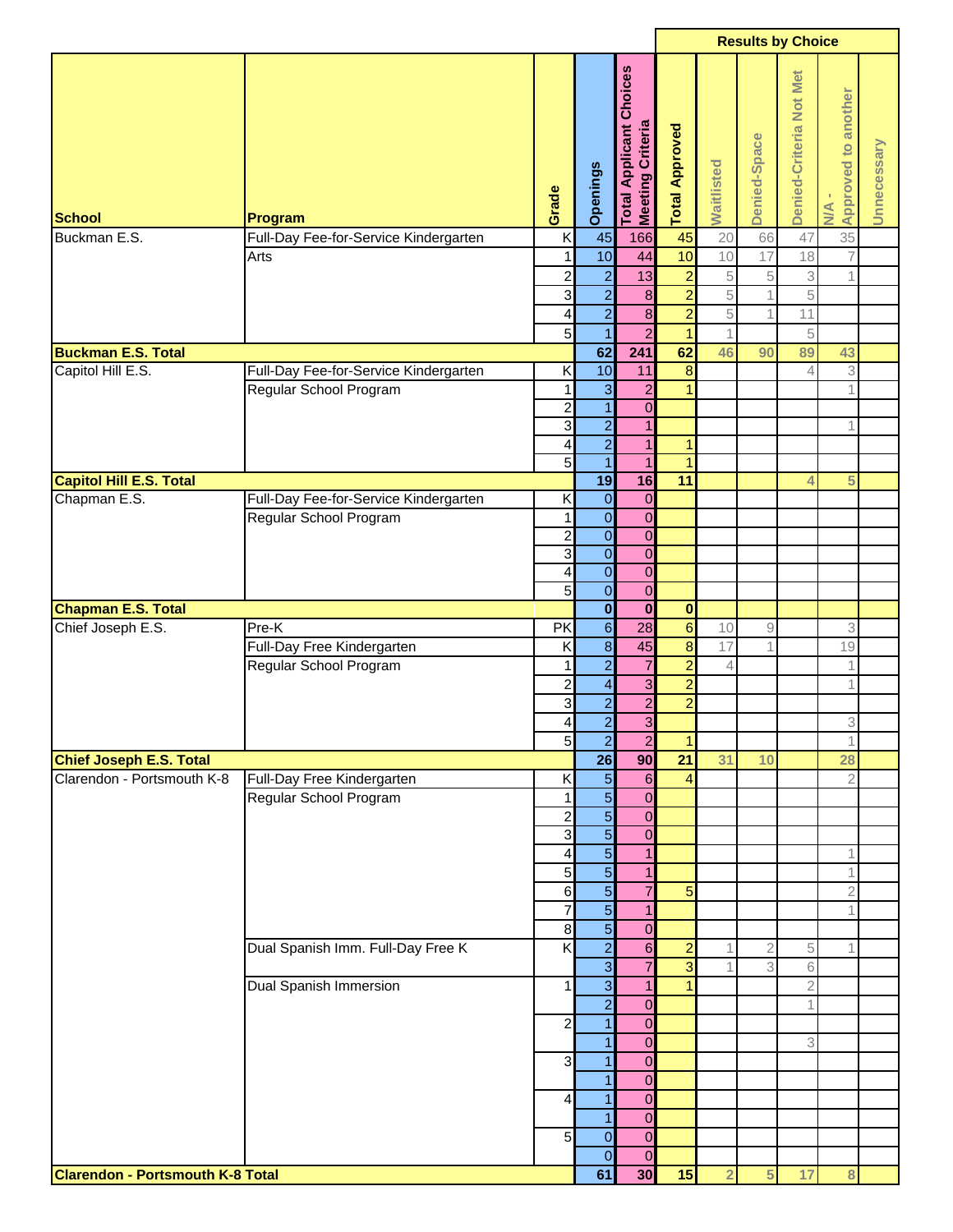| <b>Applicant Choices</b><br>Denied-Criteria Not Met<br>Approved to another<br>Total Applicant C<br>Meeting Criteria<br><b>Total Approved</b><br>Denied-Space<br>Unnecessary<br>Waitlisted<br>Openings<br>Grade<br>$M_{\rm A}$<br>Program<br>K<br>35<br>Buckman E.S.<br>45<br>166<br>45<br>20<br>47<br>Full-Day Fee-for-Service Kindergarten<br>66<br>10<br>10<br>44<br>17<br>18<br>1<br>10<br>$\overline{7}$<br>Arts<br>$\overline{a}$<br>$\overline{a}$<br>$\overline{\mathbf{c}}$<br>13<br>5<br>$\mathbf 1$<br>$\,$ 5<br>3<br>$\overline{2}$<br>$\overline{2}$<br>3<br>$\bf8$<br>5<br>5<br>$\overline{2}$<br>$\overline{2}$<br>$\bf8$<br>$\sqrt{5}$<br>11<br>4<br>$\overline{5}$<br>$\overline{2}$<br>$\mathbf{1}$<br>$\mathbf{1}$<br>5<br>62<br>241<br>62<br><b>Buckman E.S. Total</b><br>46<br>89<br>90<br>43<br>10<br>$\boldsymbol{8}$<br>3<br>Capitol Hill E.S.<br>Full-Day Fee-for-Service Kindergarten<br>Κ<br>11<br>4<br>$\mathbf{3}$<br>$\overline{a}$<br>$\mathbf{1}$<br>Regular School Program<br>$\mathbf 1$<br>$\mathbf 1$<br>$\overline{\mathbf{1}}$<br>$\overline{\mathbf{c}}$<br>$\mathbf 0$<br>$\overline{2}$<br>3<br>$\mathbf{1}$<br>1<br>$\overline{2}$<br>$\overline{\mathcal{L}}$<br>$\mathbf{1}$<br>$\mathbf{1}$<br>5<br>$\overline{1}$<br>$\overline{1}$<br>$\mathbf{1}$<br>19<br>16<br>11<br><b>Capitol Hill E.S. Total</b><br>5<br>4<br>Chapman E.S.<br>Full-Day Fee-for-Service Kindergarten<br>$\mathbf 0$<br>Κ<br>$\pmb{0}$<br>$\overline{\mathbf{O}}$<br>$\mathbf{0}$<br>Regular School Program<br>1<br>$\overline{\mathbf{0}}$<br>$\overline{2}$<br>$\overline{0}$<br>$\overline{0}$<br>ω<br>$\overline{0}$<br>$\overline{0}$<br>$\overline{0}$<br>4<br>$\overline{5}$<br>$\overline{0}$<br>$\overline{0}$<br>$\overline{\mathbf{0}}$<br><b>Chapman E.S. Total</b><br>$\mathbf 0$<br>$\bf{0}$<br>$\mathbf 6$<br>$6\phantom{a}$<br>Chief Joseph E.S.<br>Pre-K<br>PK<br>28<br>3<br>10<br>$\hbox{ }9$<br>$\overline{\mathbf{8}}$<br>$\infty$<br>Κ<br>45<br>Full-Day Free Kindergarten<br>17<br>19<br>1<br>$\overline{2}$<br>$\overline{2}$<br>$\overline{7}$<br>Regular School Program<br>1<br>1<br>$\Delta$<br>$\overline{2}$<br>$\overline{\mathbf{r}}$<br>3<br>$\overline{\mathbf{c}}$<br>1<br>$\overline{2}$<br>$\overline{2}$<br>$\overline{a}$<br>$\mathbf{3}$<br>$\overline{2}$<br>$\overline{3}$<br>$\overline{\mathbf{4}}$<br>3<br>5 <sub>5</sub><br>$\overline{2}$<br>$\mathbf{2}$<br>1<br>$\mathbf{1}$<br>26<br>90<br>21<br><b>Chief Joseph E.S. Total</b><br>31<br>28<br>10<br>$\overline{5}$<br>Clarendon - Portsmouth K-8<br>$6\phantom{.}$<br>Full-Day Free Kindergarten<br>Κ<br>4<br>$\overline{2}$<br>$\overline{5}$<br>Regular School Program<br>$\mathbf{0}$<br>1<br>$\overline{5}$<br>$\overline{c}$<br>$\overline{0}$<br>$\overline{5}$<br>3<br>$\overline{0}$<br>$\overline{5}$<br>$\mathbf{1}$<br>1<br>4<br>$\overline{5}$<br>5<br>$\mathbf{1}$<br>1<br>$\overline{5}$<br>$\overline{7}$<br>6<br>5<br>$\mathbf{2}$<br>$\overline{5}$<br>7<br>$\mathbf{1}$<br>1<br>$\overline{5}$<br>$\bf8$<br>$\overline{0}$<br>$\overline{a}$<br>K<br>Dual Spanish Imm. Full-Day Free K<br>$6\phantom{.}$<br>$\overline{a}$<br>2<br>5<br>1<br>$\overline{3}$<br>$\overline{7}$<br>3<br>3<br>6<br>$\overline{3}$<br><b>Dual Spanish Immersion</b><br>$\mathbf{1}$<br>$\overline{1}$<br>1<br>$\mathbf{2}$<br>$\overline{2}$<br>$\overline{0}$<br>$\overline{1}$<br>$\overline{a}$<br>$\overline{0}$<br>$\mathbf{1}$<br>3<br>$\overline{0}$<br>3<br>$\mathbf{1}$<br>$\overline{0}$<br>1<br>$\overline{0}$<br>$\mathbf{1}$<br>$\overline{0}$<br>$\overline{a}$<br>$\mathbf{1}$<br>$\overline{0}$<br>$\overline{0}$<br>$5\overline{)}$<br>$\overline{0}$<br>$\overline{0}$<br>$\overline{0}$<br>30<br>15<br><b>Clarendon - Portsmouth K-8 Total</b><br>61<br>$\overline{2}$<br>17<br>5<br>8 |               |  |  |  | <b>Results by Choice</b> |  |  |
|----------------------------------------------------------------------------------------------------------------------------------------------------------------------------------------------------------------------------------------------------------------------------------------------------------------------------------------------------------------------------------------------------------------------------------------------------------------------------------------------------------------------------------------------------------------------------------------------------------------------------------------------------------------------------------------------------------------------------------------------------------------------------------------------------------------------------------------------------------------------------------------------------------------------------------------------------------------------------------------------------------------------------------------------------------------------------------------------------------------------------------------------------------------------------------------------------------------------------------------------------------------------------------------------------------------------------------------------------------------------------------------------------------------------------------------------------------------------------------------------------------------------------------------------------------------------------------------------------------------------------------------------------------------------------------------------------------------------------------------------------------------------------------------------------------------------------------------------------------------------------------------------------------------------------------------------------------------------------------------------------------------------------------------------------------------------------------------------------------------------------------------------------------------------------------------------------------------------------------------------------------------------------------------------------------------------------------------------------------------------------------------------------------------------------------------------------------------------------------------------------------------------------------------------------------------------------------------------------------------------------------------------------------------------------------------------------------------------------------------------------------------------------------------------------------------------------------------------------------------------------------------------------------------------------------------------------------------------------------------------------------------------------------------------------------------------------------------------------------------------------------------------------------------------------------------------------------------------------------------------------------------------------------------------------------------------------------------------------------------------------------------------------------------------------------------------------------------------------------------------------------------------------------------------------------------------------------------------------------------------------------------------------------------------------------------------------------------------------------------------------------------------------------------------------------------------------|---------------|--|--|--|--------------------------|--|--|
|                                                                                                                                                                                                                                                                                                                                                                                                                                                                                                                                                                                                                                                                                                                                                                                                                                                                                                                                                                                                                                                                                                                                                                                                                                                                                                                                                                                                                                                                                                                                                                                                                                                                                                                                                                                                                                                                                                                                                                                                                                                                                                                                                                                                                                                                                                                                                                                                                                                                                                                                                                                                                                                                                                                                                                                                                                                                                                                                                                                                                                                                                                                                                                                                                                                                                                                                                                                                                                                                                                                                                                                                                                                                                                                                                                                                                            | <b>School</b> |  |  |  |                          |  |  |
|                                                                                                                                                                                                                                                                                                                                                                                                                                                                                                                                                                                                                                                                                                                                                                                                                                                                                                                                                                                                                                                                                                                                                                                                                                                                                                                                                                                                                                                                                                                                                                                                                                                                                                                                                                                                                                                                                                                                                                                                                                                                                                                                                                                                                                                                                                                                                                                                                                                                                                                                                                                                                                                                                                                                                                                                                                                                                                                                                                                                                                                                                                                                                                                                                                                                                                                                                                                                                                                                                                                                                                                                                                                                                                                                                                                                                            |               |  |  |  |                          |  |  |
|                                                                                                                                                                                                                                                                                                                                                                                                                                                                                                                                                                                                                                                                                                                                                                                                                                                                                                                                                                                                                                                                                                                                                                                                                                                                                                                                                                                                                                                                                                                                                                                                                                                                                                                                                                                                                                                                                                                                                                                                                                                                                                                                                                                                                                                                                                                                                                                                                                                                                                                                                                                                                                                                                                                                                                                                                                                                                                                                                                                                                                                                                                                                                                                                                                                                                                                                                                                                                                                                                                                                                                                                                                                                                                                                                                                                                            |               |  |  |  |                          |  |  |
|                                                                                                                                                                                                                                                                                                                                                                                                                                                                                                                                                                                                                                                                                                                                                                                                                                                                                                                                                                                                                                                                                                                                                                                                                                                                                                                                                                                                                                                                                                                                                                                                                                                                                                                                                                                                                                                                                                                                                                                                                                                                                                                                                                                                                                                                                                                                                                                                                                                                                                                                                                                                                                                                                                                                                                                                                                                                                                                                                                                                                                                                                                                                                                                                                                                                                                                                                                                                                                                                                                                                                                                                                                                                                                                                                                                                                            |               |  |  |  |                          |  |  |
|                                                                                                                                                                                                                                                                                                                                                                                                                                                                                                                                                                                                                                                                                                                                                                                                                                                                                                                                                                                                                                                                                                                                                                                                                                                                                                                                                                                                                                                                                                                                                                                                                                                                                                                                                                                                                                                                                                                                                                                                                                                                                                                                                                                                                                                                                                                                                                                                                                                                                                                                                                                                                                                                                                                                                                                                                                                                                                                                                                                                                                                                                                                                                                                                                                                                                                                                                                                                                                                                                                                                                                                                                                                                                                                                                                                                                            |               |  |  |  |                          |  |  |
|                                                                                                                                                                                                                                                                                                                                                                                                                                                                                                                                                                                                                                                                                                                                                                                                                                                                                                                                                                                                                                                                                                                                                                                                                                                                                                                                                                                                                                                                                                                                                                                                                                                                                                                                                                                                                                                                                                                                                                                                                                                                                                                                                                                                                                                                                                                                                                                                                                                                                                                                                                                                                                                                                                                                                                                                                                                                                                                                                                                                                                                                                                                                                                                                                                                                                                                                                                                                                                                                                                                                                                                                                                                                                                                                                                                                                            |               |  |  |  |                          |  |  |
|                                                                                                                                                                                                                                                                                                                                                                                                                                                                                                                                                                                                                                                                                                                                                                                                                                                                                                                                                                                                                                                                                                                                                                                                                                                                                                                                                                                                                                                                                                                                                                                                                                                                                                                                                                                                                                                                                                                                                                                                                                                                                                                                                                                                                                                                                                                                                                                                                                                                                                                                                                                                                                                                                                                                                                                                                                                                                                                                                                                                                                                                                                                                                                                                                                                                                                                                                                                                                                                                                                                                                                                                                                                                                                                                                                                                                            |               |  |  |  |                          |  |  |
|                                                                                                                                                                                                                                                                                                                                                                                                                                                                                                                                                                                                                                                                                                                                                                                                                                                                                                                                                                                                                                                                                                                                                                                                                                                                                                                                                                                                                                                                                                                                                                                                                                                                                                                                                                                                                                                                                                                                                                                                                                                                                                                                                                                                                                                                                                                                                                                                                                                                                                                                                                                                                                                                                                                                                                                                                                                                                                                                                                                                                                                                                                                                                                                                                                                                                                                                                                                                                                                                                                                                                                                                                                                                                                                                                                                                                            |               |  |  |  |                          |  |  |
|                                                                                                                                                                                                                                                                                                                                                                                                                                                                                                                                                                                                                                                                                                                                                                                                                                                                                                                                                                                                                                                                                                                                                                                                                                                                                                                                                                                                                                                                                                                                                                                                                                                                                                                                                                                                                                                                                                                                                                                                                                                                                                                                                                                                                                                                                                                                                                                                                                                                                                                                                                                                                                                                                                                                                                                                                                                                                                                                                                                                                                                                                                                                                                                                                                                                                                                                                                                                                                                                                                                                                                                                                                                                                                                                                                                                                            |               |  |  |  |                          |  |  |
|                                                                                                                                                                                                                                                                                                                                                                                                                                                                                                                                                                                                                                                                                                                                                                                                                                                                                                                                                                                                                                                                                                                                                                                                                                                                                                                                                                                                                                                                                                                                                                                                                                                                                                                                                                                                                                                                                                                                                                                                                                                                                                                                                                                                                                                                                                                                                                                                                                                                                                                                                                                                                                                                                                                                                                                                                                                                                                                                                                                                                                                                                                                                                                                                                                                                                                                                                                                                                                                                                                                                                                                                                                                                                                                                                                                                                            |               |  |  |  |                          |  |  |
|                                                                                                                                                                                                                                                                                                                                                                                                                                                                                                                                                                                                                                                                                                                                                                                                                                                                                                                                                                                                                                                                                                                                                                                                                                                                                                                                                                                                                                                                                                                                                                                                                                                                                                                                                                                                                                                                                                                                                                                                                                                                                                                                                                                                                                                                                                                                                                                                                                                                                                                                                                                                                                                                                                                                                                                                                                                                                                                                                                                                                                                                                                                                                                                                                                                                                                                                                                                                                                                                                                                                                                                                                                                                                                                                                                                                                            |               |  |  |  |                          |  |  |
|                                                                                                                                                                                                                                                                                                                                                                                                                                                                                                                                                                                                                                                                                                                                                                                                                                                                                                                                                                                                                                                                                                                                                                                                                                                                                                                                                                                                                                                                                                                                                                                                                                                                                                                                                                                                                                                                                                                                                                                                                                                                                                                                                                                                                                                                                                                                                                                                                                                                                                                                                                                                                                                                                                                                                                                                                                                                                                                                                                                                                                                                                                                                                                                                                                                                                                                                                                                                                                                                                                                                                                                                                                                                                                                                                                                                                            |               |  |  |  |                          |  |  |
|                                                                                                                                                                                                                                                                                                                                                                                                                                                                                                                                                                                                                                                                                                                                                                                                                                                                                                                                                                                                                                                                                                                                                                                                                                                                                                                                                                                                                                                                                                                                                                                                                                                                                                                                                                                                                                                                                                                                                                                                                                                                                                                                                                                                                                                                                                                                                                                                                                                                                                                                                                                                                                                                                                                                                                                                                                                                                                                                                                                                                                                                                                                                                                                                                                                                                                                                                                                                                                                                                                                                                                                                                                                                                                                                                                                                                            |               |  |  |  |                          |  |  |
|                                                                                                                                                                                                                                                                                                                                                                                                                                                                                                                                                                                                                                                                                                                                                                                                                                                                                                                                                                                                                                                                                                                                                                                                                                                                                                                                                                                                                                                                                                                                                                                                                                                                                                                                                                                                                                                                                                                                                                                                                                                                                                                                                                                                                                                                                                                                                                                                                                                                                                                                                                                                                                                                                                                                                                                                                                                                                                                                                                                                                                                                                                                                                                                                                                                                                                                                                                                                                                                                                                                                                                                                                                                                                                                                                                                                                            |               |  |  |  |                          |  |  |
|                                                                                                                                                                                                                                                                                                                                                                                                                                                                                                                                                                                                                                                                                                                                                                                                                                                                                                                                                                                                                                                                                                                                                                                                                                                                                                                                                                                                                                                                                                                                                                                                                                                                                                                                                                                                                                                                                                                                                                                                                                                                                                                                                                                                                                                                                                                                                                                                                                                                                                                                                                                                                                                                                                                                                                                                                                                                                                                                                                                                                                                                                                                                                                                                                                                                                                                                                                                                                                                                                                                                                                                                                                                                                                                                                                                                                            |               |  |  |  |                          |  |  |
|                                                                                                                                                                                                                                                                                                                                                                                                                                                                                                                                                                                                                                                                                                                                                                                                                                                                                                                                                                                                                                                                                                                                                                                                                                                                                                                                                                                                                                                                                                                                                                                                                                                                                                                                                                                                                                                                                                                                                                                                                                                                                                                                                                                                                                                                                                                                                                                                                                                                                                                                                                                                                                                                                                                                                                                                                                                                                                                                                                                                                                                                                                                                                                                                                                                                                                                                                                                                                                                                                                                                                                                                                                                                                                                                                                                                                            |               |  |  |  |                          |  |  |
|                                                                                                                                                                                                                                                                                                                                                                                                                                                                                                                                                                                                                                                                                                                                                                                                                                                                                                                                                                                                                                                                                                                                                                                                                                                                                                                                                                                                                                                                                                                                                                                                                                                                                                                                                                                                                                                                                                                                                                                                                                                                                                                                                                                                                                                                                                                                                                                                                                                                                                                                                                                                                                                                                                                                                                                                                                                                                                                                                                                                                                                                                                                                                                                                                                                                                                                                                                                                                                                                                                                                                                                                                                                                                                                                                                                                                            |               |  |  |  |                          |  |  |
|                                                                                                                                                                                                                                                                                                                                                                                                                                                                                                                                                                                                                                                                                                                                                                                                                                                                                                                                                                                                                                                                                                                                                                                                                                                                                                                                                                                                                                                                                                                                                                                                                                                                                                                                                                                                                                                                                                                                                                                                                                                                                                                                                                                                                                                                                                                                                                                                                                                                                                                                                                                                                                                                                                                                                                                                                                                                                                                                                                                                                                                                                                                                                                                                                                                                                                                                                                                                                                                                                                                                                                                                                                                                                                                                                                                                                            |               |  |  |  |                          |  |  |
|                                                                                                                                                                                                                                                                                                                                                                                                                                                                                                                                                                                                                                                                                                                                                                                                                                                                                                                                                                                                                                                                                                                                                                                                                                                                                                                                                                                                                                                                                                                                                                                                                                                                                                                                                                                                                                                                                                                                                                                                                                                                                                                                                                                                                                                                                                                                                                                                                                                                                                                                                                                                                                                                                                                                                                                                                                                                                                                                                                                                                                                                                                                                                                                                                                                                                                                                                                                                                                                                                                                                                                                                                                                                                                                                                                                                                            |               |  |  |  |                          |  |  |
|                                                                                                                                                                                                                                                                                                                                                                                                                                                                                                                                                                                                                                                                                                                                                                                                                                                                                                                                                                                                                                                                                                                                                                                                                                                                                                                                                                                                                                                                                                                                                                                                                                                                                                                                                                                                                                                                                                                                                                                                                                                                                                                                                                                                                                                                                                                                                                                                                                                                                                                                                                                                                                                                                                                                                                                                                                                                                                                                                                                                                                                                                                                                                                                                                                                                                                                                                                                                                                                                                                                                                                                                                                                                                                                                                                                                                            |               |  |  |  |                          |  |  |
|                                                                                                                                                                                                                                                                                                                                                                                                                                                                                                                                                                                                                                                                                                                                                                                                                                                                                                                                                                                                                                                                                                                                                                                                                                                                                                                                                                                                                                                                                                                                                                                                                                                                                                                                                                                                                                                                                                                                                                                                                                                                                                                                                                                                                                                                                                                                                                                                                                                                                                                                                                                                                                                                                                                                                                                                                                                                                                                                                                                                                                                                                                                                                                                                                                                                                                                                                                                                                                                                                                                                                                                                                                                                                                                                                                                                                            |               |  |  |  |                          |  |  |
|                                                                                                                                                                                                                                                                                                                                                                                                                                                                                                                                                                                                                                                                                                                                                                                                                                                                                                                                                                                                                                                                                                                                                                                                                                                                                                                                                                                                                                                                                                                                                                                                                                                                                                                                                                                                                                                                                                                                                                                                                                                                                                                                                                                                                                                                                                                                                                                                                                                                                                                                                                                                                                                                                                                                                                                                                                                                                                                                                                                                                                                                                                                                                                                                                                                                                                                                                                                                                                                                                                                                                                                                                                                                                                                                                                                                                            |               |  |  |  |                          |  |  |
|                                                                                                                                                                                                                                                                                                                                                                                                                                                                                                                                                                                                                                                                                                                                                                                                                                                                                                                                                                                                                                                                                                                                                                                                                                                                                                                                                                                                                                                                                                                                                                                                                                                                                                                                                                                                                                                                                                                                                                                                                                                                                                                                                                                                                                                                                                                                                                                                                                                                                                                                                                                                                                                                                                                                                                                                                                                                                                                                                                                                                                                                                                                                                                                                                                                                                                                                                                                                                                                                                                                                                                                                                                                                                                                                                                                                                            |               |  |  |  |                          |  |  |
|                                                                                                                                                                                                                                                                                                                                                                                                                                                                                                                                                                                                                                                                                                                                                                                                                                                                                                                                                                                                                                                                                                                                                                                                                                                                                                                                                                                                                                                                                                                                                                                                                                                                                                                                                                                                                                                                                                                                                                                                                                                                                                                                                                                                                                                                                                                                                                                                                                                                                                                                                                                                                                                                                                                                                                                                                                                                                                                                                                                                                                                                                                                                                                                                                                                                                                                                                                                                                                                                                                                                                                                                                                                                                                                                                                                                                            |               |  |  |  |                          |  |  |
|                                                                                                                                                                                                                                                                                                                                                                                                                                                                                                                                                                                                                                                                                                                                                                                                                                                                                                                                                                                                                                                                                                                                                                                                                                                                                                                                                                                                                                                                                                                                                                                                                                                                                                                                                                                                                                                                                                                                                                                                                                                                                                                                                                                                                                                                                                                                                                                                                                                                                                                                                                                                                                                                                                                                                                                                                                                                                                                                                                                                                                                                                                                                                                                                                                                                                                                                                                                                                                                                                                                                                                                                                                                                                                                                                                                                                            |               |  |  |  |                          |  |  |
|                                                                                                                                                                                                                                                                                                                                                                                                                                                                                                                                                                                                                                                                                                                                                                                                                                                                                                                                                                                                                                                                                                                                                                                                                                                                                                                                                                                                                                                                                                                                                                                                                                                                                                                                                                                                                                                                                                                                                                                                                                                                                                                                                                                                                                                                                                                                                                                                                                                                                                                                                                                                                                                                                                                                                                                                                                                                                                                                                                                                                                                                                                                                                                                                                                                                                                                                                                                                                                                                                                                                                                                                                                                                                                                                                                                                                            |               |  |  |  |                          |  |  |
|                                                                                                                                                                                                                                                                                                                                                                                                                                                                                                                                                                                                                                                                                                                                                                                                                                                                                                                                                                                                                                                                                                                                                                                                                                                                                                                                                                                                                                                                                                                                                                                                                                                                                                                                                                                                                                                                                                                                                                                                                                                                                                                                                                                                                                                                                                                                                                                                                                                                                                                                                                                                                                                                                                                                                                                                                                                                                                                                                                                                                                                                                                                                                                                                                                                                                                                                                                                                                                                                                                                                                                                                                                                                                                                                                                                                                            |               |  |  |  |                          |  |  |
|                                                                                                                                                                                                                                                                                                                                                                                                                                                                                                                                                                                                                                                                                                                                                                                                                                                                                                                                                                                                                                                                                                                                                                                                                                                                                                                                                                                                                                                                                                                                                                                                                                                                                                                                                                                                                                                                                                                                                                                                                                                                                                                                                                                                                                                                                                                                                                                                                                                                                                                                                                                                                                                                                                                                                                                                                                                                                                                                                                                                                                                                                                                                                                                                                                                                                                                                                                                                                                                                                                                                                                                                                                                                                                                                                                                                                            |               |  |  |  |                          |  |  |
|                                                                                                                                                                                                                                                                                                                                                                                                                                                                                                                                                                                                                                                                                                                                                                                                                                                                                                                                                                                                                                                                                                                                                                                                                                                                                                                                                                                                                                                                                                                                                                                                                                                                                                                                                                                                                                                                                                                                                                                                                                                                                                                                                                                                                                                                                                                                                                                                                                                                                                                                                                                                                                                                                                                                                                                                                                                                                                                                                                                                                                                                                                                                                                                                                                                                                                                                                                                                                                                                                                                                                                                                                                                                                                                                                                                                                            |               |  |  |  |                          |  |  |
|                                                                                                                                                                                                                                                                                                                                                                                                                                                                                                                                                                                                                                                                                                                                                                                                                                                                                                                                                                                                                                                                                                                                                                                                                                                                                                                                                                                                                                                                                                                                                                                                                                                                                                                                                                                                                                                                                                                                                                                                                                                                                                                                                                                                                                                                                                                                                                                                                                                                                                                                                                                                                                                                                                                                                                                                                                                                                                                                                                                                                                                                                                                                                                                                                                                                                                                                                                                                                                                                                                                                                                                                                                                                                                                                                                                                                            |               |  |  |  |                          |  |  |
|                                                                                                                                                                                                                                                                                                                                                                                                                                                                                                                                                                                                                                                                                                                                                                                                                                                                                                                                                                                                                                                                                                                                                                                                                                                                                                                                                                                                                                                                                                                                                                                                                                                                                                                                                                                                                                                                                                                                                                                                                                                                                                                                                                                                                                                                                                                                                                                                                                                                                                                                                                                                                                                                                                                                                                                                                                                                                                                                                                                                                                                                                                                                                                                                                                                                                                                                                                                                                                                                                                                                                                                                                                                                                                                                                                                                                            |               |  |  |  |                          |  |  |
|                                                                                                                                                                                                                                                                                                                                                                                                                                                                                                                                                                                                                                                                                                                                                                                                                                                                                                                                                                                                                                                                                                                                                                                                                                                                                                                                                                                                                                                                                                                                                                                                                                                                                                                                                                                                                                                                                                                                                                                                                                                                                                                                                                                                                                                                                                                                                                                                                                                                                                                                                                                                                                                                                                                                                                                                                                                                                                                                                                                                                                                                                                                                                                                                                                                                                                                                                                                                                                                                                                                                                                                                                                                                                                                                                                                                                            |               |  |  |  |                          |  |  |
|                                                                                                                                                                                                                                                                                                                                                                                                                                                                                                                                                                                                                                                                                                                                                                                                                                                                                                                                                                                                                                                                                                                                                                                                                                                                                                                                                                                                                                                                                                                                                                                                                                                                                                                                                                                                                                                                                                                                                                                                                                                                                                                                                                                                                                                                                                                                                                                                                                                                                                                                                                                                                                                                                                                                                                                                                                                                                                                                                                                                                                                                                                                                                                                                                                                                                                                                                                                                                                                                                                                                                                                                                                                                                                                                                                                                                            |               |  |  |  |                          |  |  |
|                                                                                                                                                                                                                                                                                                                                                                                                                                                                                                                                                                                                                                                                                                                                                                                                                                                                                                                                                                                                                                                                                                                                                                                                                                                                                                                                                                                                                                                                                                                                                                                                                                                                                                                                                                                                                                                                                                                                                                                                                                                                                                                                                                                                                                                                                                                                                                                                                                                                                                                                                                                                                                                                                                                                                                                                                                                                                                                                                                                                                                                                                                                                                                                                                                                                                                                                                                                                                                                                                                                                                                                                                                                                                                                                                                                                                            |               |  |  |  |                          |  |  |
|                                                                                                                                                                                                                                                                                                                                                                                                                                                                                                                                                                                                                                                                                                                                                                                                                                                                                                                                                                                                                                                                                                                                                                                                                                                                                                                                                                                                                                                                                                                                                                                                                                                                                                                                                                                                                                                                                                                                                                                                                                                                                                                                                                                                                                                                                                                                                                                                                                                                                                                                                                                                                                                                                                                                                                                                                                                                                                                                                                                                                                                                                                                                                                                                                                                                                                                                                                                                                                                                                                                                                                                                                                                                                                                                                                                                                            |               |  |  |  |                          |  |  |
|                                                                                                                                                                                                                                                                                                                                                                                                                                                                                                                                                                                                                                                                                                                                                                                                                                                                                                                                                                                                                                                                                                                                                                                                                                                                                                                                                                                                                                                                                                                                                                                                                                                                                                                                                                                                                                                                                                                                                                                                                                                                                                                                                                                                                                                                                                                                                                                                                                                                                                                                                                                                                                                                                                                                                                                                                                                                                                                                                                                                                                                                                                                                                                                                                                                                                                                                                                                                                                                                                                                                                                                                                                                                                                                                                                                                                            |               |  |  |  |                          |  |  |
|                                                                                                                                                                                                                                                                                                                                                                                                                                                                                                                                                                                                                                                                                                                                                                                                                                                                                                                                                                                                                                                                                                                                                                                                                                                                                                                                                                                                                                                                                                                                                                                                                                                                                                                                                                                                                                                                                                                                                                                                                                                                                                                                                                                                                                                                                                                                                                                                                                                                                                                                                                                                                                                                                                                                                                                                                                                                                                                                                                                                                                                                                                                                                                                                                                                                                                                                                                                                                                                                                                                                                                                                                                                                                                                                                                                                                            |               |  |  |  |                          |  |  |
|                                                                                                                                                                                                                                                                                                                                                                                                                                                                                                                                                                                                                                                                                                                                                                                                                                                                                                                                                                                                                                                                                                                                                                                                                                                                                                                                                                                                                                                                                                                                                                                                                                                                                                                                                                                                                                                                                                                                                                                                                                                                                                                                                                                                                                                                                                                                                                                                                                                                                                                                                                                                                                                                                                                                                                                                                                                                                                                                                                                                                                                                                                                                                                                                                                                                                                                                                                                                                                                                                                                                                                                                                                                                                                                                                                                                                            |               |  |  |  |                          |  |  |
|                                                                                                                                                                                                                                                                                                                                                                                                                                                                                                                                                                                                                                                                                                                                                                                                                                                                                                                                                                                                                                                                                                                                                                                                                                                                                                                                                                                                                                                                                                                                                                                                                                                                                                                                                                                                                                                                                                                                                                                                                                                                                                                                                                                                                                                                                                                                                                                                                                                                                                                                                                                                                                                                                                                                                                                                                                                                                                                                                                                                                                                                                                                                                                                                                                                                                                                                                                                                                                                                                                                                                                                                                                                                                                                                                                                                                            |               |  |  |  |                          |  |  |
|                                                                                                                                                                                                                                                                                                                                                                                                                                                                                                                                                                                                                                                                                                                                                                                                                                                                                                                                                                                                                                                                                                                                                                                                                                                                                                                                                                                                                                                                                                                                                                                                                                                                                                                                                                                                                                                                                                                                                                                                                                                                                                                                                                                                                                                                                                                                                                                                                                                                                                                                                                                                                                                                                                                                                                                                                                                                                                                                                                                                                                                                                                                                                                                                                                                                                                                                                                                                                                                                                                                                                                                                                                                                                                                                                                                                                            |               |  |  |  |                          |  |  |
|                                                                                                                                                                                                                                                                                                                                                                                                                                                                                                                                                                                                                                                                                                                                                                                                                                                                                                                                                                                                                                                                                                                                                                                                                                                                                                                                                                                                                                                                                                                                                                                                                                                                                                                                                                                                                                                                                                                                                                                                                                                                                                                                                                                                                                                                                                                                                                                                                                                                                                                                                                                                                                                                                                                                                                                                                                                                                                                                                                                                                                                                                                                                                                                                                                                                                                                                                                                                                                                                                                                                                                                                                                                                                                                                                                                                                            |               |  |  |  |                          |  |  |
|                                                                                                                                                                                                                                                                                                                                                                                                                                                                                                                                                                                                                                                                                                                                                                                                                                                                                                                                                                                                                                                                                                                                                                                                                                                                                                                                                                                                                                                                                                                                                                                                                                                                                                                                                                                                                                                                                                                                                                                                                                                                                                                                                                                                                                                                                                                                                                                                                                                                                                                                                                                                                                                                                                                                                                                                                                                                                                                                                                                                                                                                                                                                                                                                                                                                                                                                                                                                                                                                                                                                                                                                                                                                                                                                                                                                                            |               |  |  |  |                          |  |  |
|                                                                                                                                                                                                                                                                                                                                                                                                                                                                                                                                                                                                                                                                                                                                                                                                                                                                                                                                                                                                                                                                                                                                                                                                                                                                                                                                                                                                                                                                                                                                                                                                                                                                                                                                                                                                                                                                                                                                                                                                                                                                                                                                                                                                                                                                                                                                                                                                                                                                                                                                                                                                                                                                                                                                                                                                                                                                                                                                                                                                                                                                                                                                                                                                                                                                                                                                                                                                                                                                                                                                                                                                                                                                                                                                                                                                                            |               |  |  |  |                          |  |  |
|                                                                                                                                                                                                                                                                                                                                                                                                                                                                                                                                                                                                                                                                                                                                                                                                                                                                                                                                                                                                                                                                                                                                                                                                                                                                                                                                                                                                                                                                                                                                                                                                                                                                                                                                                                                                                                                                                                                                                                                                                                                                                                                                                                                                                                                                                                                                                                                                                                                                                                                                                                                                                                                                                                                                                                                                                                                                                                                                                                                                                                                                                                                                                                                                                                                                                                                                                                                                                                                                                                                                                                                                                                                                                                                                                                                                                            |               |  |  |  |                          |  |  |
|                                                                                                                                                                                                                                                                                                                                                                                                                                                                                                                                                                                                                                                                                                                                                                                                                                                                                                                                                                                                                                                                                                                                                                                                                                                                                                                                                                                                                                                                                                                                                                                                                                                                                                                                                                                                                                                                                                                                                                                                                                                                                                                                                                                                                                                                                                                                                                                                                                                                                                                                                                                                                                                                                                                                                                                                                                                                                                                                                                                                                                                                                                                                                                                                                                                                                                                                                                                                                                                                                                                                                                                                                                                                                                                                                                                                                            |               |  |  |  |                          |  |  |
|                                                                                                                                                                                                                                                                                                                                                                                                                                                                                                                                                                                                                                                                                                                                                                                                                                                                                                                                                                                                                                                                                                                                                                                                                                                                                                                                                                                                                                                                                                                                                                                                                                                                                                                                                                                                                                                                                                                                                                                                                                                                                                                                                                                                                                                                                                                                                                                                                                                                                                                                                                                                                                                                                                                                                                                                                                                                                                                                                                                                                                                                                                                                                                                                                                                                                                                                                                                                                                                                                                                                                                                                                                                                                                                                                                                                                            |               |  |  |  |                          |  |  |
|                                                                                                                                                                                                                                                                                                                                                                                                                                                                                                                                                                                                                                                                                                                                                                                                                                                                                                                                                                                                                                                                                                                                                                                                                                                                                                                                                                                                                                                                                                                                                                                                                                                                                                                                                                                                                                                                                                                                                                                                                                                                                                                                                                                                                                                                                                                                                                                                                                                                                                                                                                                                                                                                                                                                                                                                                                                                                                                                                                                                                                                                                                                                                                                                                                                                                                                                                                                                                                                                                                                                                                                                                                                                                                                                                                                                                            |               |  |  |  |                          |  |  |
|                                                                                                                                                                                                                                                                                                                                                                                                                                                                                                                                                                                                                                                                                                                                                                                                                                                                                                                                                                                                                                                                                                                                                                                                                                                                                                                                                                                                                                                                                                                                                                                                                                                                                                                                                                                                                                                                                                                                                                                                                                                                                                                                                                                                                                                                                                                                                                                                                                                                                                                                                                                                                                                                                                                                                                                                                                                                                                                                                                                                                                                                                                                                                                                                                                                                                                                                                                                                                                                                                                                                                                                                                                                                                                                                                                                                                            |               |  |  |  |                          |  |  |
|                                                                                                                                                                                                                                                                                                                                                                                                                                                                                                                                                                                                                                                                                                                                                                                                                                                                                                                                                                                                                                                                                                                                                                                                                                                                                                                                                                                                                                                                                                                                                                                                                                                                                                                                                                                                                                                                                                                                                                                                                                                                                                                                                                                                                                                                                                                                                                                                                                                                                                                                                                                                                                                                                                                                                                                                                                                                                                                                                                                                                                                                                                                                                                                                                                                                                                                                                                                                                                                                                                                                                                                                                                                                                                                                                                                                                            |               |  |  |  |                          |  |  |
|                                                                                                                                                                                                                                                                                                                                                                                                                                                                                                                                                                                                                                                                                                                                                                                                                                                                                                                                                                                                                                                                                                                                                                                                                                                                                                                                                                                                                                                                                                                                                                                                                                                                                                                                                                                                                                                                                                                                                                                                                                                                                                                                                                                                                                                                                                                                                                                                                                                                                                                                                                                                                                                                                                                                                                                                                                                                                                                                                                                                                                                                                                                                                                                                                                                                                                                                                                                                                                                                                                                                                                                                                                                                                                                                                                                                                            |               |  |  |  |                          |  |  |
|                                                                                                                                                                                                                                                                                                                                                                                                                                                                                                                                                                                                                                                                                                                                                                                                                                                                                                                                                                                                                                                                                                                                                                                                                                                                                                                                                                                                                                                                                                                                                                                                                                                                                                                                                                                                                                                                                                                                                                                                                                                                                                                                                                                                                                                                                                                                                                                                                                                                                                                                                                                                                                                                                                                                                                                                                                                                                                                                                                                                                                                                                                                                                                                                                                                                                                                                                                                                                                                                                                                                                                                                                                                                                                                                                                                                                            |               |  |  |  |                          |  |  |
|                                                                                                                                                                                                                                                                                                                                                                                                                                                                                                                                                                                                                                                                                                                                                                                                                                                                                                                                                                                                                                                                                                                                                                                                                                                                                                                                                                                                                                                                                                                                                                                                                                                                                                                                                                                                                                                                                                                                                                                                                                                                                                                                                                                                                                                                                                                                                                                                                                                                                                                                                                                                                                                                                                                                                                                                                                                                                                                                                                                                                                                                                                                                                                                                                                                                                                                                                                                                                                                                                                                                                                                                                                                                                                                                                                                                                            |               |  |  |  |                          |  |  |
|                                                                                                                                                                                                                                                                                                                                                                                                                                                                                                                                                                                                                                                                                                                                                                                                                                                                                                                                                                                                                                                                                                                                                                                                                                                                                                                                                                                                                                                                                                                                                                                                                                                                                                                                                                                                                                                                                                                                                                                                                                                                                                                                                                                                                                                                                                                                                                                                                                                                                                                                                                                                                                                                                                                                                                                                                                                                                                                                                                                                                                                                                                                                                                                                                                                                                                                                                                                                                                                                                                                                                                                                                                                                                                                                                                                                                            |               |  |  |  |                          |  |  |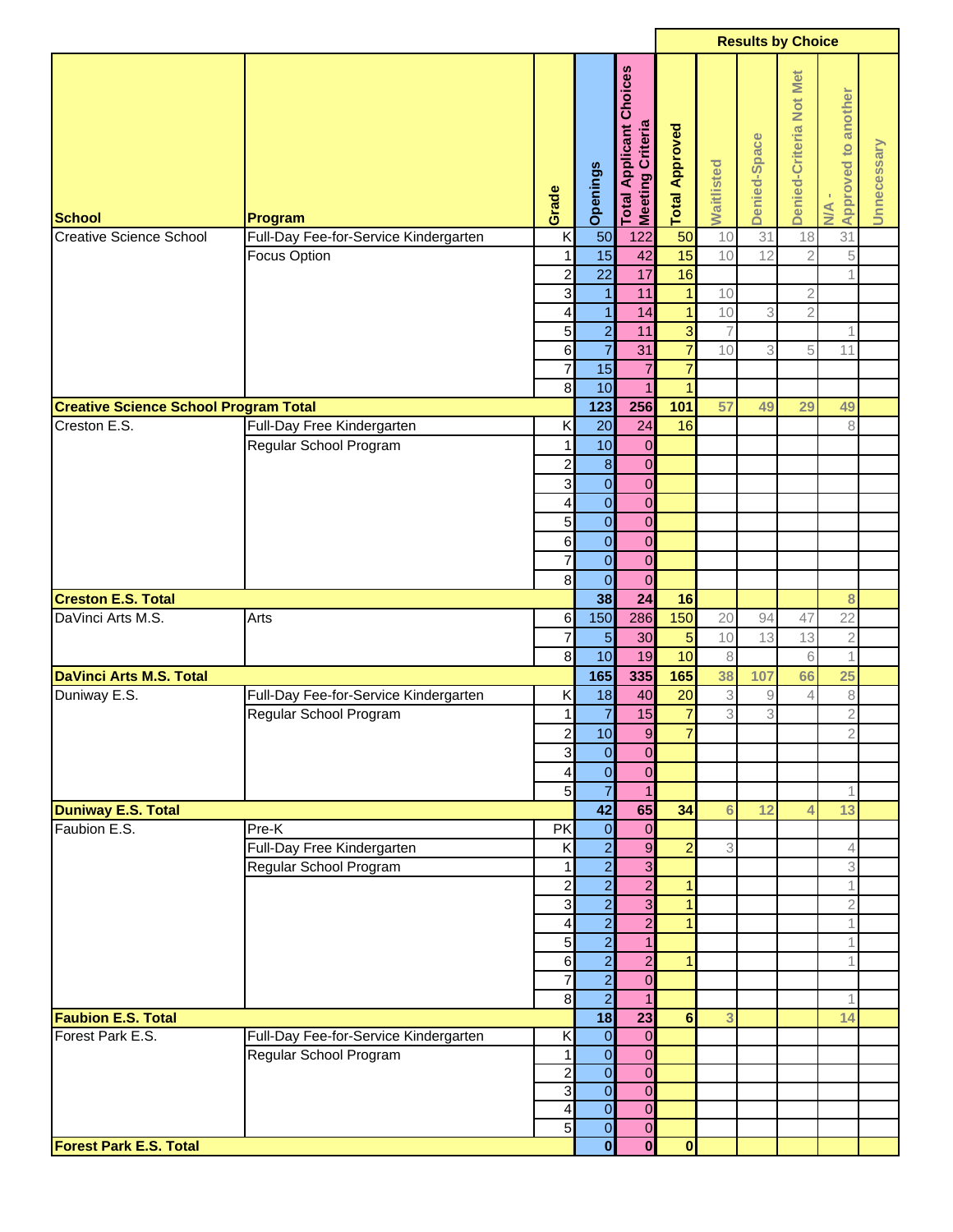|                                                |                                       |                         |                         |                                                  |                       |                |              | <b>Results by Choice</b> |                                            |             |
|------------------------------------------------|---------------------------------------|-------------------------|-------------------------|--------------------------------------------------|-----------------------|----------------|--------------|--------------------------|--------------------------------------------|-------------|
| <b>School</b>                                  | Program                               | Grade                   | Openings                | Choices<br>Total Applicant C<br>Meeting Criteria | <b>Total Approved</b> | Waitlisted     | Denied-Space | Denied-Criteria Not Met  | <b>Approved to another</b><br>$M^{\prime}$ | Unnecessary |
| Creative Science School                        | Full-Day Fee-for-Service Kindergarten | $\overline{\mathsf{K}}$ | 50                      | 122                                              | 50                    | 10             | 31           | 18                       | 31                                         |             |
|                                                | <b>Focus Option</b>                   | $\mathbf{1}$            | 15                      | 42                                               | 15                    | 10             | 12           | $\overline{2}$           | 5                                          |             |
|                                                |                                       | $\overline{\mathbf{c}}$ | $\overline{22}$         | 17                                               | 16                    |                |              |                          | 1                                          |             |
|                                                |                                       | $\mathbf{3}$            | $\mathbf{1}$            | 11                                               | $\mathbf{1}$          | 10             |              | $\mathbf{2}$             |                                            |             |
|                                                |                                       | 4                       | $\mathbf{1}$            | 14                                               | $\mathbf{1}$          | 10             | 3            | $\overline{2}$           |                                            |             |
|                                                |                                       | 5                       | $\overline{a}$          | 11                                               | $\overline{3}$        | $\overline{7}$ |              |                          | 1                                          |             |
|                                                |                                       | $6 \overline{6}$        | $\overline{7}$          | 31                                               | $\overline{7}$        | 10             | 3            | 5                        | 11                                         |             |
|                                                |                                       | $\overline{7}$          | 15                      | $\overline{7}$                                   | $\overline{7}$        |                |              |                          |                                            |             |
|                                                |                                       | $\bf{8}$                | 10                      | $\overline{1}$                                   | $\overline{1}$        |                |              |                          |                                            |             |
| <b>Creative Science School Program Total</b>   |                                       |                         | $123$                   | 256                                              | 101                   | 57             | 49           | 29                       | 49                                         |             |
| Creston E.S.                                   | Full-Day Free Kindergarten            | Κ                       | 20                      | 24                                               | 16                    |                |              |                          | 8                                          |             |
|                                                | Regular School Program                | 1                       | 10                      | $\pmb{0}$                                        |                       |                |              |                          |                                            |             |
|                                                |                                       | 2                       | $\bf 8$                 | $\mathbf 0$                                      |                       |                |              |                          |                                            |             |
|                                                |                                       | 3                       | $\overline{0}$          | $\mathbf 0$                                      |                       |                |              |                          |                                            |             |
|                                                |                                       | 4                       | $\overline{0}$          | $\mathbf 0$                                      |                       |                |              |                          |                                            |             |
|                                                |                                       | 5 <sup>1</sup>          | $\mathbf{O}$            | $\overline{0}$                                   |                       |                |              |                          |                                            |             |
|                                                |                                       | $6 \,$                  | $\overline{O}$          | $\overline{0}$                                   |                       |                |              |                          |                                            |             |
|                                                |                                       | $\overline{\mathbf{7}}$ | $\overline{0}$          | $\overline{0}$                                   |                       |                |              |                          |                                            |             |
|                                                |                                       | $\bf{8}$                | $\overline{0}$          | $\mathbf 0$                                      |                       |                |              |                          |                                            |             |
| <b>Creston E.S. Total</b><br>DaVinci Arts M.S. | Arts                                  |                         | 38<br>150               | $\overline{24}$<br>286                           | 16<br>150             | 20             | 94           |                          | 8<br>22                                    |             |
|                                                |                                       | 6<br>7                  | $\overline{5}$          | 30                                               |                       | 10             | 13           | 47<br>13                 |                                            |             |
|                                                |                                       | $\infty$                | 10                      | 19                                               | $\overline{5}$        |                |              |                          | $\mathbf{2}$                               |             |
| <b>DaVinci Arts M.S. Total</b>                 |                                       |                         | 165                     | 335                                              | 10<br>165             | 8<br>38        | 107          | 6<br>66                  | $\mathbf 1$<br>25                          |             |
| Duniway E.S.                                   | Full-Day Fee-for-Service Kindergarten | Κ                       | 18                      | 40                                               | 20                    | 3              | $\hbox{9}$   | 4                        | 8                                          |             |
|                                                | Regular School Program                | 1                       | $\overline{7}$          | 15                                               | $\overline{7}$        | 3              | 3            |                          | $\overline{2}$                             |             |
|                                                |                                       | $\overline{2}$          | 10                      | $\overline{9}$                                   | $\overline{7}$        |                |              |                          | $\overline{2}$                             |             |
|                                                |                                       | $\overline{3}$          | $\overline{0}$          | $\overline{0}$                                   |                       |                |              |                          |                                            |             |
|                                                |                                       | 4                       | $\overline{O}$          | $\overline{0}$                                   |                       |                |              |                          |                                            |             |
|                                                |                                       | 5                       | $\overline{7}$          | $\mathbf{1}$                                     |                       |                |              |                          | 1                                          |             |
| <b>Duniway E.S. Total</b>                      |                                       |                         | 42                      | 65                                               | 34                    | 6              | 12           | 4                        | 13                                         |             |
| Faubion E.S.                                   | $Pre-K$                               | PK                      | $\overline{0}$          | $\overline{0}$                                   |                       |                |              |                          |                                            |             |
|                                                | Full-Day Free Kindergarten            | K                       | $\overline{2}$          | $\boldsymbol{9}$                                 | $\overline{2}$        | 3              |              |                          | 4                                          |             |
|                                                | Regular School Program                | 1                       | $\overline{2}$          | 3                                                |                       |                |              |                          | 3                                          |             |
|                                                |                                       | $\overline{\mathbf{c}}$ | $\overline{2}$          | $\overline{\mathbf{c}}$                          | $\mathbf{1}$          |                |              |                          | $\mathbf 1$                                |             |
|                                                |                                       | $\overline{3}$          | $\overline{2}$          | 3                                                | $\mathbf{1}$          |                |              |                          | $\overline{2}$                             |             |
|                                                |                                       | $\overline{4}$          | $\overline{2}$          | $\overline{c}$                                   | $\mathbf{1}$          |                |              |                          | $\mathbf 1$                                |             |
|                                                |                                       | 5 <sub>5</sub>          | $\overline{2}$          | $\mathbf{1}$                                     |                       |                |              |                          | 1                                          |             |
|                                                |                                       | $6 \,$                  | $\overline{2}$          | $\overline{c}$                                   | $\overline{1}$        |                |              |                          | 1                                          |             |
|                                                |                                       | $\overline{7}$          | $\overline{2}$          | $\overline{0}$                                   |                       |                |              |                          |                                            |             |
|                                                |                                       | $\bf{8}$                | $\overline{2}$          | $\mathbf{1}$                                     |                       |                |              |                          | 1                                          |             |
| <b>Faubion E.S. Total</b>                      |                                       |                         | 18                      | 23                                               | 6                     | 3              |              |                          | 14                                         |             |
| Forest Park E.S.                               | Full-Day Fee-for-Service Kindergarten | Κ                       | $\overline{0}$          | $\overline{0}$                                   |                       |                |              |                          |                                            |             |
|                                                | Regular School Program                | 1                       | $\overline{0}$          | $\overline{0}$                                   |                       |                |              |                          |                                            |             |
|                                                |                                       | $\overline{\mathbf{c}}$ | $\overline{0}$          | $\overline{0}$                                   |                       |                |              |                          |                                            |             |
|                                                |                                       | 3                       | $\overline{0}$          | $\overline{0}$                                   |                       |                |              |                          |                                            |             |
|                                                |                                       | 4                       | $\overline{O}$          | $\mathbf 0$                                      |                       |                |              |                          |                                            |             |
|                                                |                                       | 5                       | $\overline{0}$          | $\overline{0}$                                   |                       |                |              |                          |                                            |             |
| <b>Forest Park E.S. Total</b>                  |                                       |                         | $\overline{\mathbf{0}}$ | $\bf{0}$                                         | $\bf{0}$              |                |              |                          |                                            |             |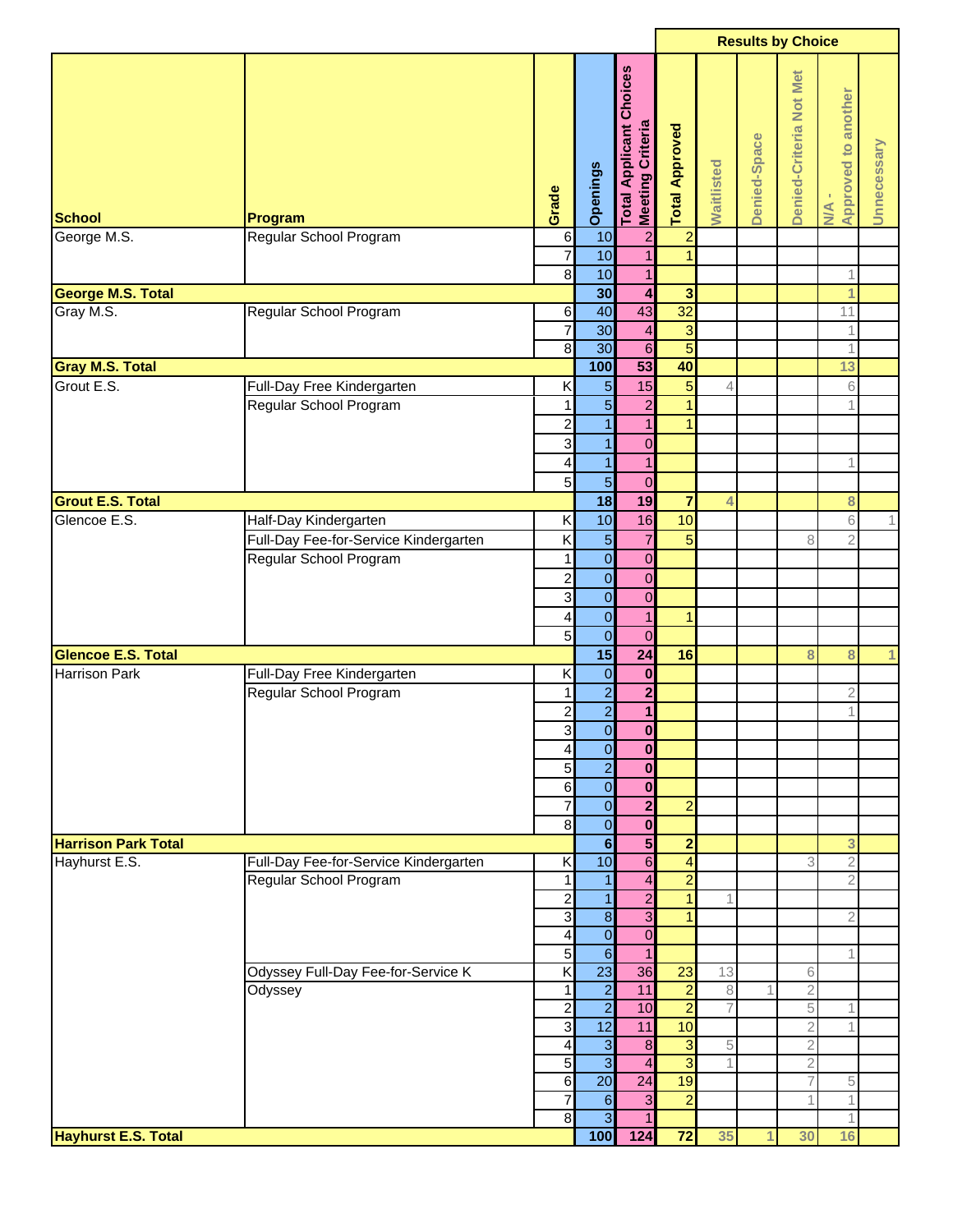|                                      |                                                      |                                           |                                  |                                                              |                                  |                |              | <b>Results by Choice</b> |                              |             |
|--------------------------------------|------------------------------------------------------|-------------------------------------------|----------------------------------|--------------------------------------------------------------|----------------------------------|----------------|--------------|--------------------------|------------------------------|-------------|
| <b>School</b>                        | Program                                              | Grade                                     | Openings                         | Choices<br><b>Meeting Criteria</b><br><b>Total Applicant</b> | <b>Total Approved</b>            | Waitlisted     | Denied-Space | Denied-Criteria Not Met  | N/A -<br>Approved to another | Unnecessary |
| George M.S.                          | Regular School Program                               | $\,6$<br>$\overline{7}$                   | 10<br>10                         | $\overline{a}$<br>$\overline{1}$                             | $\overline{a}$<br>$\overline{1}$ |                |              |                          |                              |             |
|                                      |                                                      | $\infty$                                  | 10                               | $\overline{1}$                                               |                                  |                |              |                          | 1                            |             |
| <b>George M.S. Total</b>             |                                                      |                                           | 30                               | $\overline{\mathbf{4}}$                                      | $\overline{\mathbf{3}}$          |                |              |                          | 1                            |             |
| Gray M.S.                            | Regular School Program                               | 6                                         | 40                               | 43                                                           | 32                               |                |              |                          | 11                           |             |
|                                      |                                                      | $\overline{7}$                            | 30                               | $\overline{\mathbf{4}}$                                      | 3                                |                |              |                          | 1                            |             |
|                                      |                                                      | 8                                         | 30                               | $\boldsymbol{6}$                                             | $\overline{5}$                   |                |              |                          | 1                            |             |
| <b>Gray M.S. Total</b><br>Grout E.S. |                                                      |                                           | 100                              | 53                                                           | 40<br>$\overline{5}$             |                |              |                          | 13                           |             |
|                                      | Full-Day Free Kindergarten<br>Regular School Program | Κ<br>$\mathbf{1}$                         | $\overline{5}$<br>$\overline{5}$ | 15<br>$\overline{c}$                                         | $\overline{1}$                   | 4              |              |                          | 6<br>1                       |             |
|                                      |                                                      | $\overline{\mathbf{c}}$                   | $\mathbf{1}$                     | $\overline{1}$                                               | $\mathbf{1}$                     |                |              |                          |                              |             |
|                                      |                                                      | 3                                         | $\mathbf{1}$                     | $\mathbf 0$                                                  |                                  |                |              |                          |                              |             |
|                                      |                                                      | $\overline{\mathcal{L}}$                  | $\mathbf{1}$                     | $\mathbf{1}$                                                 |                                  |                |              |                          | 1                            |             |
|                                      |                                                      | 5                                         | $\overline{5}$                   | $\mathbf 0$                                                  |                                  |                |              |                          |                              |             |
| <b>Grout E.S. Total</b>              |                                                      |                                           | 18                               | 19                                                           | $\overline{7}$                   | 4              |              |                          | 8                            |             |
| Glencoe E.S.                         | Half-Day Kindergarten                                | Κ                                         | 10                               | 16                                                           | 10                               |                |              |                          | 6                            | 1           |
|                                      | Full-Day Fee-for-Service Kindergarten                | Κ                                         | $\overline{5}$                   | $\overline{7}$                                               | $5\overline{)}$                  |                |              | 8                        | $\overline{2}$               |             |
|                                      | Regular School Program                               | 1                                         | $\overline{\mathbf{0}}$          | $\mathbf 0$                                                  |                                  |                |              |                          |                              |             |
|                                      |                                                      | $\overline{\mathbf{c}}$                   | $\mathbf 0$                      | $\boldsymbol{0}$                                             |                                  |                |              |                          |                              |             |
|                                      |                                                      | 3                                         | $\overline{0}$                   | $\mathbf 0$                                                  |                                  |                |              |                          |                              |             |
|                                      |                                                      | 4<br>5                                    | $\mathbf{O}$<br>$\overline{0}$   | $\overline{1}$<br>$\mathbf 0$                                | $\mathbf 1$                      |                |              |                          |                              |             |
| <b>Glencoe E.S. Total</b>            |                                                      |                                           | 15                               | $\overline{24}$                                              | 16                               |                |              | 8                        | 8                            | 1           |
| Harrison Park                        | Full-Day Free Kindergarten                           | Κ                                         | $\mathbf 0$                      | $\mathbf 0$                                                  |                                  |                |              |                          |                              |             |
|                                      | Regular School Program                               | 1                                         | $\overline{2}$                   | $\overline{\mathbf{c}}$                                      |                                  |                |              |                          | $\overline{2}$               |             |
|                                      |                                                      | $\overline{a}$                            | $\overline{2}$                   | $\mathbf{1}$                                                 |                                  |                |              |                          | 1                            |             |
|                                      |                                                      | 3                                         | $\overline{0}$                   | $\mathbf{0}$                                                 |                                  |                |              |                          |                              |             |
|                                      |                                                      | 4                                         | $\overline{O}$                   | $\bf{0}$                                                     |                                  |                |              |                          |                              |             |
|                                      |                                                      | 5                                         | $\overline{a}$                   | $\bf{0}$                                                     |                                  |                |              |                          |                              |             |
|                                      |                                                      | 6                                         | $\overline{0}$                   | $\boldsymbol{0}$                                             |                                  |                |              |                          |                              |             |
|                                      |                                                      | $\overline{7}$<br>8                       | $\overline{0}$<br>$\overline{O}$ | $\overline{\mathbf{2}}$<br>$\mathbf{0}$                      | $\overline{2}$                   |                |              |                          |                              |             |
| <b>Harrison Park Total</b>           |                                                      |                                           | $6\phantom{a}$                   | $5\phantom{.0}$                                              | $\overline{2}$                   |                |              |                          | 3                            |             |
| Hayhurst E.S.                        | Full-Day Fee-for-Service Kindergarten                | Κ                                         | 10                               | $\overline{6}$                                               | $\overline{\mathbf{r}}$          |                |              | 3                        | $\overline{2}$               |             |
|                                      | Regular School Program                               | 1                                         | $\mathbf{1}$                     | $\overline{4}$                                               | $\overline{2}$                   |                |              |                          | $\overline{2}$               |             |
|                                      |                                                      | $\overline{\mathbf{c}}$                   | $\mathbf{1}$                     | $\overline{a}$                                               | $\overline{1}$                   |                |              |                          |                              |             |
|                                      |                                                      | 3                                         | $\overline{\mathbf{8}}$          | $\overline{\omega}$                                          | $\mathbf{1}$                     |                |              |                          | $\overline{2}$               |             |
|                                      |                                                      | $\overline{\mathbf{4}}$                   | $\overline{0}$                   | $\boldsymbol{0}$                                             |                                  |                |              |                          |                              |             |
|                                      |                                                      | $\overline{5}$<br>$\overline{\mathsf{x}}$ | $\overline{6}$<br>23             | $\mathbf{1}$<br>36                                           | 23                               | 13             |              |                          | 1                            |             |
|                                      | Odyssey Full-Day Fee-for-Service K<br>Odyssey        | 1                                         | $\overline{2}$                   | 11                                                           | $\overline{2}$                   | $\,8\,$        |              | 6<br>$\sqrt{2}$          |                              |             |
|                                      |                                                      | $\overline{a}$                            | $\overline{2}$                   | 10                                                           | $\overline{2}$                   | $\overline{7}$ |              | 5                        | 1                            |             |
|                                      |                                                      | $\mathbf{3}$                              | 12                               | 11                                                           | 10                               |                |              | $\mathbf{2}$             | 1                            |             |
|                                      |                                                      | $\overline{\mathbf{4}}$                   | $\omega$                         | $\bf 8$                                                      | $\overline{\omega}$              | 5              |              | $\overline{2}$           |                              |             |
|                                      |                                                      | 5                                         | $\overline{\overline{3}}$        | $\overline{4}$                                               | $\overline{3}$                   |                |              | $\overline{c}$           |                              |             |
|                                      |                                                      | $6 \overline{6}$                          | 20                               | 24                                                           | 19                               |                |              |                          | 5                            |             |
|                                      |                                                      | 7<br>8                                    | 6<br>$\overline{3}$              | $\overline{\omega}$<br>$\mathbf{1}$                          | $\overline{2}$                   |                |              |                          | 1<br>1                       |             |
| <b>Hayhurst E.S. Total</b>           |                                                      |                                           | 100                              | 124                                                          | $\overline{72}$                  | 35             | 1            | 30                       | 16                           |             |
|                                      |                                                      |                                           |                                  |                                                              |                                  |                |              |                          |                              |             |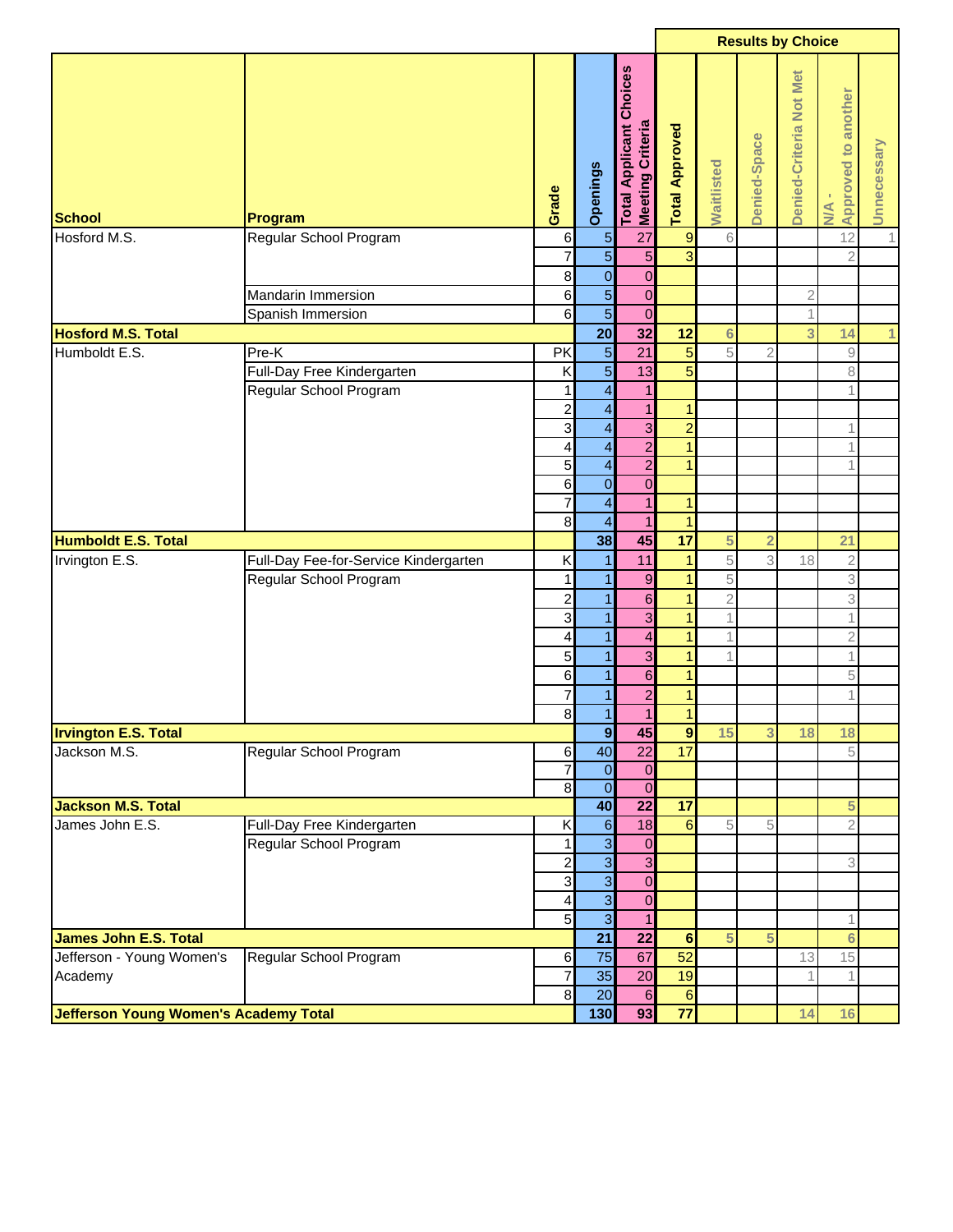|                              |                                              |                            |                                                     |                                                       |                                   |                 | <b>Results by Choice</b> |                         |                                                           |              |
|------------------------------|----------------------------------------------|----------------------------|-----------------------------------------------------|-------------------------------------------------------|-----------------------------------|-----------------|--------------------------|-------------------------|-----------------------------------------------------------|--------------|
| <b>School</b>                | Program                                      | Grade                      | <b>Openings</b>                                     | <b>Applicant Choices</b><br>Meeting Criteria<br>Total | <b>Total Approved</b>             | Waitlisted      | Denied-Space             | Denied-Criteria Not Met | Approved to another<br><b>NVA</b>                         | Unnecessary  |
| Hosford M.S.                 | Regular School Program                       | $6 \,$                     | $\overline{5}$                                      | 27                                                    | $\overline{9}$                    | 6               |                          |                         | 12                                                        | 1            |
|                              |                                              | $\overline{7}$             | $\overline{5}$                                      | $\overline{5}$                                        | $\overline{\omega}$               |                 |                          |                         | $\overline{2}$                                            |              |
|                              |                                              | $\bf{8}$                   | $\overline{0}$                                      | $\mathbf 0$                                           |                                   |                 |                          |                         |                                                           |              |
|                              | <b>Mandarin Immersion</b>                    | $6 \overline{6}$           | $\overline{5}$                                      | $\mathbf 0$                                           |                                   |                 |                          | $\overline{2}$          |                                                           |              |
|                              | Spanish Immersion                            | $6 \overline{6}$           | $\overline{5}$                                      | $\mathbf 0$                                           |                                   |                 |                          |                         |                                                           |              |
| <b>Hosford M.S. Total</b>    |                                              |                            | 20                                                  | $\overline{32}$                                       | 12                                | $6\phantom{1}6$ |                          | 3                       | 14                                                        | $\mathbf{1}$ |
| Humboldt E.S.                | Pre-K                                        | PK                         | $\overline{5}$                                      | $\overline{21}$                                       | $\overline{5}$                    | 5               | 2                        |                         | $\mathcal{G}% _{M_{1},M_{2}}^{\alpha,\beta}(\mathcal{G})$ |              |
|                              | Full-Day Free Kindergarten                   | Κ                          | $\overline{5}$                                      | 13                                                    | $\overline{5}$                    |                 |                          |                         | 8                                                         |              |
|                              | Regular School Program                       | 1                          | $\overline{\mathcal{A}}$                            | $\mathbf{1}$                                          |                                   |                 |                          |                         | $\mathbf 1$                                               |              |
|                              |                                              | $\overline{\mathbf{c}}$    | $\overline{\mathbf{r}}$                             | $\mathbf{1}$                                          | $\mathbf{1}$                      |                 |                          |                         |                                                           |              |
|                              |                                              | 3                          | $\overline{\mathcal{A}}$                            | $\mathbf 3$                                           | $\overline{2}$                    |                 |                          |                         | 1                                                         |              |
|                              |                                              | 4                          | $\overline{\mathbf{r}}$                             | $\overline{2}$                                        | $\mathbf{1}$                      |                 |                          |                         | 1                                                         |              |
|                              |                                              | 5                          | $\overline{\mathbf{r}}$                             | $\overline{2}$                                        | $\mathbf{1}$                      |                 |                          |                         | 1                                                         |              |
|                              |                                              | 6                          | $\overline{0}$                                      | $\mathbf 0$                                           |                                   |                 |                          |                         |                                                           |              |
|                              |                                              | 7<br>8                     | $\overline{\mathcal{A}}$<br>$\overline{\mathbf{A}}$ | $\overline{1}$<br>$\mathbf{1}$                        | $\mathbf{1}$<br>$\overline{1}$    |                 |                          |                         |                                                           |              |
| <b>Humboldt E.S. Total</b>   |                                              |                            | 38                                                  | 45                                                    | $\overline{17}$                   | 5               | $\overline{2}$           |                         | 21                                                        |              |
| Irvington E.S.               | Full-Day Fee-for-Service Kindergarten        | Κ                          | 1                                                   | 11                                                    | $\overline{1}$                    | 5               | 3                        | 18                      | $\overline{2}$                                            |              |
|                              | Regular School Program                       | 1                          | $\mathbf{1}$                                        | $\overline{9}$                                        | $\mathbf{1}$                      | 5               |                          |                         | 3                                                         |              |
|                              |                                              | $\overline{c}$             | $\mathbf{1}$                                        | $6 \,$                                                | $\mathbf{1}$                      | $\overline{2}$  |                          |                         | 3                                                         |              |
|                              |                                              | 3                          | 1                                                   | 3                                                     | $\mathbf{1}$                      |                 |                          |                         | 1                                                         |              |
|                              |                                              | 4                          | $\mathbf{1}$                                        | $\overline{\mathbf{4}}$                               | $\mathbf{1}$                      |                 |                          |                         | $\overline{2}$                                            |              |
|                              |                                              | 5                          | 1                                                   | 3                                                     | 1                                 |                 |                          |                         | $\mathbf 1$                                               |              |
|                              |                                              | 6                          | $\mathbf{1}$                                        | $6 \,$                                                | $\mathbf{1}$                      |                 |                          |                         | 5                                                         |              |
|                              |                                              | 7                          | $\mathbf{1}$                                        | $\overline{\mathbf{c}}$                               | $\mathbf{1}$                      |                 |                          |                         | 1                                                         |              |
|                              |                                              | $\bf{8}$                   | $\overline{1}$                                      | $\overline{1}$                                        | $\overline{1}$                    |                 |                          |                         |                                                           |              |
| <b>Irvington E.S. Total</b>  |                                              |                            | 9                                                   | 45                                                    | 9                                 | 15              | 3.                       | 18                      | 18                                                        |              |
| Jackson M.S.                 | Regular School Program                       | $6 \mid$                   | 40                                                  | $\overline{22}$                                       | 17                                |                 |                          |                         | 5                                                         |              |
|                              |                                              | $\overline{7}$             | $\overline{0}$                                      | $\mathbf 0$                                           |                                   |                 |                          |                         |                                                           |              |
|                              |                                              | $\infty$                   | $\overline{0}$                                      | $\mathbf 0$                                           |                                   |                 |                          |                         |                                                           |              |
| <b>Jackson M.S. Total</b>    |                                              |                            | 40                                                  | $\overline{22}$                                       | $\overline{17}$                   |                 |                          |                         | 5                                                         |              |
| James John E.S.              | Full-Day Free Kindergarten                   | Κ                          | $\mathbf 6$                                         | 18                                                    | $6\phantom{a}$                    | 5               | 5                        |                         | $\overline{2}$                                            |              |
|                              | Regular School Program                       | 1                          | $\overline{3}$                                      | $\mathbf{0}$                                          |                                   |                 |                          |                         |                                                           |              |
|                              |                                              | $\overline{\mathbf{c}}$    | $\overline{\mathbf{3}}$                             | 3                                                     |                                   |                 |                          |                         | 3                                                         |              |
|                              |                                              | ω                          | $\overline{3}$                                      | $\mathbf 0$                                           |                                   |                 |                          |                         |                                                           |              |
|                              |                                              | 4                          | $\overline{3}$                                      | $\mathbf 0$                                           |                                   |                 |                          |                         |                                                           |              |
|                              |                                              | 5 <sup>1</sup>             | $\overline{3}$                                      | $\mathbf{1}$                                          |                                   |                 |                          |                         | 1                                                         |              |
| <b>James John E.S. Total</b> |                                              |                            | 21                                                  | $\overline{22}$                                       | $6\phantom{1}$                    | 5               | 5                        |                         | $6\phantom{a}$                                            |              |
| Jefferson - Young Women's    | Regular School Program                       | $6 \,$                     | 75                                                  | 67                                                    | 52                                |                 |                          | 13                      | 15                                                        |              |
| Academy                      |                                              | $\overline{7}$<br>$\infty$ | 35<br>$\overline{20}$                               | 20                                                    | 19                                |                 |                          |                         | $\mathbf 1$                                               |              |
|                              |                                              |                            | 130                                                 | $6\phantom{1}6$<br>93                                 | $6\phantom{1}$<br>$\overline{77}$ |                 |                          | 14                      | 16                                                        |              |
|                              | <b>Jefferson Young Women's Academy Total</b> |                            |                                                     |                                                       |                                   |                 |                          |                         |                                                           |              |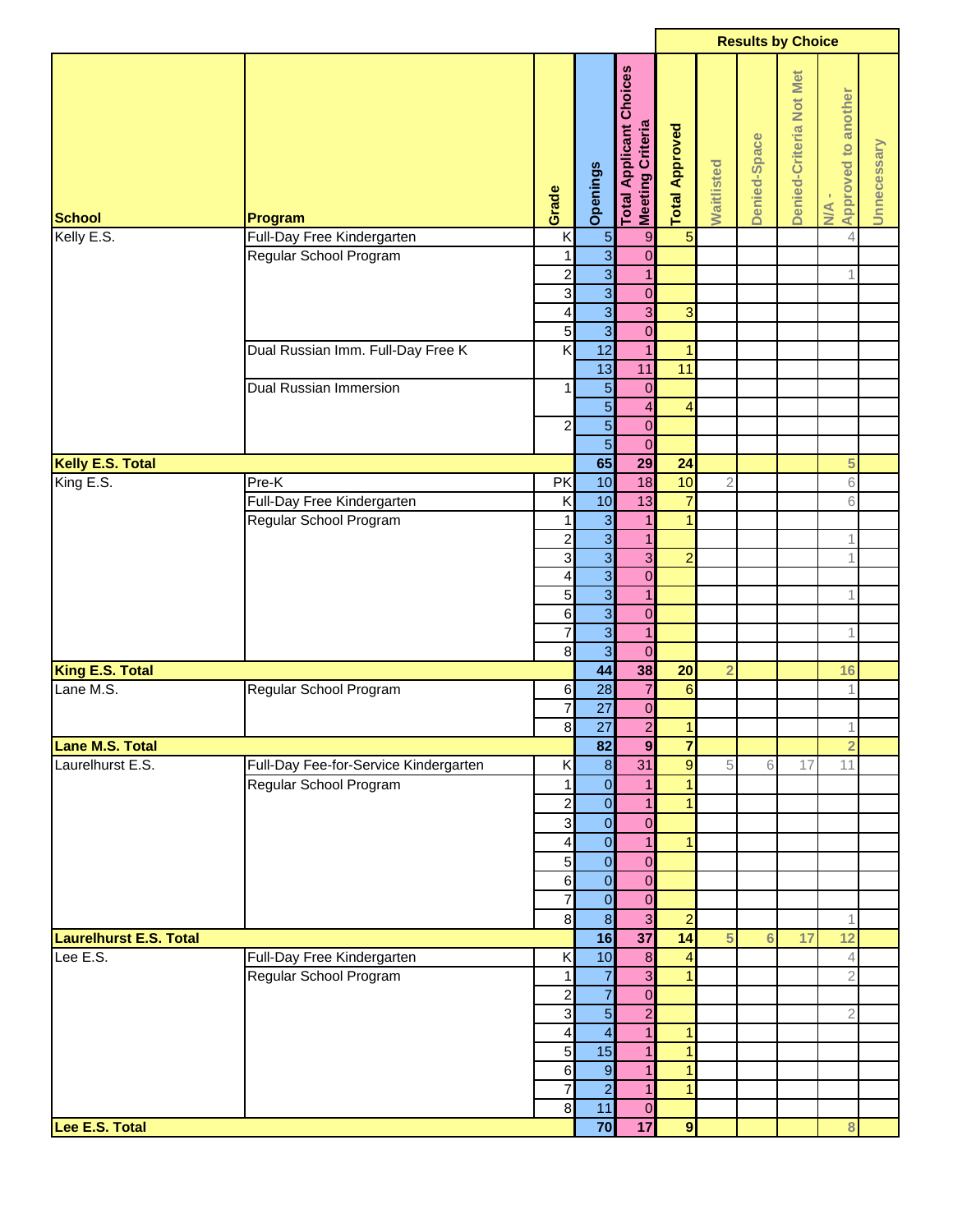|                                           |                                       |                            |                                   |                                                           |                       |                |                 | <b>Results by Choice</b> |                                       |             |
|-------------------------------------------|---------------------------------------|----------------------------|-----------------------------------|-----------------------------------------------------------|-----------------------|----------------|-----------------|--------------------------|---------------------------------------|-------------|
| <b>School</b>                             | Program                               | Grade                      | Openings                          | <b>Total Applicant Choices</b><br><b>Meeting Criteria</b> | <b>Total Approved</b> | Waitlisted     | Denied-Space    | Denied-Criteria Not Met  | Approved to another<br>$M \triangleq$ | Unnecessary |
| Kelly E.S.                                | Full-Day Free Kindergarten            | K                          | $\overline{5}$                    | $\boldsymbol{9}$                                          | $\overline{5}$        |                |                 |                          | $\overline{4}$                        |             |
|                                           | Regular School Program                | $\mathbf{1}$               | $\overline{\mathbf{3}}$           | $\mathbf 0$                                               |                       |                |                 |                          |                                       |             |
|                                           |                                       | $\overline{\mathbf{c}}$    | $\overline{3}$                    | $\mathbf{1}$                                              |                       |                |                 |                          | 1                                     |             |
|                                           |                                       | $\mathbf{3}$               | $\overline{3}$                    | $\mathbf 0$                                               |                       |                |                 |                          |                                       |             |
|                                           |                                       | $\overline{\mathbf{4}}$    | $\overline{3}$                    | $\overline{\omega}$                                       | 3                     |                |                 |                          |                                       |             |
|                                           |                                       | 5 <sub>l</sub><br>Κ        | $\overline{3}$<br>$\overline{12}$ | $\mathbf 0$<br>$\overline{1}$                             | $\mathbf{1}$          |                |                 |                          |                                       |             |
|                                           | Dual Russian Imm. Full-Day Free K     |                            | 13                                | 11                                                        | 11                    |                |                 |                          |                                       |             |
|                                           | Dual Russian Immersion                | $\mathbf{1}$               | $\overline{5}$                    | $\mathbf 0$                                               |                       |                |                 |                          |                                       |             |
|                                           |                                       |                            | $\overline{5}$                    | $\overline{\mathbf{A}}$                                   | $\overline{4}$        |                |                 |                          |                                       |             |
|                                           |                                       | $\mathbf{2}$               | $\overline{5}$                    | $\overline{0}$                                            |                       |                |                 |                          |                                       |             |
|                                           |                                       |                            | $\overline{5}$                    | $\overline{0}$                                            |                       |                |                 |                          |                                       |             |
| Kelly E.S. Total                          |                                       |                            | 65                                | 29                                                        | 24                    |                |                 |                          | 5                                     |             |
| King $E.S.$                               | Pre-K                                 | PK                         | 10                                | 18                                                        | 10                    | $\sqrt{2}$     |                 |                          | 6                                     |             |
|                                           | Full-Day Free Kindergarten            | K                          | 10                                | 13                                                        | $\overline{7}$        |                |                 |                          | 6                                     |             |
|                                           | Regular School Program                | 1                          | $\overline{3}$                    | $\mathbf{1}$                                              | 1                     |                |                 |                          |                                       |             |
|                                           |                                       | $\overline{\mathbf{c}}$    | $\overline{3}$                    | $\mathbf{1}$                                              |                       |                |                 |                          | 1                                     |             |
|                                           |                                       | $\overline{\mathbf{3}}$    | $\overline{3}$                    | $\overline{\omega}$                                       | $\overline{2}$        |                |                 |                          | 1                                     |             |
|                                           |                                       | $\overline{\mathbf{r}}$    | $\overline{3}$                    | $\boldsymbol{0}$                                          |                       |                |                 |                          |                                       |             |
|                                           |                                       | 5                          | $\overline{3}$                    | $\mathbf{1}$                                              |                       |                |                 |                          | 1                                     |             |
|                                           |                                       | $6 \mid$                   | $\overline{3}$                    | $\pmb{0}$                                                 |                       |                |                 |                          |                                       |             |
|                                           |                                       | $\overline{7}$<br>$\infty$ | $\overline{3}$<br>$\overline{3}$  | $\mathbf{1}$<br>$\mathbf 0$                               |                       |                |                 |                          | 1                                     |             |
| King E.S. Total                           |                                       |                            | 44                                | 38                                                        | 20                    | $\overline{2}$ |                 |                          | 16                                    |             |
| Lane M.S.                                 | Regular School Program                | 6                          | 28                                | $\overline{7}$                                            | $6\phantom{a}$        |                |                 |                          | $\mathbf 1$                           |             |
|                                           |                                       | $\overline{7}$             | $\overline{27}$                   | $\pmb{0}$                                                 |                       |                |                 |                          |                                       |             |
|                                           |                                       | $\overline{8}$             | 27                                | $\overline{2}$                                            | $\mathbf{1}$          |                |                 |                          | 1                                     |             |
| <b>Lane M.S. Total</b>                    |                                       |                            | 82                                | $\boldsymbol{9}$                                          | $\overline{7}$        |                |                 |                          | $\overline{2}$                        |             |
| Laurelhurst E.S.                          | Full-Day Fee-for-Service Kindergarten | K                          | $\boldsymbol{8}$                  | 31                                                        | $\overline{9}$        | 5              | 6               | 17                       | 11                                    |             |
|                                           | Regular School Program                | $\mathbf{1}$               | $\overline{0}$                    | $\mathbf{1}$                                              | $\mathbf{1}$          |                |                 |                          |                                       |             |
|                                           |                                       | $\mathbf{2}$               | $\overline{0}$                    | $\mathbf{1}$                                              | 1                     |                |                 |                          |                                       |             |
|                                           |                                       | $\overline{3}$             | $\overline{0}$                    | $\mathbf 0$                                               |                       |                |                 |                          |                                       |             |
|                                           |                                       | $\overline{\mathbf{r}}$    | $\overline{0}$                    | $\mathbf{1}$                                              | $\mathbf{1}$          |                |                 |                          |                                       |             |
|                                           |                                       | 5 <sub>l</sub>             | $\overline{0}$                    | $\mathbf 0$                                               |                       |                |                 |                          |                                       |             |
|                                           |                                       | $6 \mid$                   | $\overline{0}$                    | $\mathbf 0$                                               |                       |                |                 |                          |                                       |             |
|                                           |                                       | $\overline{7}$             | $\overline{0}$                    | $\overline{0}$                                            |                       |                |                 |                          |                                       |             |
|                                           |                                       | $\bf{8}$                   | $\overline{8}$                    | $\overline{\omega}$                                       | $\overline{a}$        |                |                 |                          | 1                                     |             |
| <b>Laurelhurst E.S. Total</b><br>Lee E.S. | Full-Day Free Kindergarten            | K                          | 16<br>10                          | 37<br>$\boldsymbol{8}$                                    | 14<br>4               | 5              | $6\phantom{1}6$ | 17                       | 12<br>4                               |             |
|                                           | Regular School Program                | $\mathbf{1}$               | $\overline{7}$                    | $\overline{3}$                                            | $\overline{1}$        |                |                 |                          | $\overline{2}$                        |             |
|                                           |                                       | $\mathbf{2}$               | $\overline{7}$                    | $\mathbf 0$                                               |                       |                |                 |                          |                                       |             |
|                                           |                                       | $\mathbf{3}$               | $\overline{5}$                    | $\overline{2}$                                            |                       |                |                 |                          | $\overline{2}$                        |             |
|                                           |                                       | $\overline{\mathbf{4}}$    | $\overline{4}$                    | 1                                                         | $\mathbf{1}$          |                |                 |                          |                                       |             |
|                                           |                                       | 5 <sup>1</sup>             | 15                                | $\mathbf{1}$                                              | 1                     |                |                 |                          |                                       |             |
|                                           |                                       | $6 \mid$                   | $\overline{9}$                    | $\mathbf{1}$                                              | $\mathbf{1}$          |                |                 |                          |                                       |             |
|                                           |                                       | 7                          | $\overline{2}$                    | $\mathbf{1}$                                              | $\mathbf{1}$          |                |                 |                          |                                       |             |
|                                           |                                       | $\bf{8}$                   | 11                                | $\mathbf 0$                                               |                       |                |                 |                          |                                       |             |
| Lee E.S. Total                            |                                       |                            | 70                                | 17                                                        | $\overline{9}$        |                |                 |                          | 8                                     |             |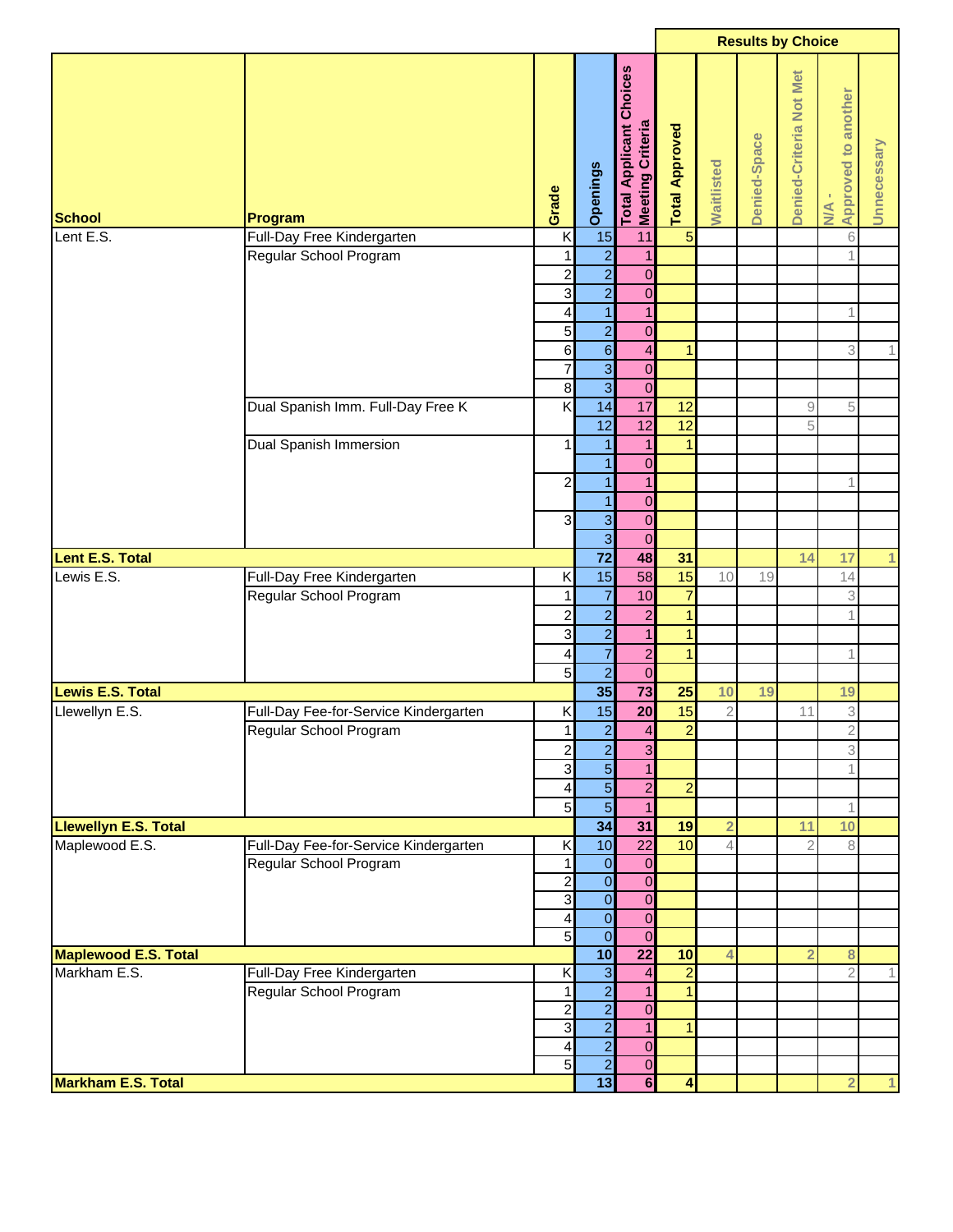| Choices<br>Denied-Criteria Not Met<br>Approved to another<br>Meeting Criteria<br><b>Total Applicant</b><br><b>Total Approved</b><br>Denied-Space<br>Unnecessary<br>Waitlisted<br>Openings<br>Grade<br>$\frac{4}{2}$<br><b>School</b><br>Program<br>$\overline{5}$<br>15<br>Full-Day Free Kindergarten<br>K<br>$\,$ 6<br>Lent E.S.<br>11<br>$\overline{a}$<br>Regular School Program<br>$\mathbf{1}$<br>1<br>1<br>$\overline{a}$<br>$\overline{\mathbf{c}}$<br>$\mathbf 0$<br>$\overline{a}$<br>3<br>$\mathbf 0$<br>4<br>$\mathbf{1}$<br>$\mathbf{1}$<br>1<br>$\overline{a}$<br>5<br>$\overline{0}$<br>$\mathbf 6$<br>$\overline{4}$<br>$\,$ 6 $\,$<br>3<br>$\overline{1}$<br>1<br>$\overline{7}$<br>$\overline{3}$<br>$\mathbf 0$<br>$\overline{3}$<br>$\overline{0}$<br>$\bf8$<br>$\overline{\mathsf{x}}$<br>17<br>Dual Spanish Imm. Full-Day Free K<br>14<br>12<br>5<br>$\hbox{ }9$<br>12<br>$\overline{12}$<br>$\overline{12}$<br>5<br>Dual Spanish Immersion<br>$\mathbf{1}$<br>$\mathbf{1}$<br>1<br>$\mathbf{1}$<br>$\pmb{0}$<br>$\mathbf{1}$<br>$\overline{\mathbf{c}}$<br>$\mathbf{1}$<br>$\mathbf{1}$<br>1<br>$\mathbf 0$<br>$\mathbf{1}$<br>3<br>3<br>$\mathbf 0$<br>$\overline{3}$<br>$\mathbf 0$<br>$\overline{72}$<br>48<br>31<br><b>Lent E.S. Total</b><br>14<br>17<br>1<br>15<br>58<br>15<br>Lewis E.S.<br>Full-Day Free Kindergarten<br>10<br>Κ<br>14<br>19<br>$\overline{7}$<br>$\overline{7}$<br>Regular School Program<br>10<br>3<br>1<br>$\overline{2}$<br>$\overline{\mathbf{c}}$<br>$\mathbf{1}$<br>$\overline{c}$<br>1<br>$\overline{a}$<br>3<br>$\mathbf{1}$<br>$\mathbf{1}$<br>$\overline{7}$<br>$\overline{a}$<br>4<br>$\overline{1}$<br>1<br>$\overline{2}$<br>$\overline{5}$<br>$\mathbf 0$<br>$\overline{73}$<br>35<br>25<br><b>Lewis E.S. Total</b><br>10<br>19<br>19<br>20<br>15<br>$\ensuremath{\mathsf{3}}$<br>Llewellyn E.S.<br>15<br>Full-Day Fee-for-Service Kindergarten<br>Κ<br>$\overline{2}$<br>11<br>$\overline{2}$<br>$\overline{2}$<br>$\mathbf{1}$<br>$\overline{4}$<br>$\overline{2}$<br>Regular School Program<br>$\overline{2}$<br>$\overline{\omega}$<br>3<br>$\overline{c}$<br>$\overline{5}$<br>3<br>$\mathbf{1}$<br>$\mathbf{1}$<br>$\overline{5}$<br>$\overline{2}$<br>$\overline{a}$<br>$\overline{\mathbf{r}}$<br>$\overline{5}$<br>5<br>$\mathbf{1}$<br>$\mathbf 1$<br>34<br>31<br><b>Llewellyn E.S. Total</b><br>19<br>$\overline{2}$<br>11<br>10<br>Maplewood E.S.<br>10<br>$\overline{22}$<br>10<br>Full-Day Fee-for-Service Kindergarten<br>Κ<br>8<br>$\overline{\mathcal{A}}$<br>$\overline{2}$<br>$\overline{O}$<br>Regular School Program<br>$\mathbf 0$<br>1<br>$\overline{0}$<br>$\overline{0}$<br>$\overline{a}$<br>ვ<br>$\overline{0}$<br>$\overline{0}$<br>$\overline{0}$<br>$\overline{\mathbf{r}}$<br>$\overline{0}$<br>5<br>$\overline{0}$<br>$\overline{0}$<br>$\overline{22}$<br>10<br>10<br><b>Maplewood E.S. Total</b><br>$\bf8$<br>$\overline{4}$<br>$\overline{2}$<br>$\overline{3}$<br>Markham E.S.<br>$\overline{2}$<br>$\overline{2}$<br>Full-Day Free Kindergarten<br>Κ<br>$\overline{4}$<br>1<br>$\frac{2}{2}$<br>Regular School Program<br>$\mathbf{1}$<br>$\mathbf{1}$<br>$\mathbf{1}$<br>$\overline{\mathbf{c}}$<br>$\mathbf 0$<br>3<br>$\mathbf{1}$<br>$\mathbf{1}$<br>$\overline{2}$<br>$\overline{\mathbf{4}}$<br>$\pmb{0}$<br>$\overline{2}$<br>5<br>$\mathbf 0$<br>13<br>$\overline{\mathbf{6}}$<br><b>Markham E.S. Total</b><br>4<br>$\overline{2}$ |  |  |  | <b>Results by Choice</b> |  |  |
|----------------------------------------------------------------------------------------------------------------------------------------------------------------------------------------------------------------------------------------------------------------------------------------------------------------------------------------------------------------------------------------------------------------------------------------------------------------------------------------------------------------------------------------------------------------------------------------------------------------------------------------------------------------------------------------------------------------------------------------------------------------------------------------------------------------------------------------------------------------------------------------------------------------------------------------------------------------------------------------------------------------------------------------------------------------------------------------------------------------------------------------------------------------------------------------------------------------------------------------------------------------------------------------------------------------------------------------------------------------------------------------------------------------------------------------------------------------------------------------------------------------------------------------------------------------------------------------------------------------------------------------------------------------------------------------------------------------------------------------------------------------------------------------------------------------------------------------------------------------------------------------------------------------------------------------------------------------------------------------------------------------------------------------------------------------------------------------------------------------------------------------------------------------------------------------------------------------------------------------------------------------------------------------------------------------------------------------------------------------------------------------------------------------------------------------------------------------------------------------------------------------------------------------------------------------------------------------------------------------------------------------------------------------------------------------------------------------------------------------------------------------------------------------------------------------------------------------------------------------------------------------------------------------------------------------------------------------------------------------------------------------------------------------------------------------------------------------------------------------------------------------------------------------------------------------------------------------------------------------------------------------------------------------------------------------------------------------------------------------------------------------------------------------------------------------------|--|--|--|--------------------------|--|--|
|                                                                                                                                                                                                                                                                                                                                                                                                                                                                                                                                                                                                                                                                                                                                                                                                                                                                                                                                                                                                                                                                                                                                                                                                                                                                                                                                                                                                                                                                                                                                                                                                                                                                                                                                                                                                                                                                                                                                                                                                                                                                                                                                                                                                                                                                                                                                                                                                                                                                                                                                                                                                                                                                                                                                                                                                                                                                                                                                                                                                                                                                                                                                                                                                                                                                                                                                                                                                                                              |  |  |  |                          |  |  |
| 1.                                                                                                                                                                                                                                                                                                                                                                                                                                                                                                                                                                                                                                                                                                                                                                                                                                                                                                                                                                                                                                                                                                                                                                                                                                                                                                                                                                                                                                                                                                                                                                                                                                                                                                                                                                                                                                                                                                                                                                                                                                                                                                                                                                                                                                                                                                                                                                                                                                                                                                                                                                                                                                                                                                                                                                                                                                                                                                                                                                                                                                                                                                                                                                                                                                                                                                                                                                                                                                           |  |  |  |                          |  |  |
|                                                                                                                                                                                                                                                                                                                                                                                                                                                                                                                                                                                                                                                                                                                                                                                                                                                                                                                                                                                                                                                                                                                                                                                                                                                                                                                                                                                                                                                                                                                                                                                                                                                                                                                                                                                                                                                                                                                                                                                                                                                                                                                                                                                                                                                                                                                                                                                                                                                                                                                                                                                                                                                                                                                                                                                                                                                                                                                                                                                                                                                                                                                                                                                                                                                                                                                                                                                                                                              |  |  |  |                          |  |  |
|                                                                                                                                                                                                                                                                                                                                                                                                                                                                                                                                                                                                                                                                                                                                                                                                                                                                                                                                                                                                                                                                                                                                                                                                                                                                                                                                                                                                                                                                                                                                                                                                                                                                                                                                                                                                                                                                                                                                                                                                                                                                                                                                                                                                                                                                                                                                                                                                                                                                                                                                                                                                                                                                                                                                                                                                                                                                                                                                                                                                                                                                                                                                                                                                                                                                                                                                                                                                                                              |  |  |  |                          |  |  |
|                                                                                                                                                                                                                                                                                                                                                                                                                                                                                                                                                                                                                                                                                                                                                                                                                                                                                                                                                                                                                                                                                                                                                                                                                                                                                                                                                                                                                                                                                                                                                                                                                                                                                                                                                                                                                                                                                                                                                                                                                                                                                                                                                                                                                                                                                                                                                                                                                                                                                                                                                                                                                                                                                                                                                                                                                                                                                                                                                                                                                                                                                                                                                                                                                                                                                                                                                                                                                                              |  |  |  |                          |  |  |
|                                                                                                                                                                                                                                                                                                                                                                                                                                                                                                                                                                                                                                                                                                                                                                                                                                                                                                                                                                                                                                                                                                                                                                                                                                                                                                                                                                                                                                                                                                                                                                                                                                                                                                                                                                                                                                                                                                                                                                                                                                                                                                                                                                                                                                                                                                                                                                                                                                                                                                                                                                                                                                                                                                                                                                                                                                                                                                                                                                                                                                                                                                                                                                                                                                                                                                                                                                                                                                              |  |  |  |                          |  |  |
|                                                                                                                                                                                                                                                                                                                                                                                                                                                                                                                                                                                                                                                                                                                                                                                                                                                                                                                                                                                                                                                                                                                                                                                                                                                                                                                                                                                                                                                                                                                                                                                                                                                                                                                                                                                                                                                                                                                                                                                                                                                                                                                                                                                                                                                                                                                                                                                                                                                                                                                                                                                                                                                                                                                                                                                                                                                                                                                                                                                                                                                                                                                                                                                                                                                                                                                                                                                                                                              |  |  |  |                          |  |  |
|                                                                                                                                                                                                                                                                                                                                                                                                                                                                                                                                                                                                                                                                                                                                                                                                                                                                                                                                                                                                                                                                                                                                                                                                                                                                                                                                                                                                                                                                                                                                                                                                                                                                                                                                                                                                                                                                                                                                                                                                                                                                                                                                                                                                                                                                                                                                                                                                                                                                                                                                                                                                                                                                                                                                                                                                                                                                                                                                                                                                                                                                                                                                                                                                                                                                                                                                                                                                                                              |  |  |  |                          |  |  |
|                                                                                                                                                                                                                                                                                                                                                                                                                                                                                                                                                                                                                                                                                                                                                                                                                                                                                                                                                                                                                                                                                                                                                                                                                                                                                                                                                                                                                                                                                                                                                                                                                                                                                                                                                                                                                                                                                                                                                                                                                                                                                                                                                                                                                                                                                                                                                                                                                                                                                                                                                                                                                                                                                                                                                                                                                                                                                                                                                                                                                                                                                                                                                                                                                                                                                                                                                                                                                                              |  |  |  |                          |  |  |
|                                                                                                                                                                                                                                                                                                                                                                                                                                                                                                                                                                                                                                                                                                                                                                                                                                                                                                                                                                                                                                                                                                                                                                                                                                                                                                                                                                                                                                                                                                                                                                                                                                                                                                                                                                                                                                                                                                                                                                                                                                                                                                                                                                                                                                                                                                                                                                                                                                                                                                                                                                                                                                                                                                                                                                                                                                                                                                                                                                                                                                                                                                                                                                                                                                                                                                                                                                                                                                              |  |  |  |                          |  |  |
|                                                                                                                                                                                                                                                                                                                                                                                                                                                                                                                                                                                                                                                                                                                                                                                                                                                                                                                                                                                                                                                                                                                                                                                                                                                                                                                                                                                                                                                                                                                                                                                                                                                                                                                                                                                                                                                                                                                                                                                                                                                                                                                                                                                                                                                                                                                                                                                                                                                                                                                                                                                                                                                                                                                                                                                                                                                                                                                                                                                                                                                                                                                                                                                                                                                                                                                                                                                                                                              |  |  |  |                          |  |  |
|                                                                                                                                                                                                                                                                                                                                                                                                                                                                                                                                                                                                                                                                                                                                                                                                                                                                                                                                                                                                                                                                                                                                                                                                                                                                                                                                                                                                                                                                                                                                                                                                                                                                                                                                                                                                                                                                                                                                                                                                                                                                                                                                                                                                                                                                                                                                                                                                                                                                                                                                                                                                                                                                                                                                                                                                                                                                                                                                                                                                                                                                                                                                                                                                                                                                                                                                                                                                                                              |  |  |  |                          |  |  |
|                                                                                                                                                                                                                                                                                                                                                                                                                                                                                                                                                                                                                                                                                                                                                                                                                                                                                                                                                                                                                                                                                                                                                                                                                                                                                                                                                                                                                                                                                                                                                                                                                                                                                                                                                                                                                                                                                                                                                                                                                                                                                                                                                                                                                                                                                                                                                                                                                                                                                                                                                                                                                                                                                                                                                                                                                                                                                                                                                                                                                                                                                                                                                                                                                                                                                                                                                                                                                                              |  |  |  |                          |  |  |
|                                                                                                                                                                                                                                                                                                                                                                                                                                                                                                                                                                                                                                                                                                                                                                                                                                                                                                                                                                                                                                                                                                                                                                                                                                                                                                                                                                                                                                                                                                                                                                                                                                                                                                                                                                                                                                                                                                                                                                                                                                                                                                                                                                                                                                                                                                                                                                                                                                                                                                                                                                                                                                                                                                                                                                                                                                                                                                                                                                                                                                                                                                                                                                                                                                                                                                                                                                                                                                              |  |  |  |                          |  |  |
|                                                                                                                                                                                                                                                                                                                                                                                                                                                                                                                                                                                                                                                                                                                                                                                                                                                                                                                                                                                                                                                                                                                                                                                                                                                                                                                                                                                                                                                                                                                                                                                                                                                                                                                                                                                                                                                                                                                                                                                                                                                                                                                                                                                                                                                                                                                                                                                                                                                                                                                                                                                                                                                                                                                                                                                                                                                                                                                                                                                                                                                                                                                                                                                                                                                                                                                                                                                                                                              |  |  |  |                          |  |  |
|                                                                                                                                                                                                                                                                                                                                                                                                                                                                                                                                                                                                                                                                                                                                                                                                                                                                                                                                                                                                                                                                                                                                                                                                                                                                                                                                                                                                                                                                                                                                                                                                                                                                                                                                                                                                                                                                                                                                                                                                                                                                                                                                                                                                                                                                                                                                                                                                                                                                                                                                                                                                                                                                                                                                                                                                                                                                                                                                                                                                                                                                                                                                                                                                                                                                                                                                                                                                                                              |  |  |  |                          |  |  |
|                                                                                                                                                                                                                                                                                                                                                                                                                                                                                                                                                                                                                                                                                                                                                                                                                                                                                                                                                                                                                                                                                                                                                                                                                                                                                                                                                                                                                                                                                                                                                                                                                                                                                                                                                                                                                                                                                                                                                                                                                                                                                                                                                                                                                                                                                                                                                                                                                                                                                                                                                                                                                                                                                                                                                                                                                                                                                                                                                                                                                                                                                                                                                                                                                                                                                                                                                                                                                                              |  |  |  |                          |  |  |
|                                                                                                                                                                                                                                                                                                                                                                                                                                                                                                                                                                                                                                                                                                                                                                                                                                                                                                                                                                                                                                                                                                                                                                                                                                                                                                                                                                                                                                                                                                                                                                                                                                                                                                                                                                                                                                                                                                                                                                                                                                                                                                                                                                                                                                                                                                                                                                                                                                                                                                                                                                                                                                                                                                                                                                                                                                                                                                                                                                                                                                                                                                                                                                                                                                                                                                                                                                                                                                              |  |  |  |                          |  |  |
|                                                                                                                                                                                                                                                                                                                                                                                                                                                                                                                                                                                                                                                                                                                                                                                                                                                                                                                                                                                                                                                                                                                                                                                                                                                                                                                                                                                                                                                                                                                                                                                                                                                                                                                                                                                                                                                                                                                                                                                                                                                                                                                                                                                                                                                                                                                                                                                                                                                                                                                                                                                                                                                                                                                                                                                                                                                                                                                                                                                                                                                                                                                                                                                                                                                                                                                                                                                                                                              |  |  |  |                          |  |  |
|                                                                                                                                                                                                                                                                                                                                                                                                                                                                                                                                                                                                                                                                                                                                                                                                                                                                                                                                                                                                                                                                                                                                                                                                                                                                                                                                                                                                                                                                                                                                                                                                                                                                                                                                                                                                                                                                                                                                                                                                                                                                                                                                                                                                                                                                                                                                                                                                                                                                                                                                                                                                                                                                                                                                                                                                                                                                                                                                                                                                                                                                                                                                                                                                                                                                                                                                                                                                                                              |  |  |  |                          |  |  |
|                                                                                                                                                                                                                                                                                                                                                                                                                                                                                                                                                                                                                                                                                                                                                                                                                                                                                                                                                                                                                                                                                                                                                                                                                                                                                                                                                                                                                                                                                                                                                                                                                                                                                                                                                                                                                                                                                                                                                                                                                                                                                                                                                                                                                                                                                                                                                                                                                                                                                                                                                                                                                                                                                                                                                                                                                                                                                                                                                                                                                                                                                                                                                                                                                                                                                                                                                                                                                                              |  |  |  |                          |  |  |
|                                                                                                                                                                                                                                                                                                                                                                                                                                                                                                                                                                                                                                                                                                                                                                                                                                                                                                                                                                                                                                                                                                                                                                                                                                                                                                                                                                                                                                                                                                                                                                                                                                                                                                                                                                                                                                                                                                                                                                                                                                                                                                                                                                                                                                                                                                                                                                                                                                                                                                                                                                                                                                                                                                                                                                                                                                                                                                                                                                                                                                                                                                                                                                                                                                                                                                                                                                                                                                              |  |  |  |                          |  |  |
|                                                                                                                                                                                                                                                                                                                                                                                                                                                                                                                                                                                                                                                                                                                                                                                                                                                                                                                                                                                                                                                                                                                                                                                                                                                                                                                                                                                                                                                                                                                                                                                                                                                                                                                                                                                                                                                                                                                                                                                                                                                                                                                                                                                                                                                                                                                                                                                                                                                                                                                                                                                                                                                                                                                                                                                                                                                                                                                                                                                                                                                                                                                                                                                                                                                                                                                                                                                                                                              |  |  |  |                          |  |  |
|                                                                                                                                                                                                                                                                                                                                                                                                                                                                                                                                                                                                                                                                                                                                                                                                                                                                                                                                                                                                                                                                                                                                                                                                                                                                                                                                                                                                                                                                                                                                                                                                                                                                                                                                                                                                                                                                                                                                                                                                                                                                                                                                                                                                                                                                                                                                                                                                                                                                                                                                                                                                                                                                                                                                                                                                                                                                                                                                                                                                                                                                                                                                                                                                                                                                                                                                                                                                                                              |  |  |  |                          |  |  |
|                                                                                                                                                                                                                                                                                                                                                                                                                                                                                                                                                                                                                                                                                                                                                                                                                                                                                                                                                                                                                                                                                                                                                                                                                                                                                                                                                                                                                                                                                                                                                                                                                                                                                                                                                                                                                                                                                                                                                                                                                                                                                                                                                                                                                                                                                                                                                                                                                                                                                                                                                                                                                                                                                                                                                                                                                                                                                                                                                                                                                                                                                                                                                                                                                                                                                                                                                                                                                                              |  |  |  |                          |  |  |
|                                                                                                                                                                                                                                                                                                                                                                                                                                                                                                                                                                                                                                                                                                                                                                                                                                                                                                                                                                                                                                                                                                                                                                                                                                                                                                                                                                                                                                                                                                                                                                                                                                                                                                                                                                                                                                                                                                                                                                                                                                                                                                                                                                                                                                                                                                                                                                                                                                                                                                                                                                                                                                                                                                                                                                                                                                                                                                                                                                                                                                                                                                                                                                                                                                                                                                                                                                                                                                              |  |  |  |                          |  |  |
|                                                                                                                                                                                                                                                                                                                                                                                                                                                                                                                                                                                                                                                                                                                                                                                                                                                                                                                                                                                                                                                                                                                                                                                                                                                                                                                                                                                                                                                                                                                                                                                                                                                                                                                                                                                                                                                                                                                                                                                                                                                                                                                                                                                                                                                                                                                                                                                                                                                                                                                                                                                                                                                                                                                                                                                                                                                                                                                                                                                                                                                                                                                                                                                                                                                                                                                                                                                                                                              |  |  |  |                          |  |  |
|                                                                                                                                                                                                                                                                                                                                                                                                                                                                                                                                                                                                                                                                                                                                                                                                                                                                                                                                                                                                                                                                                                                                                                                                                                                                                                                                                                                                                                                                                                                                                                                                                                                                                                                                                                                                                                                                                                                                                                                                                                                                                                                                                                                                                                                                                                                                                                                                                                                                                                                                                                                                                                                                                                                                                                                                                                                                                                                                                                                                                                                                                                                                                                                                                                                                                                                                                                                                                                              |  |  |  |                          |  |  |
|                                                                                                                                                                                                                                                                                                                                                                                                                                                                                                                                                                                                                                                                                                                                                                                                                                                                                                                                                                                                                                                                                                                                                                                                                                                                                                                                                                                                                                                                                                                                                                                                                                                                                                                                                                                                                                                                                                                                                                                                                                                                                                                                                                                                                                                                                                                                                                                                                                                                                                                                                                                                                                                                                                                                                                                                                                                                                                                                                                                                                                                                                                                                                                                                                                                                                                                                                                                                                                              |  |  |  |                          |  |  |
|                                                                                                                                                                                                                                                                                                                                                                                                                                                                                                                                                                                                                                                                                                                                                                                                                                                                                                                                                                                                                                                                                                                                                                                                                                                                                                                                                                                                                                                                                                                                                                                                                                                                                                                                                                                                                                                                                                                                                                                                                                                                                                                                                                                                                                                                                                                                                                                                                                                                                                                                                                                                                                                                                                                                                                                                                                                                                                                                                                                                                                                                                                                                                                                                                                                                                                                                                                                                                                              |  |  |  |                          |  |  |
|                                                                                                                                                                                                                                                                                                                                                                                                                                                                                                                                                                                                                                                                                                                                                                                                                                                                                                                                                                                                                                                                                                                                                                                                                                                                                                                                                                                                                                                                                                                                                                                                                                                                                                                                                                                                                                                                                                                                                                                                                                                                                                                                                                                                                                                                                                                                                                                                                                                                                                                                                                                                                                                                                                                                                                                                                                                                                                                                                                                                                                                                                                                                                                                                                                                                                                                                                                                                                                              |  |  |  |                          |  |  |
|                                                                                                                                                                                                                                                                                                                                                                                                                                                                                                                                                                                                                                                                                                                                                                                                                                                                                                                                                                                                                                                                                                                                                                                                                                                                                                                                                                                                                                                                                                                                                                                                                                                                                                                                                                                                                                                                                                                                                                                                                                                                                                                                                                                                                                                                                                                                                                                                                                                                                                                                                                                                                                                                                                                                                                                                                                                                                                                                                                                                                                                                                                                                                                                                                                                                                                                                                                                                                                              |  |  |  |                          |  |  |
|                                                                                                                                                                                                                                                                                                                                                                                                                                                                                                                                                                                                                                                                                                                                                                                                                                                                                                                                                                                                                                                                                                                                                                                                                                                                                                                                                                                                                                                                                                                                                                                                                                                                                                                                                                                                                                                                                                                                                                                                                                                                                                                                                                                                                                                                                                                                                                                                                                                                                                                                                                                                                                                                                                                                                                                                                                                                                                                                                                                                                                                                                                                                                                                                                                                                                                                                                                                                                                              |  |  |  |                          |  |  |
|                                                                                                                                                                                                                                                                                                                                                                                                                                                                                                                                                                                                                                                                                                                                                                                                                                                                                                                                                                                                                                                                                                                                                                                                                                                                                                                                                                                                                                                                                                                                                                                                                                                                                                                                                                                                                                                                                                                                                                                                                                                                                                                                                                                                                                                                                                                                                                                                                                                                                                                                                                                                                                                                                                                                                                                                                                                                                                                                                                                                                                                                                                                                                                                                                                                                                                                                                                                                                                              |  |  |  |                          |  |  |
|                                                                                                                                                                                                                                                                                                                                                                                                                                                                                                                                                                                                                                                                                                                                                                                                                                                                                                                                                                                                                                                                                                                                                                                                                                                                                                                                                                                                                                                                                                                                                                                                                                                                                                                                                                                                                                                                                                                                                                                                                                                                                                                                                                                                                                                                                                                                                                                                                                                                                                                                                                                                                                                                                                                                                                                                                                                                                                                                                                                                                                                                                                                                                                                                                                                                                                                                                                                                                                              |  |  |  |                          |  |  |
|                                                                                                                                                                                                                                                                                                                                                                                                                                                                                                                                                                                                                                                                                                                                                                                                                                                                                                                                                                                                                                                                                                                                                                                                                                                                                                                                                                                                                                                                                                                                                                                                                                                                                                                                                                                                                                                                                                                                                                                                                                                                                                                                                                                                                                                                                                                                                                                                                                                                                                                                                                                                                                                                                                                                                                                                                                                                                                                                                                                                                                                                                                                                                                                                                                                                                                                                                                                                                                              |  |  |  |                          |  |  |
|                                                                                                                                                                                                                                                                                                                                                                                                                                                                                                                                                                                                                                                                                                                                                                                                                                                                                                                                                                                                                                                                                                                                                                                                                                                                                                                                                                                                                                                                                                                                                                                                                                                                                                                                                                                                                                                                                                                                                                                                                                                                                                                                                                                                                                                                                                                                                                                                                                                                                                                                                                                                                                                                                                                                                                                                                                                                                                                                                                                                                                                                                                                                                                                                                                                                                                                                                                                                                                              |  |  |  |                          |  |  |
|                                                                                                                                                                                                                                                                                                                                                                                                                                                                                                                                                                                                                                                                                                                                                                                                                                                                                                                                                                                                                                                                                                                                                                                                                                                                                                                                                                                                                                                                                                                                                                                                                                                                                                                                                                                                                                                                                                                                                                                                                                                                                                                                                                                                                                                                                                                                                                                                                                                                                                                                                                                                                                                                                                                                                                                                                                                                                                                                                                                                                                                                                                                                                                                                                                                                                                                                                                                                                                              |  |  |  |                          |  |  |
|                                                                                                                                                                                                                                                                                                                                                                                                                                                                                                                                                                                                                                                                                                                                                                                                                                                                                                                                                                                                                                                                                                                                                                                                                                                                                                                                                                                                                                                                                                                                                                                                                                                                                                                                                                                                                                                                                                                                                                                                                                                                                                                                                                                                                                                                                                                                                                                                                                                                                                                                                                                                                                                                                                                                                                                                                                                                                                                                                                                                                                                                                                                                                                                                                                                                                                                                                                                                                                              |  |  |  |                          |  |  |
|                                                                                                                                                                                                                                                                                                                                                                                                                                                                                                                                                                                                                                                                                                                                                                                                                                                                                                                                                                                                                                                                                                                                                                                                                                                                                                                                                                                                                                                                                                                                                                                                                                                                                                                                                                                                                                                                                                                                                                                                                                                                                                                                                                                                                                                                                                                                                                                                                                                                                                                                                                                                                                                                                                                                                                                                                                                                                                                                                                                                                                                                                                                                                                                                                                                                                                                                                                                                                                              |  |  |  |                          |  |  |
|                                                                                                                                                                                                                                                                                                                                                                                                                                                                                                                                                                                                                                                                                                                                                                                                                                                                                                                                                                                                                                                                                                                                                                                                                                                                                                                                                                                                                                                                                                                                                                                                                                                                                                                                                                                                                                                                                                                                                                                                                                                                                                                                                                                                                                                                                                                                                                                                                                                                                                                                                                                                                                                                                                                                                                                                                                                                                                                                                                                                                                                                                                                                                                                                                                                                                                                                                                                                                                              |  |  |  |                          |  |  |
|                                                                                                                                                                                                                                                                                                                                                                                                                                                                                                                                                                                                                                                                                                                                                                                                                                                                                                                                                                                                                                                                                                                                                                                                                                                                                                                                                                                                                                                                                                                                                                                                                                                                                                                                                                                                                                                                                                                                                                                                                                                                                                                                                                                                                                                                                                                                                                                                                                                                                                                                                                                                                                                                                                                                                                                                                                                                                                                                                                                                                                                                                                                                                                                                                                                                                                                                                                                                                                              |  |  |  |                          |  |  |
|                                                                                                                                                                                                                                                                                                                                                                                                                                                                                                                                                                                                                                                                                                                                                                                                                                                                                                                                                                                                                                                                                                                                                                                                                                                                                                                                                                                                                                                                                                                                                                                                                                                                                                                                                                                                                                                                                                                                                                                                                                                                                                                                                                                                                                                                                                                                                                                                                                                                                                                                                                                                                                                                                                                                                                                                                                                                                                                                                                                                                                                                                                                                                                                                                                                                                                                                                                                                                                              |  |  |  |                          |  |  |
|                                                                                                                                                                                                                                                                                                                                                                                                                                                                                                                                                                                                                                                                                                                                                                                                                                                                                                                                                                                                                                                                                                                                                                                                                                                                                                                                                                                                                                                                                                                                                                                                                                                                                                                                                                                                                                                                                                                                                                                                                                                                                                                                                                                                                                                                                                                                                                                                                                                                                                                                                                                                                                                                                                                                                                                                                                                                                                                                                                                                                                                                                                                                                                                                                                                                                                                                                                                                                                              |  |  |  |                          |  |  |
|                                                                                                                                                                                                                                                                                                                                                                                                                                                                                                                                                                                                                                                                                                                                                                                                                                                                                                                                                                                                                                                                                                                                                                                                                                                                                                                                                                                                                                                                                                                                                                                                                                                                                                                                                                                                                                                                                                                                                                                                                                                                                                                                                                                                                                                                                                                                                                                                                                                                                                                                                                                                                                                                                                                                                                                                                                                                                                                                                                                                                                                                                                                                                                                                                                                                                                                                                                                                                                              |  |  |  |                          |  |  |
|                                                                                                                                                                                                                                                                                                                                                                                                                                                                                                                                                                                                                                                                                                                                                                                                                                                                                                                                                                                                                                                                                                                                                                                                                                                                                                                                                                                                                                                                                                                                                                                                                                                                                                                                                                                                                                                                                                                                                                                                                                                                                                                                                                                                                                                                                                                                                                                                                                                                                                                                                                                                                                                                                                                                                                                                                                                                                                                                                                                                                                                                                                                                                                                                                                                                                                                                                                                                                                              |  |  |  |                          |  |  |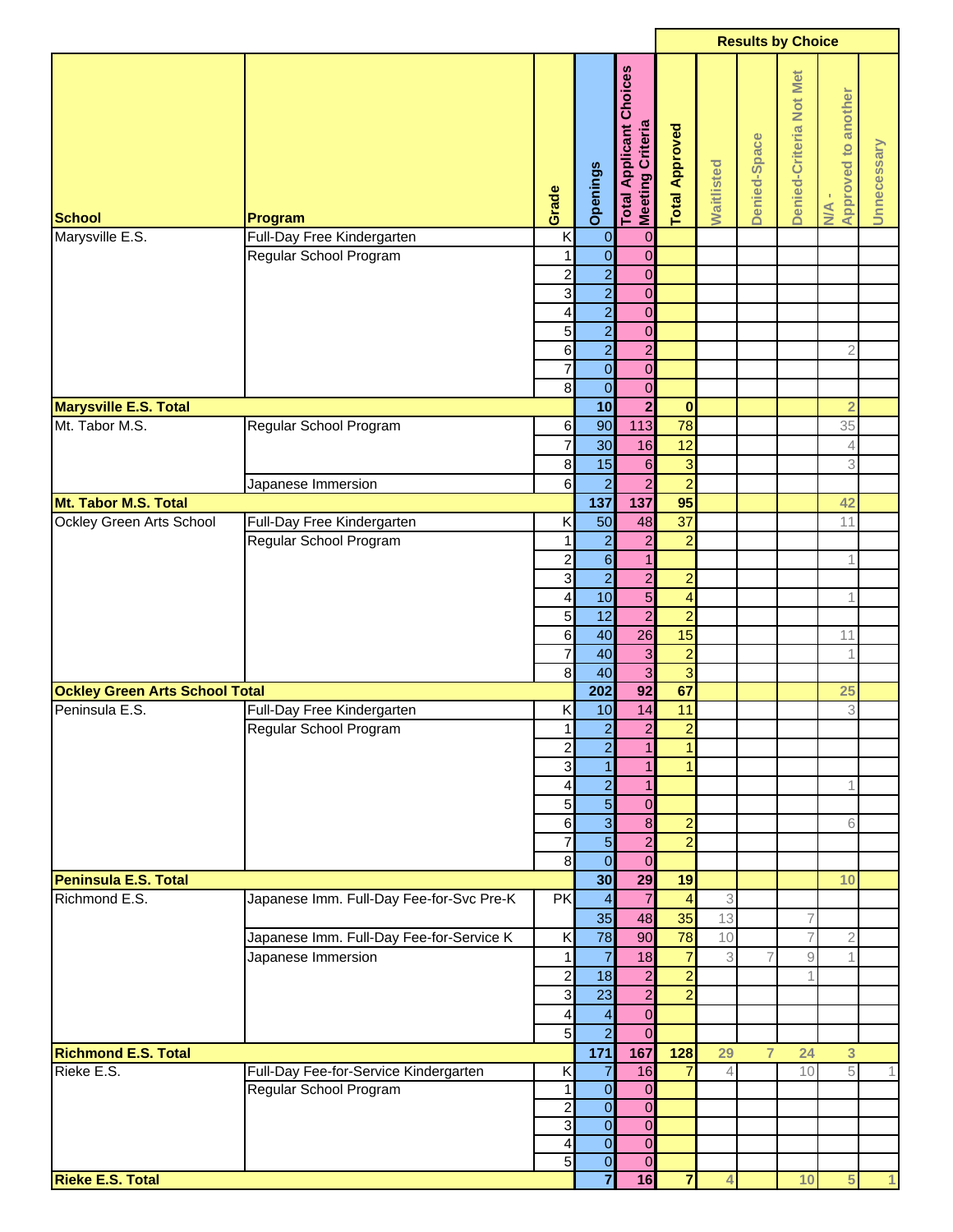|                                       |                                          |                         |                            |                                                                          |                         |                | <b>Results by Choice</b> |                         |                                           |              |
|---------------------------------------|------------------------------------------|-------------------------|----------------------------|--------------------------------------------------------------------------|-------------------------|----------------|--------------------------|-------------------------|-------------------------------------------|--------------|
| <b>School</b><br>Marysville E.S.      | Program<br>Full-Day Free Kindergarten    | Grade<br>K              | Openings<br>$\overline{0}$ | <b>Total Applicant Choices</b><br><b>Meeting Criteria</b><br>$\mathbf 0$ | <b>Total Approved</b>   | Waitlisted     | Denied-Space             | Denied-Criteria Not Met | <b>Approved to another</b><br>$M_{\rm A}$ | Unnecessary  |
|                                       | Regular School Program                   | 1                       | $\overline{0}$             | $\overline{0}$                                                           |                         |                |                          |                         |                                           |              |
|                                       |                                          | $\overline{c}$          | $\overline{a}$             | $\overline{0}$                                                           |                         |                |                          |                         |                                           |              |
|                                       |                                          | ω                       | $\overline{a}$             | $\mathbf 0$                                                              |                         |                |                          |                         |                                           |              |
|                                       |                                          | 4                       | $\overline{a}$             | $\overline{0}$                                                           |                         |                |                          |                         |                                           |              |
|                                       |                                          | 5                       | $\overline{a}$             | $\mathbf 0$                                                              |                         |                |                          |                         |                                           |              |
|                                       |                                          | $6 \,$                  | $\overline{a}$             | $\overline{2}$                                                           |                         |                |                          |                         | $\overline{2}$                            |              |
|                                       |                                          | $\overline{7}$          | $\overline{0}$             | $\mathbf 0$                                                              |                         |                |                          |                         |                                           |              |
|                                       |                                          | $\infty$                | $\overline{0}$             | $\mathbf 0$                                                              |                         |                |                          |                         |                                           |              |
| <b>Marysville E.S. Total</b>          |                                          |                         | $\overline{10}$            | $\overline{2}$                                                           | $\bf{0}$                |                |                          |                         | $\overline{2}$                            |              |
| Mt. Tabor M.S.                        | Regular School Program                   | $6 \,$                  | 90                         | 113                                                                      | 78                      |                |                          |                         | 35                                        |              |
|                                       |                                          | $\overline{7}$          | 30 <sup>1</sup>            | 16                                                                       | 12                      |                |                          |                         | 4                                         |              |
|                                       |                                          | $\bf{8}$                | 15                         | $\,$ 6 $\,$                                                              | $\overline{3}$          |                |                          |                         | 3                                         |              |
|                                       | Japanese Immersion                       | $6 \,$                  | $\overline{a}$             | $\overline{a}$                                                           | $\overline{a}$          |                |                          |                         |                                           |              |
| Mt. Tabor M.S. Total                  |                                          |                         | 137                        | 137                                                                      | 95                      |                |                          |                         | 42                                        |              |
| Ockley Green Arts School              | Full-Day Free Kindergarten               | Κ                       | 50                         | 48                                                                       | $\overline{37}$         |                |                          |                         | 11                                        |              |
|                                       | Regular School Program                   | 1                       | $\overline{a}$             | $\overline{c}$                                                           | $\overline{2}$          |                |                          |                         |                                           |              |
|                                       |                                          | $\overline{\mathbf{c}}$ | $\overline{6}$             | $\mathbf{1}$                                                             |                         |                |                          |                         | 1                                         |              |
|                                       |                                          | 3                       | $\overline{a}$             | $\overline{2}$                                                           | $\overline{2}$          |                |                          |                         |                                           |              |
|                                       |                                          | $\overline{\mathbf{4}}$ | 10                         | $\overline{5}$                                                           | $\overline{\mathbf{4}}$ |                |                          |                         | 1                                         |              |
|                                       |                                          | 5 <sub>l</sub>          | 12                         | $\overline{2}$                                                           | $\overline{2}$          |                |                          |                         |                                           |              |
|                                       |                                          | $6 \overline{6}$        | 40                         | 26                                                                       | 15                      |                |                          |                         | 11                                        |              |
|                                       |                                          | $\overline{7}$          | 40                         | $\overline{3}$                                                           | $\overline{2}$          |                |                          |                         | $\mathbf 1$                               |              |
|                                       |                                          | $\bf{8}$                | 40                         | $\overline{3}$                                                           | $\overline{3}$          |                |                          |                         |                                           |              |
| <b>Ockley Green Arts School Total</b> |                                          |                         | 202                        | 92                                                                       | 67                      |                |                          |                         | 25                                        |              |
| Peninsula E.S.                        | Full-Day Free Kindergarten               | Κ                       | 10                         | 14                                                                       | 11                      |                |                          |                         | 3                                         |              |
|                                       | Regular School Program                   | 1                       | $\overline{2}$             | $\overline{2}$                                                           | $\overline{2}$          |                |                          |                         |                                           |              |
|                                       |                                          | $\overline{\mathbf{c}}$ | $\overline{a}$             | $\mathbf{1}$                                                             | $\mathbf{1}$            |                |                          |                         |                                           |              |
|                                       |                                          | $\overline{3}$          | $\mathbf{1}$               | $\mathbf{1}$                                                             | $\mathbf{1}$            |                |                          |                         |                                           |              |
|                                       |                                          | 4                       | $\overline{2}$             | $\overline{1}$                                                           |                         |                |                          |                         | 1                                         |              |
|                                       |                                          | $\overline{5}$          | $\overline{5}$             | $\overline{0}$                                                           |                         |                |                          |                         |                                           |              |
|                                       |                                          | $6 \overline{6}$        | $\overline{3}$             | $\bf 8$                                                                  | $\overline{a}$          |                |                          |                         | 6                                         |              |
|                                       |                                          | $\overline{7}$          | $\overline{5}$             | $\overline{2}$                                                           | $\overline{2}$          |                |                          |                         |                                           |              |
|                                       |                                          | $\infty$                | $\overline{0}$             | $\overline{0}$                                                           |                         |                |                          |                         |                                           |              |
| Peninsula E.S. Total                  |                                          |                         | 30                         | 29                                                                       | 19                      |                |                          |                         | 10                                        |              |
| Richmond E.S.                         | Japanese Imm. Full-Day Fee-for-Svc Pre-K | PK                      | $\overline{4}$             | $\overline{7}$                                                           | $\overline{4}$          | $\mathfrak{Z}$ |                          |                         |                                           |              |
|                                       |                                          |                         | 35                         | 48                                                                       | 35                      | 13             |                          | 7                       |                                           |              |
|                                       | Japanese Imm. Full-Day Fee-for-Service K | K                       | 78                         | 90                                                                       | 78                      | 10             |                          | $\overline{7}$          | $\mathbf{2}$                              |              |
|                                       | Japanese Immersion                       | $\mathbf{1}$            | $\overline{7}$             | 18                                                                       | $\overline{7}$          | 3              |                          | $\hbox{g}$              | $\mathbf 1$                               |              |
|                                       |                                          | $\mathbf{2}$            | 18                         | $\overline{a}$                                                           | $\overline{a}$          |                |                          |                         |                                           |              |
|                                       |                                          | $\mathbf{3}$            | 23                         | $\mathbf{2}$                                                             | $\overline{2}$          |                |                          |                         |                                           |              |
|                                       |                                          | 4                       | $\overline{\mathbf{r}}$    | $\mathbf 0$                                                              |                         |                |                          |                         |                                           |              |
|                                       |                                          | $\overline{5}$          | $\overline{2}$             | $\overline{0}$                                                           |                         |                |                          |                         |                                           |              |
| <b>Richmond E.S. Total</b>            |                                          |                         | $171$                      | 167                                                                      | 128                     | 29             | $\overline{7}$           | 24                      | 3                                         |              |
| Rieke E.S.                            | Full-Day Fee-for-Service Kindergarten    | K                       | 7                          | 16                                                                       | $\overline{7}$          | $\overline{4}$ |                          | 10                      | 5                                         |              |
|                                       | Regular School Program                   | 1                       | $\overline{0}$             | $\overline{0}$                                                           |                         |                |                          |                         |                                           |              |
|                                       |                                          | $\overline{2}$          | $\overline{0}$             | $\mathbf 0$                                                              |                         |                |                          |                         |                                           |              |
|                                       |                                          | 3                       | $\overline{0}$             | $\pmb{0}$                                                                |                         |                |                          |                         |                                           |              |
|                                       |                                          | 4                       | $\overline{0}$             | $\mathbf 0$                                                              |                         |                |                          |                         |                                           |              |
|                                       |                                          | $\overline{5}$          | $\overline{0}$             | $\overline{0}$                                                           |                         |                |                          |                         |                                           |              |
| <b>Rieke E.S. Total</b>               |                                          |                         | $\overline{\mathbf{7}}$    | 16                                                                       | $\overline{7}$          | $\overline{4}$ |                          | 10                      | 5                                         | $\mathbf{1}$ |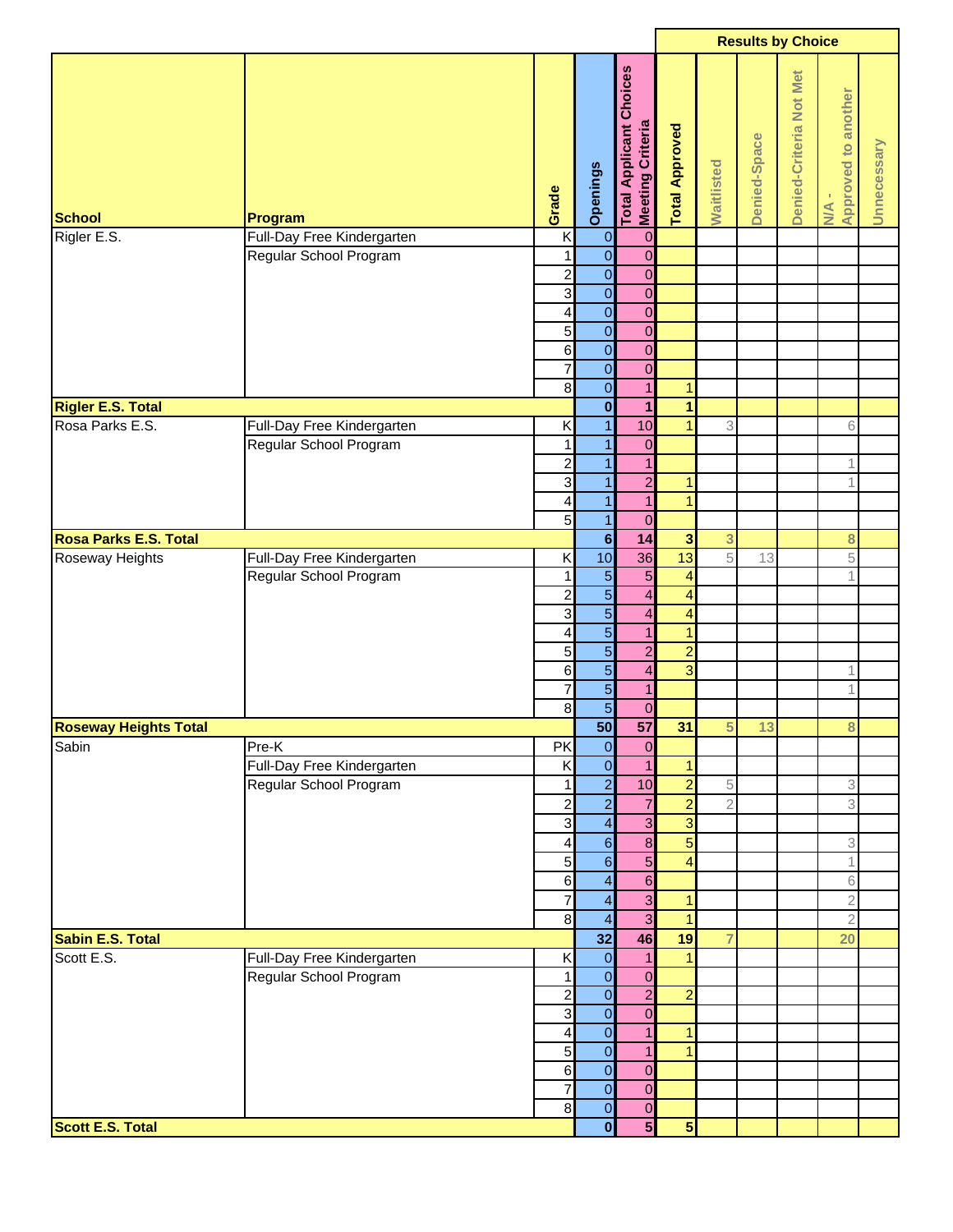|                              |                            |                            |                                  |                                                              |                         |                | <b>Results by Choice</b> |                         |                              |             |
|------------------------------|----------------------------|----------------------------|----------------------------------|--------------------------------------------------------------|-------------------------|----------------|--------------------------|-------------------------|------------------------------|-------------|
| <b>School</b>                | Program                    | Grade                      | Openings                         | Choices<br><b>Meeting Criteria</b><br><b>Total Applicant</b> | <b>Total Approved</b>   | Waitlisted     | Denied-Space             | Denied-Criteria Not Met | N/A -<br>Approved to another | Unnecessary |
| Rigler E.S.                  | Full-Day Free Kindergarten | K                          | $\overline{0}$                   | $\overline{0}$                                               |                         |                |                          |                         |                              |             |
|                              | Regular School Program     | $\mathbf{1}$               | $\overline{\mathbf{0}}$          | $\overline{0}$                                               |                         |                |                          |                         |                              |             |
|                              |                            | $\overline{\mathbf{c}}$    | $\overline{0}$                   | $\mathbf 0$                                                  |                         |                |                          |                         |                              |             |
|                              |                            | 3                          | $\overline{0}$                   | $\pmb{0}$                                                    |                         |                |                          |                         |                              |             |
|                              |                            | 4                          | $\overline{0}$                   | $\pmb{0}$                                                    |                         |                |                          |                         |                              |             |
|                              |                            | 5                          | $\overline{0}$                   | $\boldsymbol{0}$                                             |                         |                |                          |                         |                              |             |
|                              |                            | $\,$ 6<br>$\overline{7}$   | $\overline{0}$<br>$\overline{0}$ | $\pmb{0}$<br>$\pmb{0}$                                       |                         |                |                          |                         |                              |             |
|                              |                            | $\bf8$                     | $\mathbf 0$                      | $\overline{1}$                                               | $\mathbf{1}$            |                |                          |                         |                              |             |
| <b>Rigler E.S. Total</b>     |                            |                            | $\overline{\mathbf{0}}$          | $\mathbf{1}$                                                 | $\overline{1}$          |                |                          |                         |                              |             |
| Rosa Parks E.S.              | Full-Day Free Kindergarten | Κ                          | $\mathbf{1}$                     | 10                                                           | $\overline{1}$          | 3              |                          |                         | 6                            |             |
|                              | Regular School Program     | 1                          | $\mathbf{1}$                     | $\pmb{0}$                                                    |                         |                |                          |                         |                              |             |
|                              |                            | $\overline{a}$             | $\mathbf{1}$                     | $\mathbf{1}$                                                 |                         |                |                          |                         | 1                            |             |
|                              |                            | 3                          | $\mathbf{1}$                     | $\overline{2}$                                               | $\mathbf{1}$            |                |                          |                         | 1                            |             |
|                              |                            | 4                          | $\mathbf{1}$                     | $\overline{1}$                                               | $\overline{1}$          |                |                          |                         |                              |             |
|                              |                            | 5                          | $\mathbf{1}$                     | $\pmb{0}$                                                    |                         |                |                          |                         |                              |             |
| Rosa Parks E.S. Total        |                            |                            | $6\phantom{a}$                   | 14                                                           | $\overline{3}$          | 3              |                          |                         | 8                            |             |
| Roseway Heights              | Full-Day Free Kindergarten | Κ                          | 10                               | 36                                                           | 13                      | 5              | 13                       |                         | 5                            |             |
|                              | Regular School Program     | 1                          | $\overline{5}$                   | $\overline{5}$                                               | $\overline{4}$          |                |                          |                         | 1                            |             |
|                              |                            | $\overline{a}$             | $\overline{5}$                   | $\overline{4}$                                               | $\overline{4}$          |                |                          |                         |                              |             |
|                              |                            | 3                          | $\overline{5}$                   | $\overline{4}$                                               | $\overline{4}$          |                |                          |                         |                              |             |
|                              |                            | 4                          | $\overline{5}$                   | $\overline{1}$                                               | $\mathbf{1}$            |                |                          |                         |                              |             |
|                              |                            | 5                          | $\overline{5}$                   | $\overline{c}$                                               | $\overline{2}$          |                |                          |                         |                              |             |
|                              |                            | $\,$ 6                     | $\overline{5}$                   | $\overline{\mathbf{4}}$                                      | $\overline{3}$          |                |                          |                         | 1                            |             |
|                              |                            | 7<br>$\bf{8}$              | $\overline{5}$<br>$\overline{5}$ | $\mathbf{1}$                                                 |                         |                |                          |                         | 1                            |             |
| <b>Roseway Heights Total</b> |                            |                            | 50                               | $\pmb{0}$<br>57                                              | 31                      | 5              | 13                       |                         | 8                            |             |
| Sabin                        | Pre-K                      | PK                         | $\overline{0}$                   | $\mathbf 0$                                                  |                         |                |                          |                         |                              |             |
|                              | Full-Day Free Kindergarten | Κ                          | $\overline{0}$                   | $\overline{1}$                                               | $\mathbf{1}$            |                |                          |                         |                              |             |
|                              | Regular School Program     | 1                          | $\overline{2}$                   | 10                                                           | $\overline{2}$          | $\,$ 5         |                          |                         | 3                            |             |
|                              |                            | $\overline{a}$             | $\overline{2}$                   | $\overline{7}$                                               | $\overline{2}$          | $\sqrt{2}$     |                          |                         | 3                            |             |
|                              |                            | 3                          | $\overline{\mathbf{4}}$          | $\overline{\omega}$                                          | $\overline{3}$          |                |                          |                         |                              |             |
|                              |                            | 4                          | $\overline{6}$                   | $\boldsymbol{8}$                                             | $\overline{5}$          |                |                          |                         | 3                            |             |
|                              |                            | 5                          | $\overline{6}$                   | $\overline{5}$                                               | $\overline{4}$          |                |                          |                         | 1                            |             |
|                              |                            | $\,$ 6                     | $\overline{\mathbf{4}}$          | $6\phantom{a}$                                               |                         |                |                          |                         | 6                            |             |
|                              |                            | 7                          | $\overline{4}$                   | $\overline{3}$                                               | $\blacksquare$          |                |                          |                         | $\overline{2}$               |             |
|                              |                            | $\bf{8}$                   | $\overline{4}$                   | $\overline{3}$                                               | $\overline{1}$          |                |                          |                         | $\overline{2}$               |             |
| Sabin E.S. Total             |                            |                            | 32                               | 46                                                           | 19                      | $\overline{7}$ |                          |                         | 20                           |             |
| Scott E.S.                   | Full-Day Free Kindergarten | Κ                          | $\overline{0}$                   | $\mathbf{1}$                                                 | 1                       |                |                          |                         |                              |             |
|                              | Regular School Program     | 1                          | $\overline{\mathbf{O}}$          | $\mathbf 0$                                                  |                         |                |                          |                         |                              |             |
|                              |                            | $\overline{\mathbf{c}}$    | $\overline{\mathbf{0}}$          | $\overline{2}$                                               | $\overline{2}$          |                |                          |                         |                              |             |
|                              |                            | $\mathbf{3}$               | $\overline{\mathbf{0}}$          | $\overline{0}$                                               |                         |                |                          |                         |                              |             |
|                              |                            | 4                          | $\overline{0}$                   | $\mathbf{1}$                                                 | $\mathbf{1}$            |                |                          |                         |                              |             |
|                              |                            | $\overline{5}$             | $\overline{0}$                   | $\mathbf{1}$                                                 | $\overline{1}$          |                |                          |                         |                              |             |
|                              |                            | 6                          | $\overline{0}$                   | $\pmb{0}$                                                    |                         |                |                          |                         |                              |             |
|                              |                            | $\overline{7}$<br>$\bf{8}$ | $\overline{0}$<br>$\overline{0}$ | $\pmb{0}$<br>$\boldsymbol{0}$                                |                         |                |                          |                         |                              |             |
| <b>Scott E.S. Total</b>      |                            |                            | $\overline{\mathbf{0}}$          | $5\phantom{1}$                                               | $\overline{\mathbf{5}}$ |                |                          |                         |                              |             |
|                              |                            |                            |                                  |                                                              |                         |                |                          |                         |                              |             |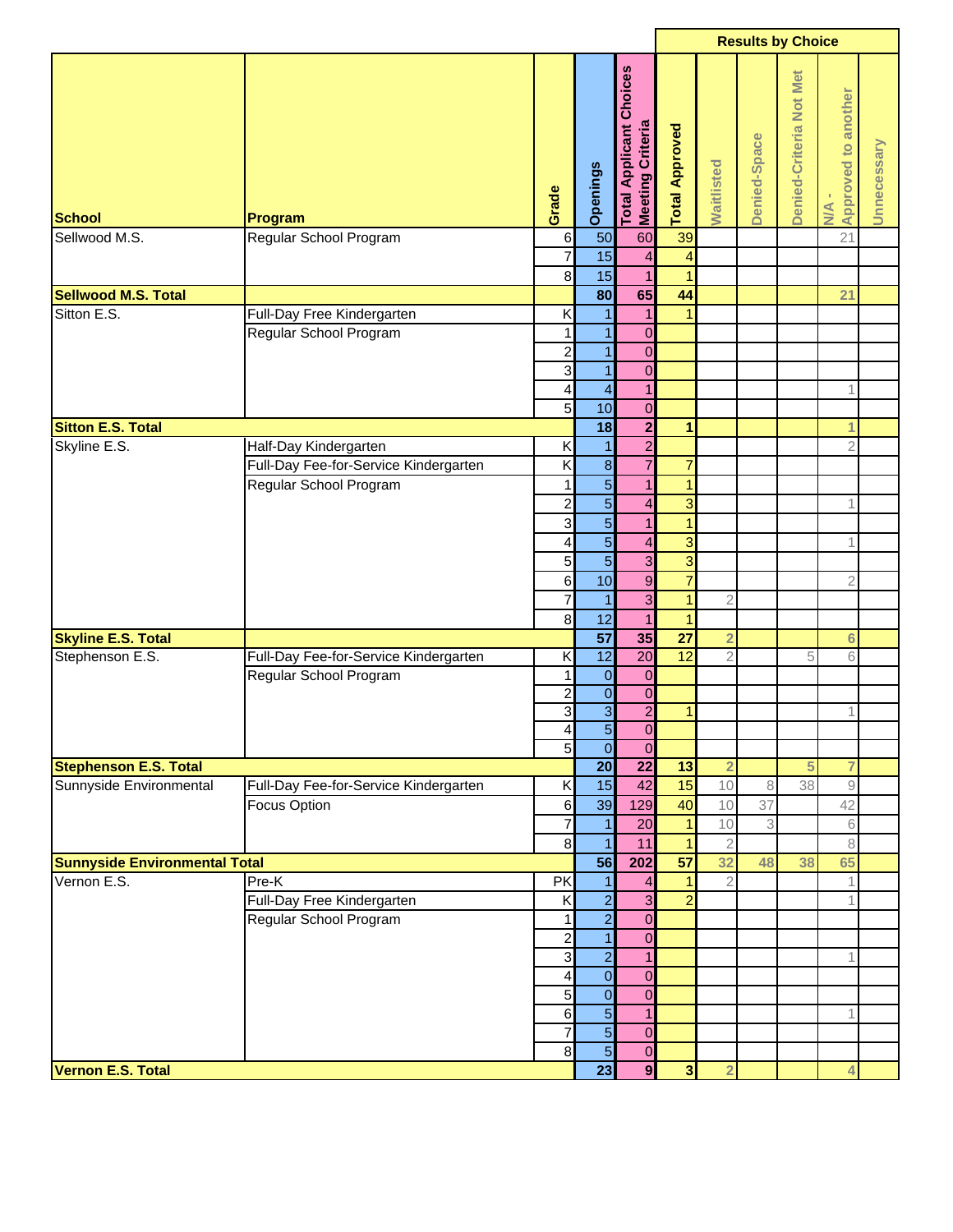|                                      |                                       |                            |                         |                                                    |                                |                | <b>Results by Choice</b> |                         |                                                           |             |
|--------------------------------------|---------------------------------------|----------------------------|-------------------------|----------------------------------------------------|--------------------------------|----------------|--------------------------|-------------------------|-----------------------------------------------------------|-------------|
| <b>School</b>                        | Program                               | Grade                      | Openings                | <b>Total Applicant Choices</b><br>Meeting Criteria | <b>Total Approved</b>          | Waitlisted     | Denied-Space             | Denied-Criteria Not Met | <b>Approved to another</b><br>$\frac{4}{2}$               | Unnecessary |
| Sellwood M.S.                        | Regular School Program                | $\,6$                      | 50                      | 60                                                 | 39                             |                |                          |                         | 21                                                        |             |
|                                      |                                       | $\overline{7}$<br>$\bf{8}$ | 15<br>15                | $\overline{4}$<br>$\overline{1}$                   | $\overline{4}$<br>$\mathbf{1}$ |                |                          |                         |                                                           |             |
| <b>Sellwood M.S. Total</b>           |                                       |                            | 80                      | 65                                                 | 44                             |                |                          |                         | 21                                                        |             |
| Sitton E.S.                          | Full-Day Free Kindergarten            | Κ                          | 1                       | 1                                                  | 1                              |                |                          |                         |                                                           |             |
|                                      | Regular School Program                | 1                          | $\mathbf{1}$            | $\pmb{0}$                                          |                                |                |                          |                         |                                                           |             |
|                                      |                                       | $\overline{c}$             | $\overline{1}$          | $\overline{0}$                                     |                                |                |                          |                         |                                                           |             |
|                                      |                                       | 3                          | $\overline{1}$          | $\overline{0}$                                     |                                |                |                          |                         |                                                           |             |
|                                      |                                       | 4                          | $\overline{\mathbf{4}}$ | $\mathbf{1}$                                       |                                |                |                          |                         | 1                                                         |             |
|                                      |                                       | 5                          | 10                      | $\mathbf 0$                                        |                                |                |                          |                         |                                                           |             |
| <b>Sitton E.S. Total</b>             |                                       |                            | 18                      | $\overline{\mathbf{c}}$                            | $\mathbf{1}$                   |                |                          |                         | 1                                                         |             |
| Skyline E.S.                         | Half-Day Kindergarten                 | K                          | $\overline{1}$          | $\overline{2}$                                     |                                |                |                          |                         | $\overline{2}$                                            |             |
|                                      | Full-Day Fee-for-Service Kindergarten | K                          | $\infty$                | $\overline{7}$                                     | $\overline{7}$                 |                |                          |                         |                                                           |             |
|                                      |                                       |                            | $\overline{5}$          |                                                    | $\mathbf{1}$                   |                |                          |                         |                                                           |             |
|                                      | Regular School Program                | 1                          |                         | 1                                                  |                                |                |                          |                         |                                                           |             |
|                                      |                                       | $\overline{c}$             | $\overline{5}$          | $\overline{\mathbf{r}}$                            | 3                              |                |                          |                         | 1                                                         |             |
|                                      |                                       | $\mathsf 3$                | $\overline{5}$          | $\mathbf{1}$                                       | $\mathbf{1}$                   |                |                          |                         |                                                           |             |
|                                      |                                       | 4                          | $\overline{5}$          | $\overline{\mathbf{4}}$                            | 3                              |                |                          |                         | 1                                                         |             |
|                                      |                                       | $\overline{5}$             | $\overline{5}$          | 3                                                  | $\overline{3}$                 |                |                          |                         |                                                           |             |
|                                      |                                       | $6 \overline{6}$           | 10                      | $\overline{9}$                                     | $\overline{7}$                 |                |                          |                         | $\overline{2}$                                            |             |
|                                      |                                       | $\overline{7}$             | $\overline{1}$          | $\overline{3}$                                     | $\overline{1}$                 | $\overline{2}$ |                          |                         |                                                           |             |
|                                      |                                       | 8                          | 12                      | $\mathbf{1}$                                       | $\mathbf{1}$                   |                |                          |                         |                                                           |             |
| <b>Skyline E.S. Total</b>            |                                       |                            | $\overline{57}$         | 35                                                 | $\overline{27}$                | $\overline{2}$ |                          |                         | $6\phantom{1}6$                                           |             |
| Stephenson E.S.                      | Full-Day Fee-for-Service Kindergarten | Κ                          | $\overline{12}$         | $\overline{20}$                                    | $\overline{12}$                | $\overline{2}$ |                          | 5                       | 6                                                         |             |
|                                      | Regular School Program                | 1                          | $\mathbf 0$             | $\mathbf 0$                                        |                                |                |                          |                         |                                                           |             |
|                                      |                                       | $\overline{2}$             | $\overline{\mathbf{0}}$ | $\mathbf 0$                                        |                                |                |                          |                         |                                                           |             |
|                                      |                                       | 3                          | $\overline{3}$          | $\overline{2}$                                     | $\mathbf{1}$                   |                |                          |                         | 1                                                         |             |
|                                      |                                       | $\overline{4}$             | $\overline{5}$          | $\overline{0}$                                     |                                |                |                          |                         |                                                           |             |
|                                      |                                       | 5 <sub>l</sub>             | $\mathbf 0$             | $\mathbf 0$                                        |                                |                |                          |                         |                                                           |             |
| <b>Stephenson E.S. Total</b>         |                                       |                            | $\overline{20}$         | 22                                                 | $\overline{13}$                | $\overline{2}$ |                          | 5                       | 7                                                         |             |
| Sunnyside Environmental              | Full-Day Fee-for-Service Kindergarten | Κ                          | 15                      | 42                                                 | 15                             | 10             | 8                        | 38                      | $\mathcal{G}% _{M_{1},M_{2}}^{\alpha,\beta}(\mathcal{G})$ |             |
|                                      | <b>Focus Option</b>                   | $6 \overline{6}$           | 39                      | 129                                                | 40                             | 10             | 37                       |                         | 42                                                        |             |
|                                      |                                       | $\overline{7}$             | $\mathbf{1}$            | 20                                                 | $\vert$                        | 10             | $\,3$                    |                         | $\mathsf 6$                                               |             |
|                                      |                                       | $\infty$                   | $\mathbf{1}$            | 11                                                 | $\mathbf{1}$                   | $\sqrt{2}$     |                          |                         | 8                                                         |             |
| <b>Sunnyside Environmental Total</b> |                                       |                            | 56                      | 202                                                | 57                             | 32             | 48                       | 38                      | 65                                                        |             |
| Vernon E.S.                          | Pre-K                                 | <b>PK</b>                  | $\mathbf{1}$            | $\overline{\mathbf{4}}$                            | $\mathbf{1}$                   | $\overline{2}$ |                          |                         | 1                                                         |             |
|                                      | Full-Day Free Kindergarten            | K                          | $\overline{2}$          | 3                                                  | $\overline{2}$                 |                |                          |                         | 1                                                         |             |
|                                      | Regular School Program                | 1                          | $\overline{2}$          | $\overline{0}$                                     |                                |                |                          |                         |                                                           |             |
|                                      |                                       | $\overline{c}$             | $\overline{1}$          | $\overline{0}$                                     |                                |                |                          |                         |                                                           |             |
|                                      |                                       | $\mathbf{3}$               | $\overline{2}$          | $\overline{1}$                                     |                                |                |                          |                         | 1                                                         |             |
|                                      |                                       | 4                          | $\overline{0}$          | $\mathbf 0$                                        |                                |                |                          |                         |                                                           |             |
|                                      |                                       | $\overline{5}$             | $\overline{\mathbf{0}}$ | $\overline{0}$                                     |                                |                |                          |                         |                                                           |             |
|                                      |                                       | $6 \,$                     | $\overline{5}$          | $\mathbf{1}$                                       |                                |                |                          |                         | 1                                                         |             |
|                                      |                                       | $\overline{7}$             | $\overline{5}$          | $\mathbf 0$                                        |                                |                |                          |                         |                                                           |             |
|                                      |                                       | $\infty$                   | 5                       | $\overline{0}$                                     |                                |                |                          |                         |                                                           |             |
| Vernon E.S. Total                    |                                       |                            | $\overline{23}$         | $\overline{9}$                                     | $\overline{\mathbf{3}}$        | $\overline{2}$ |                          |                         | 4                                                         |             |
|                                      |                                       |                            |                         |                                                    |                                |                |                          |                         |                                                           |             |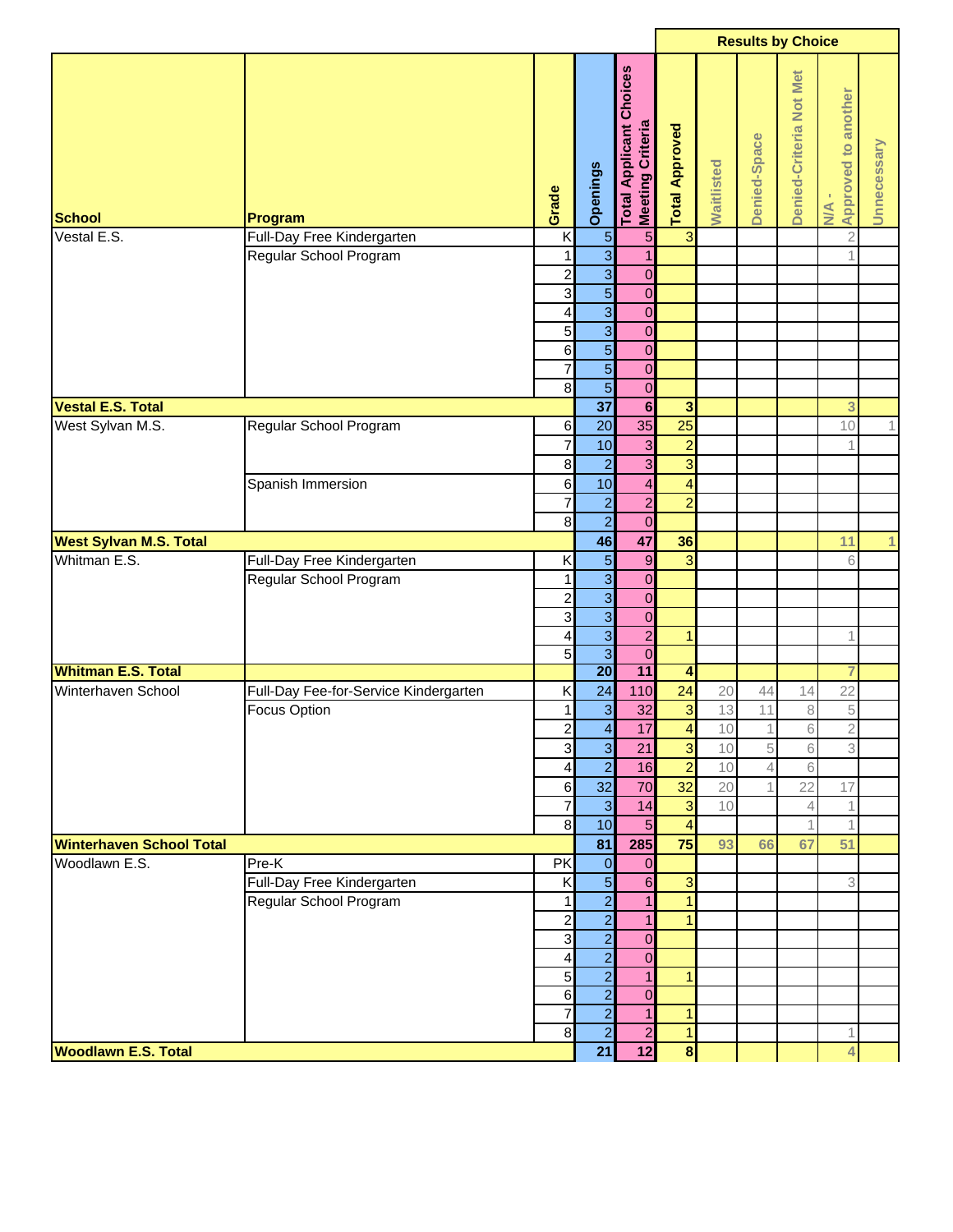|                                 |                                       |                          |                 |                                                              | <b>Results by Choice</b> |            |                |                         |                            |             |
|---------------------------------|---------------------------------------|--------------------------|-----------------|--------------------------------------------------------------|--------------------------|------------|----------------|-------------------------|----------------------------|-------------|
| <b>School</b>                   | Program                               | Grade                    | Openings        | <b>Applicant Choices</b><br>Meeting Criteria<br><b>Total</b> | <b>Total Approved</b>    | Waitlisted | Denied-Space   | Denied-Criteria Not Met | Approved to another<br>N/A | Unnecessary |
| Vestal E.S.                     | Full-Day Free Kindergarten            | K                        | $\overline{5}$  | $\overline{5}$                                               | $\overline{\omega}$      |            |                |                         | $\overline{c}$             |             |
|                                 | Regular School Program                | 1                        | $\overline{3}$  | $\overline{1}$                                               |                          |            |                |                         | $\overline{1}$             |             |
|                                 |                                       | $\overline{\mathbf{c}}$  | $\overline{3}$  | $\mathbf 0$                                                  |                          |            |                |                         |                            |             |
|                                 |                                       | $\overline{3}$           | $\overline{5}$  | $\mathbf 0$                                                  |                          |            |                |                         |                            |             |
|                                 |                                       | 4                        | $\overline{3}$  | $\mathbf 0$                                                  |                          |            |                |                         |                            |             |
|                                 |                                       | 5 <sup>1</sup>           | $\overline{3}$  | $\mathbf 0$                                                  |                          |            |                |                         |                            |             |
|                                 |                                       | $6 \overline{6}$         | $\overline{5}$  | $\mathbf 0$                                                  |                          |            |                |                         |                            |             |
|                                 |                                       | $\overline{7}$           | $\overline{5}$  | $\mathbf 0$                                                  |                          |            |                |                         |                            |             |
|                                 |                                       | $\bf{8}$                 | $\overline{5}$  | $\mathbf 0$                                                  |                          |            |                |                         |                            |             |
| <b>Vestal E.S. Total</b>        |                                       |                          | $\overline{37}$ | $6\phantom{1}$                                               | $\overline{\mathbf{3}}$  |            |                |                         | 3                          |             |
| West Sylvan M.S.                | Regular School Program                | $6 \,$                   | 20              | 35                                                           | 25                       |            |                |                         | 10                         | 1           |
|                                 |                                       | $\overline{7}$           | 10              | 3                                                            | $\overline{a}$           |            |                |                         | 1                          |             |
|                                 |                                       | $\boldsymbol{8}$         | $\overline{a}$  | 3                                                            | $\overline{3}$           |            |                |                         |                            |             |
|                                 | Spanish Immersion                     | $6 \overline{6}$         | 10              | 4                                                            | $\overline{4}$           |            |                |                         |                            |             |
|                                 |                                       | $\overline{7}$           | $\overline{a}$  | $\overline{c}$                                               | $\overline{a}$           |            |                |                         |                            |             |
|                                 |                                       | $\infty$                 | $\overline{2}$  | $\mathbf 0$                                                  |                          |            |                |                         |                            |             |
| <b>West Sylvan M.S. Total</b>   |                                       |                          | 46              | 47                                                           | 36                       |            |                |                         | 11                         | 1           |
| Whitman E.S.                    | Full-Day Free Kindergarten            | Κ                        | $\overline{5}$  | $\boldsymbol{9}$                                             | 3                        |            |                |                         | 6                          |             |
|                                 | Regular School Program                | 1                        | $\overline{3}$  | $\mathbf 0$                                                  |                          |            |                |                         |                            |             |
|                                 |                                       | $\overline{\mathbf{c}}$  | $\overline{3}$  | $\mathbf 0$                                                  |                          |            |                |                         |                            |             |
|                                 |                                       | $\overline{3}$           | $\overline{3}$  | $\mathbf 0$                                                  |                          |            |                |                         |                            |             |
|                                 |                                       | 4                        | $\overline{3}$  | $\overline{2}$                                               | $\mathbf{1}$             |            |                |                         | 1                          |             |
|                                 |                                       | 5                        | $\overline{3}$  | $\mathbf 0$                                                  |                          |            |                |                         |                            |             |
| <b>Whitman E.S. Total</b>       |                                       |                          | $\overline{20}$ | 11                                                           | $\overline{\mathbf{4}}$  |            |                |                         | 7                          |             |
| Winterhaven School              | Full-Day Fee-for-Service Kindergarten | Κ                        | 24              | 110                                                          | 24                       | 20         | 44             | 14                      | 22                         |             |
|                                 | <b>Focus Option</b>                   | 1                        | $\overline{3}$  | 32                                                           | $\mathbf{3}$             | 13         | 11             | 8                       | 5                          |             |
|                                 |                                       | $\overline{2}$           | $\overline{4}$  | 17                                                           | $\overline{4}$           | 10         | $\mathbf{1}$   | $6\overline{6}$         | $\overline{2}$             |             |
|                                 |                                       | 3                        | $\overline{3}$  | 21                                                           | $\overline{3}$           | 10         | 5              | 6                       | 3                          |             |
|                                 |                                       | 4                        | $\overline{2}$  | 16                                                           | $\overline{2}$           | 10         | $\overline{4}$ | 6                       |                            |             |
|                                 |                                       | $6 \overline{6}$         | 32              | 70                                                           | $\overline{32}$          | 20         |                | 22                      | 17                         |             |
|                                 |                                       | $\overline{\mathcal{I}}$ | $\mathbf{3}$    | 14                                                           | 3                        | 10         |                | 4                       | 1                          |             |
|                                 |                                       | $\bf{8}$                 | 10              | $\overline{5}$                                               | $\overline{4}$           |            |                |                         | $\mathbf{1}$               |             |
| <b>Winterhaven School Total</b> |                                       |                          | 81              | 285                                                          | 75                       | 93         | 66             | 67                      | 51                         |             |
| Woodlawn E.S.                   | Pre-K                                 | <b>PK</b>                | $\mathbf 0$     | $\overline{0}$                                               |                          |            |                |                         |                            |             |
|                                 | Full-Day Free Kindergarten            | K                        | $\overline{5}$  | $6 \overline{6}$                                             | $\overline{3}$           |            |                |                         | 3                          |             |
|                                 | Regular School Program                | 1                        | $\overline{2}$  | $\mathbf{1}$                                                 | $\mathbf{1}$             |            |                |                         |                            |             |
|                                 |                                       | $\overline{\mathbf{c}}$  | $\frac{2}{2}$   | $\mathbf{1}$                                                 | $\mathbf{1}$             |            |                |                         |                            |             |
|                                 |                                       | $\overline{\mathbf{3}}$  |                 | $\overline{0}$                                               |                          |            |                |                         |                            |             |
|                                 |                                       | 4                        | $\overline{2}$  | $\overline{0}$                                               |                          |            |                |                         |                            |             |
|                                 |                                       | 5 <sup>1</sup>           | $\overline{a}$  | $\mathbf{1}$                                                 | $\mathbf{1}$             |            |                |                         |                            |             |
|                                 |                                       | $6 \overline{6}$         | $\overline{2}$  | $\overline{0}$                                               |                          |            |                |                         |                            |             |
|                                 |                                       | $\overline{7}$           | $\overline{2}$  | $\mathbf{1}$                                                 | $\mathbf{1}$             |            |                |                         |                            |             |
|                                 |                                       | $\overline{8}$           | $\overline{2}$  | $\overline{a}$                                               | $\vert$                  |            |                |                         | $\mathbf 1$                |             |
| <b>Woodlawn E.S. Total</b>      |                                       |                          | 21              | 12                                                           | $\overline{\mathbf{8}}$  |            |                |                         | 4                          |             |